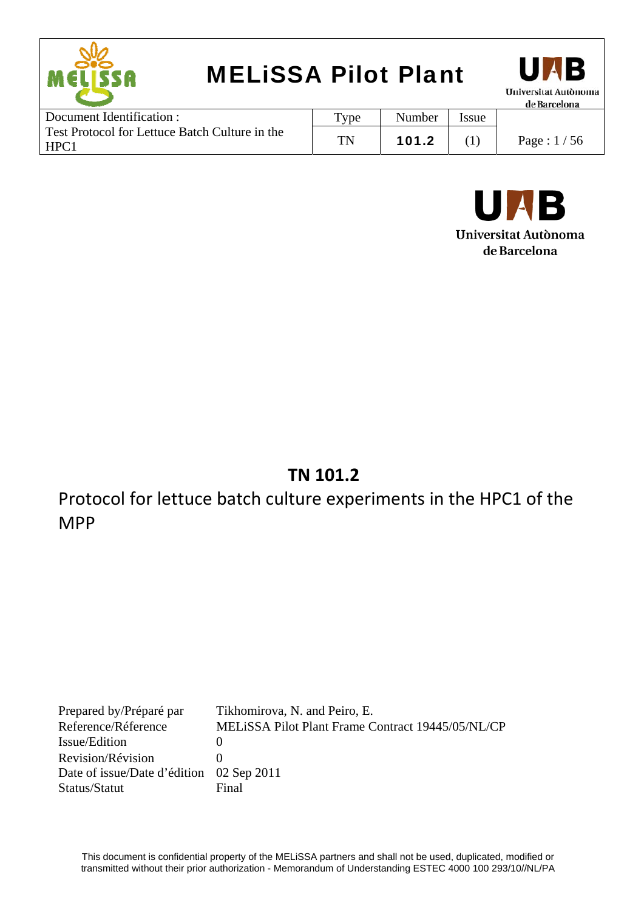| <b>MELISSA Pilot Plant</b><br>MELISSR |      |        |       | UAB<br>Universitat Autònoma<br>de Barcelona |
|---------------------------------------|------|--------|-------|---------------------------------------------|
| Document Identification :             | Type | Number | Issue |                                             |

| Document identification .                             | <b>v</b> pe | <b>Number</b> | 'ssue |               |
|-------------------------------------------------------|-------------|---------------|-------|---------------|
| Test Protocol for Lettuce Batch Culture in the<br>HPC | T'N         | 101.2         |       | Page : $1/56$ |



### **TN 101.2**

Protocol for lettuce batch culture experiments in the HPC1 of the MPP

Prepared by/Préparé par Tikhomirova, N. and Peiro, E. Reference/Réference MELiSSA Pilot Plant Frame Contract 19445/05/NL/CP Issue/Edition 0 Revision/Révision 0 Date of issue/Date d'édition 02 Sep 2011 Status/Statut Final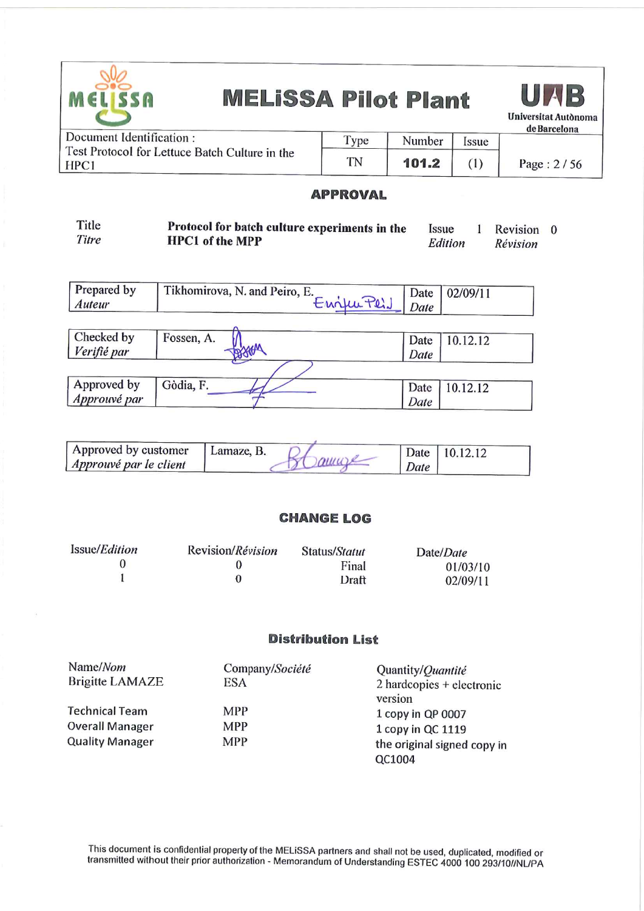

UAB **Universitat Autonoma** de Barcelona

| Document Identification:                               | Type | Number | Issue | ------------ |
|--------------------------------------------------------|------|--------|-------|--------------|
| Test Protocol for Lettuce Batch Culture in the<br>HPC1 | TN   | 101.2  |       | Page: $2/56$ |

#### **APPROVAL**

| Title | Protocol for batch culture experiments in the | <i>ssue</i> | Revision 0 |  |
|-------|-----------------------------------------------|-------------|------------|--|
| Titre | <b>HPC1</b> of the MPP                        | Edition     | Révision   |  |

| Prepared by<br>Auteur     | Tikhomirova, N. and Peiro, E.<br>Enjureis | Date<br>Date | 02/09/11 |
|---------------------------|-------------------------------------------|--------------|----------|
| Checked by<br>Verifié par | Fossen, A.                                | Date<br>Date | 10.12.12 |
| Approved by               | Gòdia, F.                                 |              |          |
| Approuvé par              |                                           | Date<br>Date | 10.12.12 |

| Approved by customer   | Lamaze, B. |               | Date 10.12.12 |
|------------------------|------------|---------------|---------------|
| Approuvé par le client |            | amore<br>Date |               |

#### **CHANGE LOG**

| Issue/ <i>Edition</i> | Revision/Révision | Status/Statut | Date/Date |
|-----------------------|-------------------|---------------|-----------|
|                       |                   | Final         | 01/03/10  |
|                       |                   | Draft         | 02/09/11  |

#### **Distribution List**

| Name/Nom               | Company/Société | Quantity/Quantité           |
|------------------------|-----------------|-----------------------------|
| <b>Brigitte LAMAZE</b> | ESA             | $2$ hardcopies + electronic |
|                        |                 | version                     |
| <b>Technical Team</b>  | <b>MPP</b>      | 1 copy in QP 0007           |
| <b>Overall Manager</b> | <b>MPP</b>      | 1 copy in QC 1119           |
| <b>Quality Manager</b> | <b>MPP</b>      | the original signed copy in |
|                        |                 | QC1004                      |

This document is confidential property of the MELISSA partners and shall not be used, duplicated, modified or<br>transmitted without their prior authorization - Memorandum of Understanding ESTEC 4000 100 293/10//NL/PA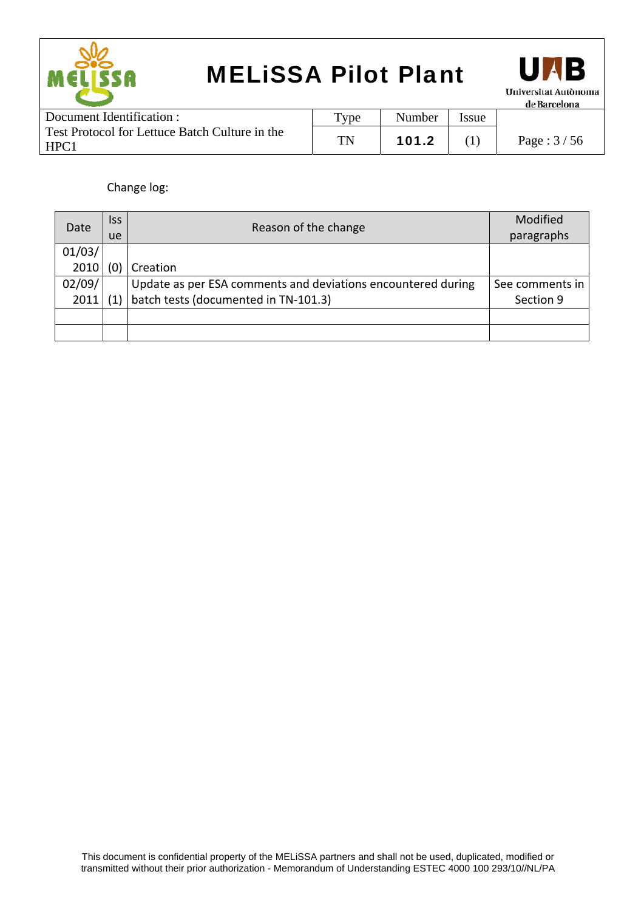



| Document Identification :                              | $T$ <sub>ype</sub> | Number | Issue |              |
|--------------------------------------------------------|--------------------|--------|-------|--------------|
| Test Protocol for Lettuce Batch Culture in the<br>HPC: | TN                 | 101.2  |       | Page: $3/56$ |

Change log:

| Date   | <b>Iss</b>                        |                                                              | Modified        |
|--------|-----------------------------------|--------------------------------------------------------------|-----------------|
|        | Reason of the change<br><b>ue</b> |                                                              | paragraphs      |
| 01/03/ |                                   |                                                              |                 |
| 2010   |                                   | Creation                                                     |                 |
| 02/09/ |                                   | Update as per ESA comments and deviations encountered during | See comments in |
| 2011   |                                   | batch tests (documented in TN-101.3)                         | Section 9       |
|        |                                   |                                                              |                 |
|        |                                   |                                                              |                 |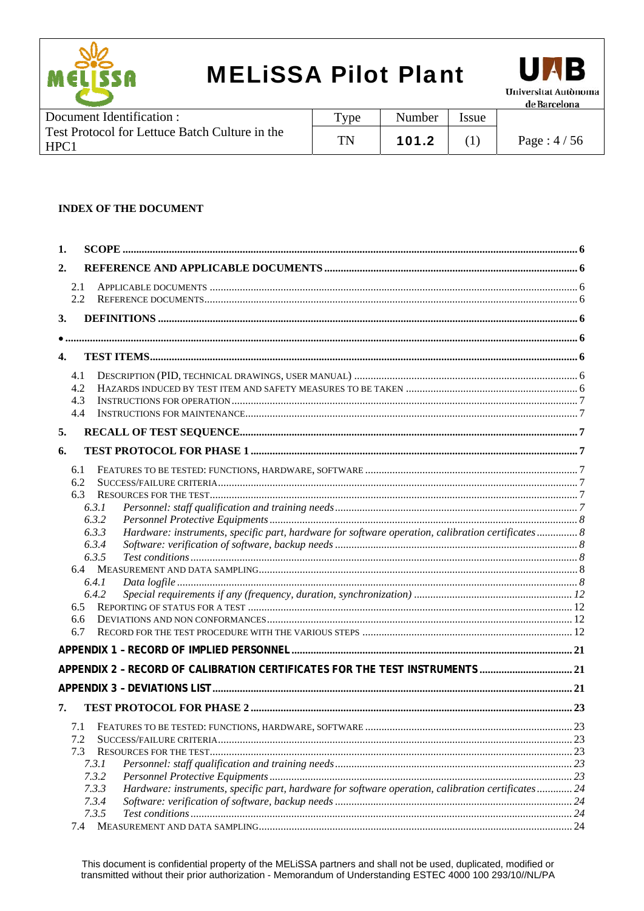



**Document Identification:** Type Number Issue Test Protocol for Lettuce Batch Culture in the **TN** 101.2 Page: 4/56  $(1)$ HPC1

#### **INDEX OF THE DOCUMENT**

| 1.             |                                                                                                             |    |
|----------------|-------------------------------------------------------------------------------------------------------------|----|
| 2.             |                                                                                                             |    |
| 2.1            |                                                                                                             |    |
| 2.2            |                                                                                                             |    |
| 3.             |                                                                                                             |    |
|                |                                                                                                             |    |
| $\mathbf{4}$ . |                                                                                                             |    |
| 4.1            |                                                                                                             |    |
| 4.2            |                                                                                                             |    |
| 4.3            |                                                                                                             |    |
| 4.4            |                                                                                                             |    |
| 5.             |                                                                                                             |    |
| 6.             |                                                                                                             |    |
| 6.1            |                                                                                                             |    |
| 6.2            |                                                                                                             |    |
|                | 6.3                                                                                                         |    |
|                | 6.3.1                                                                                                       |    |
|                | 6.3.2                                                                                                       |    |
|                | Hardware: instruments, specific part, hardware for software operation, calibration certificates 8<br>6.3.3  |    |
|                | 6.3.4                                                                                                       |    |
|                | 6.3.5                                                                                                       |    |
|                | 6.4                                                                                                         |    |
|                | 6.4.1                                                                                                       |    |
|                | 6.4.2                                                                                                       |    |
| 6.5            |                                                                                                             |    |
| 6.7            | 6.6                                                                                                         |    |
|                |                                                                                                             |    |
|                |                                                                                                             |    |
|                | APPENDIX 2 - RECORD OF CALIBRATION CERTIFICATES FOR THE TEST INSTRUMENTS 21                                 |    |
|                |                                                                                                             |    |
| 7.             |                                                                                                             |    |
|                | 7.1                                                                                                         | 23 |
| 7.2            |                                                                                                             |    |
| 7.3            |                                                                                                             |    |
|                | 7.3.1                                                                                                       |    |
|                | 7.3.2                                                                                                       |    |
|                | 7.3.3<br>Hardware: instruments, specific part, hardware for software operation, calibration certificates 24 |    |
|                | 7.3.4                                                                                                       |    |
|                | 7.3.5<br>74 MEASUREMENT AND DATA SAMPLING                                                                   | 24 |
|                |                                                                                                             |    |

This document is confidential property of the MELiSSA partners and shall not be used, duplicated, modified or transmitted without their prior authorization - Memorandum of Understanding ESTEC 4000 100 293/10//NL/PA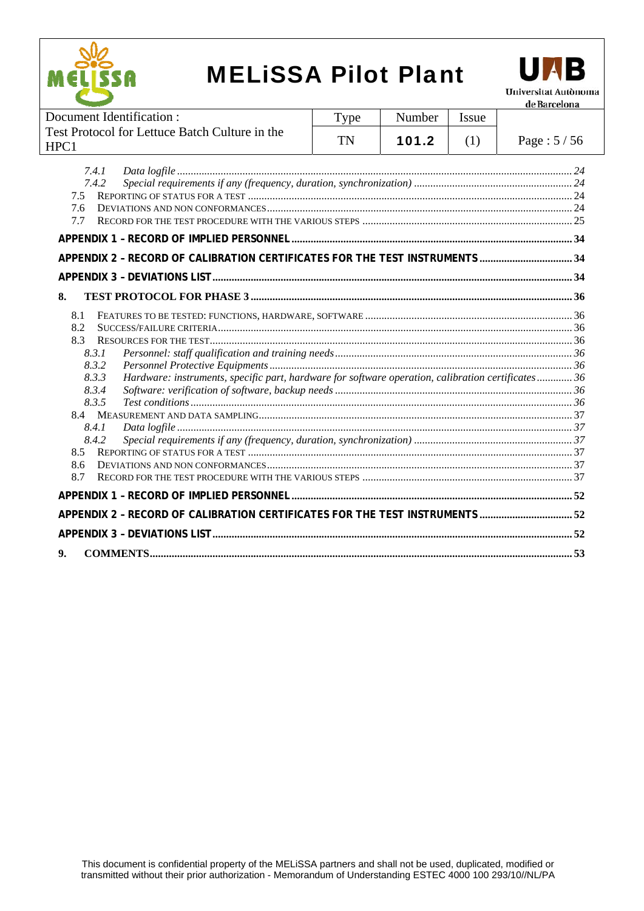



| Document Identification:                                                                                                                                                                                   | Type      | Number | Issue |              |
|------------------------------------------------------------------------------------------------------------------------------------------------------------------------------------------------------------|-----------|--------|-------|--------------|
| Test Protocol for Lettuce Batch Culture in the<br>HPC1                                                                                                                                                     | <b>TN</b> | 101.2  | (1)   | Page: $5/56$ |
| 7.4.1<br>7.4.2<br>7.5<br>7.6<br>7.7<br>APPENDIX 2 - RECORD OF CALIBRATION CERTIFICATES FOR THE TEST INSTRUMENTS 34                                                                                         |           |        |       |              |
|                                                                                                                                                                                                            |           |        |       |              |
| 8.                                                                                                                                                                                                         |           |        |       |              |
| 8.1<br>8.2<br>8.3<br>8.3.1<br>8.3.2<br>8.3.3<br>Hardware: instruments, specific part, hardware for software operation, calibration certificates36<br>8.3.4<br>8.3.5<br>8.4.1<br>8.4.2<br>8.5<br>8.6<br>8.7 |           |        |       |              |
|                                                                                                                                                                                                            |           |        |       |              |
| APPENDIX 2 - RECORD OF CALIBRATION CERTIFICATES FOR THE TEST INSTRUMENTS  52                                                                                                                               |           |        |       |              |
|                                                                                                                                                                                                            |           |        |       |              |
| 9.                                                                                                                                                                                                         |           |        |       |              |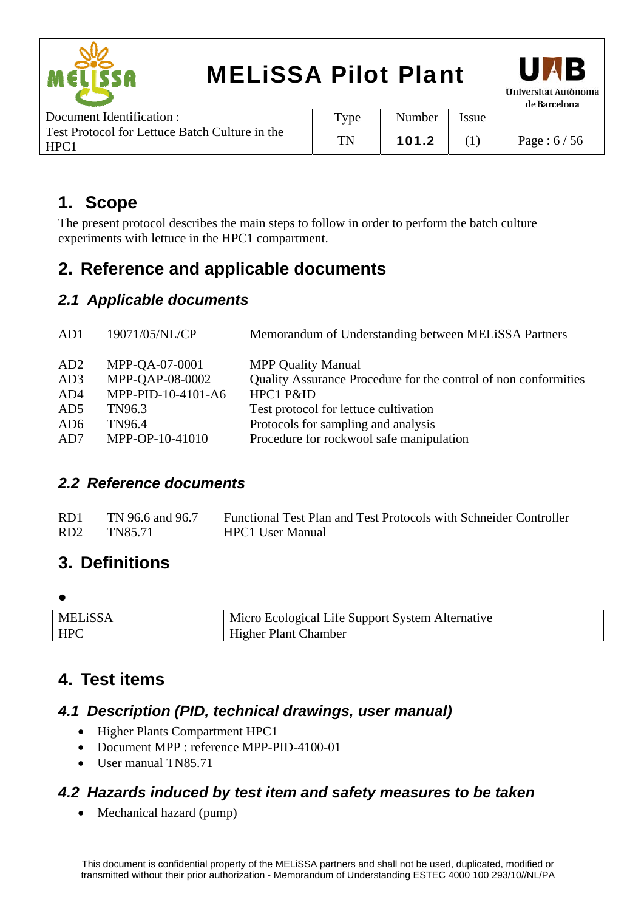



| Document Identification :                              | $TY$ pe | Number | <b>Issue</b> |               |
|--------------------------------------------------------|---------|--------|--------------|---------------|
| Test Protocol for Lettuce Batch Culture in the<br>HPC1 | TN      | 101.2  |              | Page : $6/56$ |

### **1. Scope**

The present protocol describes the main steps to follow in order to perform the batch culture experiments with lettuce in the HPC1 compartment.

### **2. Reference and applicable documents**

### *2.1 Applicable documents*

| AD1             | 19071/05/NL/CP     | Memorandum of Understanding between MELISSA Partners            |
|-----------------|--------------------|-----------------------------------------------------------------|
| AD2             | MPP-QA-07-0001     | <b>MPP Quality Manual</b>                                       |
| AD3             | MPP-QAP-08-0002    | Quality Assurance Procedure for the control of non conformities |
| AD4             | MPP-PID-10-4101-A6 | HPC1 P&ID                                                       |
| AD <sub>5</sub> | TN96.3             | Test protocol for lettuce cultivation                           |
| AD <sub>6</sub> | TN96.4             | Protocols for sampling and analysis                             |
| AD7             | MPP-OP-10-41010    | Procedure for rockwool safe manipulation                        |
|                 |                    |                                                                 |

#### *2.2 Reference documents*

| RD <sub>1</sub> | TN 96.6 and 96.7 | Functional Test Plan and Test Protocols with Schneider Controller |
|-----------------|------------------|-------------------------------------------------------------------|
| RD <sub>2</sub> | TN85.71          | HPC1 User Manual                                                  |

### **3. Definitions**

#### $\bullet$

| <b>MELiSSA</b> | Micro Ecological Life Support System Alternative |
|----------------|--------------------------------------------------|
| <b>HPC</b>     | Higher Plant (<br>. hamber                       |

### **4. Test items**

#### *4.1 Description (PID, technical drawings, user manual)*

- Higher Plants Compartment HPC1
- Document MPP : reference MPP-PID-4100-01
- User manual TN85.71

### *4.2 Hazards induced by test item and safety measures to be taken*

• Mechanical hazard (pump)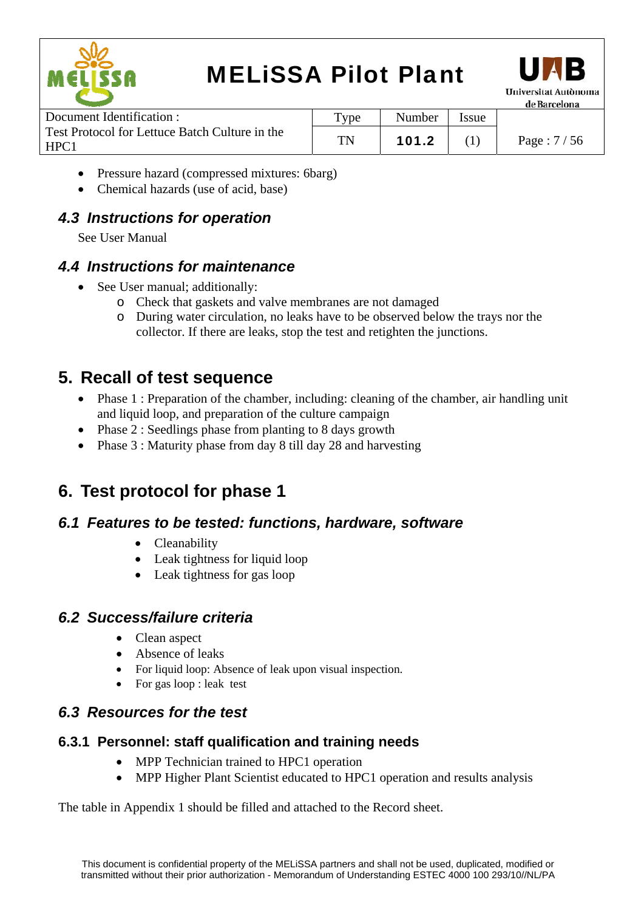



Document Identification : Test Protocol for Lettuce Batch Culture in the HPC1 Type | Number | Issue TN | 101.2 | (1) | Page :  $7/56$ 

- Pressure hazard (compressed mixtures: 6barg)
- Chemical hazards (use of acid, base)

### *4.3 Instructions for operation*

See User Manual

#### *4.4 Instructions for maintenance*

- See User manual; additionally:
	- o Check that gaskets and valve membranes are not damaged
	- o During water circulation, no leaks have to be observed below the trays nor the collector. If there are leaks, stop the test and retighten the junctions.

### **5. Recall of test sequence**

- Phase 1 : Preparation of the chamber, including: cleaning of the chamber, air handling unit and liquid loop, and preparation of the culture campaign
- Phase 2 : Seedlings phase from planting to 8 days growth
- Phase 3 : Maturity phase from day 8 till day 28 and harvesting

### **6. Test protocol for phase 1**

### *6.1 Features to be tested: functions, hardware, software*

- Cleanability
- Leak tightness for liquid loop
- Leak tightness for gas loop

### *6.2 Success/failure criteria*

- Clean aspect
- Absence of leaks
- For liquid loop: Absence of leak upon visual inspection.
- For gas loop : leak test

### *6.3 Resources for the test*

#### **6.3.1 Personnel: staff qualification and training needs**

- MPP Technician trained to HPC1 operation
- MPP Higher Plant Scientist educated to HPC1 operation and results analysis

The table in Appendix 1 should be filled and attached to the Record sheet.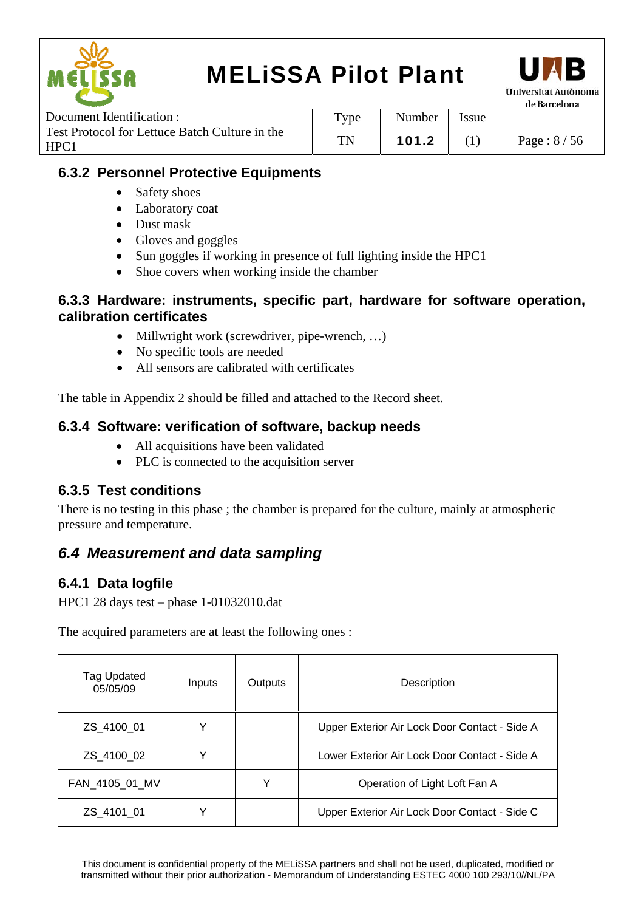



|                                                        |                  |        |              | -------------------- |
|--------------------------------------------------------|------------------|--------|--------------|----------------------|
| Document Identification :                              | $_{\text{Type}}$ | Number | <b>Issue</b> |                      |
| Test Protocol for Lettuce Batch Culture in the<br>HPC1 | TN               | 101.2  |              | Page : $8/56$        |

#### **6.3.2 Personnel Protective Equipments**

- Safety shoes
- Laboratory coat
- Dust mask
- Gloves and goggles
- Sun goggles if working in presence of full lighting inside the HPC1
- Shoe covers when working inside the chamber

#### **6.3.3 Hardware: instruments, specific part, hardware for software operation, calibration certificates**

- Millwright work (screwdriver, pipe-wrench, ...)
- No specific tools are needed
- All sensors are calibrated with certificates

The table in Appendix 2 should be filled and attached to the Record sheet.

#### **6.3.4 Software: verification of software, backup needs**

- All acquisitions have been validated
- PLC is connected to the acquisition server

#### **6.3.5 Test conditions**

There is no testing in this phase ; the chamber is prepared for the culture, mainly at atmospheric pressure and temperature.

#### *6.4 Measurement and data sampling*

#### **6.4.1 Data logfile**

HPC1 28 days test – phase 1-01032010.dat

The acquired parameters are at least the following ones :

| Tag Updated<br>05/05/09 | Inputs | Outputs | Description                                   |
|-------------------------|--------|---------|-----------------------------------------------|
| ZS 4100 01              | v      |         | Upper Exterior Air Lock Door Contact - Side A |
| ZS_4100_02              | v      |         | Lower Exterior Air Lock Door Contact - Side A |
| FAN_4105_01_MV          |        | v       | Operation of Light Loft Fan A                 |
| ZS 4101 01              |        |         | Upper Exterior Air Lock Door Contact - Side C |

This document is confidential property of the MELiSSA partners and shall not be used, duplicated, modified or transmitted without their prior authorization - Memorandum of Understanding ESTEC 4000 100 293/10//NL/PA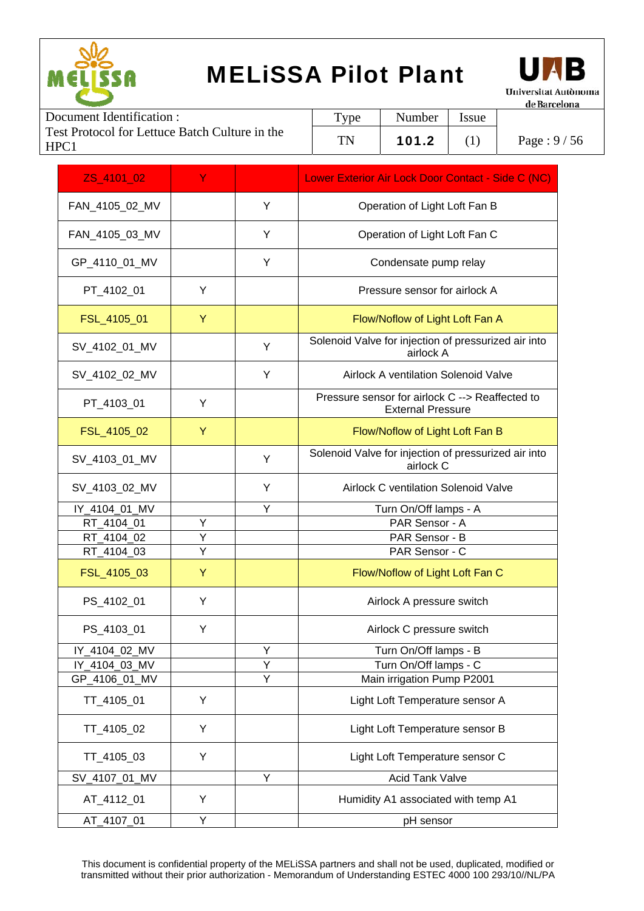



|                                                        |                   |        |             | 11.111        |
|--------------------------------------------------------|-------------------|--------|-------------|---------------|
| Document Identification :                              | Type <sub>T</sub> | Number | <i>ssue</i> |               |
| Test Protocol for Lettuce Batch Culture in the<br>HPC1 | TN                | 101.2  |             | Page : $9/56$ |
|                                                        |                   |        |             |               |

| ZS 4101 02     | Ÿ |   | Lower Exterior Air Lock Door Contact - Side C (NC)                          |
|----------------|---|---|-----------------------------------------------------------------------------|
| FAN_4105_02_MV |   | Y | Operation of Light Loft Fan B                                               |
| FAN_4105_03_MV |   | Υ | Operation of Light Loft Fan C                                               |
| GP_4110_01_MV  |   | Y | Condensate pump relay                                                       |
| PT_4102_01     | Y |   | Pressure sensor for airlock A                                               |
| FSL_4105_01    | Y |   | Flow/Noflow of Light Loft Fan A                                             |
| SV_4102_01_MV  |   | Y | Solenoid Valve for injection of pressurized air into<br>airlock A           |
| SV_4102_02_MV  |   | Y | Airlock A ventilation Solenoid Valve                                        |
| PT_4103_01     | Y |   | Pressure sensor for airlock C --> Reaffected to<br><b>External Pressure</b> |
| FSL_4105_02    | Y |   | Flow/Noflow of Light Loft Fan B                                             |
| SV_4103_01_MV  |   | Υ | Solenoid Valve for injection of pressurized air into<br>airlock C           |
| SV_4103_02_MV  |   | Y | <b>Airlock C ventilation Solenoid Valve</b>                                 |
| IY_4104_01_MV  |   | Y | Turn On/Off lamps - A                                                       |
| RT_4104_01     | Υ |   | PAR Sensor - A                                                              |
| RT_4104_02     | Υ |   | PAR Sensor - B                                                              |
| RT_4104_03     | Υ |   | PAR Sensor - C                                                              |
| FSL_4105_03    | Y |   | Flow/Noflow of Light Loft Fan C                                             |
| PS_4102_01     | Υ |   | Airlock A pressure switch                                                   |
| PS_4103_01     | Υ |   | Airlock C pressure switch                                                   |
| IY_4104_02_MV  |   | Y | Turn On/Off lamps - B                                                       |
| IY 4104 03 MV  |   | Y | Turn On/Off lamps - C                                                       |
| GP 4106 01 MV  |   | Y | Main irrigation Pump P2001                                                  |
| TT_4105_01     | Υ |   | Light Loft Temperature sensor A                                             |
| TT_4105_02     | Y |   | Light Loft Temperature sensor B                                             |
| TT_4105_03     | Y |   | Light Loft Temperature sensor C                                             |
| SV_4107_01_MV  |   | Υ | <b>Acid Tank Valve</b>                                                      |
| AT_4112_01     | Y |   | Humidity A1 associated with temp A1                                         |
| AT_4107_01     | Υ |   | pH sensor                                                                   |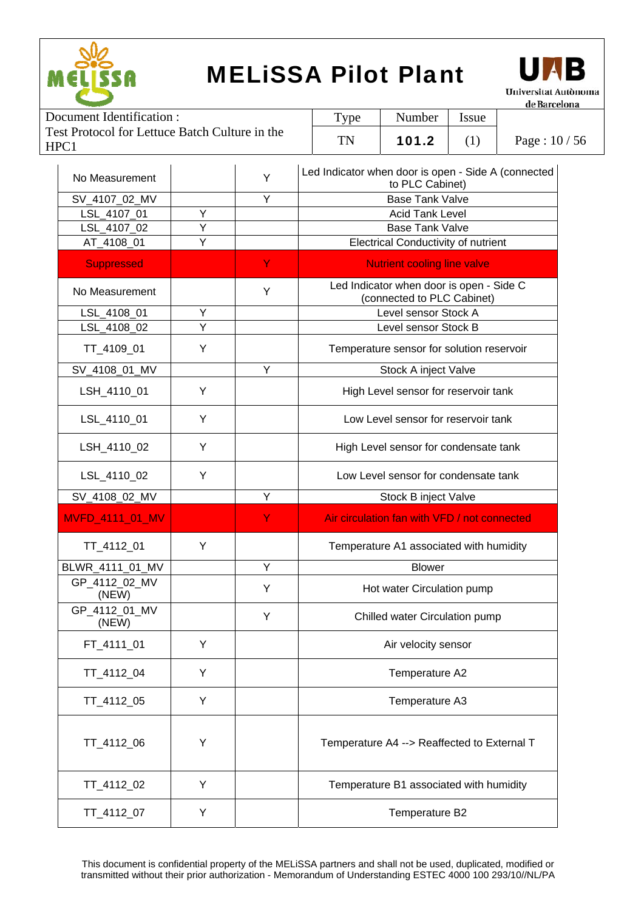



|                                                        |           |        |             | ut burtha     |
|--------------------------------------------------------|-----------|--------|-------------|---------------|
| Document Identification :                              | $TV$ pe   | Number | <i>ssue</i> |               |
| Test Protocol for Lettuce Batch Culture in the<br>HPC1 | <b>TN</b> | 101.2  |             | Page: $10/56$ |

| No Measurement         |   | Y | Led Indicator when door is open - Side A (connected<br>to PLC Cabinet) |
|------------------------|---|---|------------------------------------------------------------------------|
| SV_4107_02_MV          |   | Y | <b>Base Tank Valve</b>                                                 |
| LSL_4107_01            | Y |   | <b>Acid Tank Level</b>                                                 |
| LSL_4107_02            | Υ |   | <b>Base Tank Valve</b>                                                 |
| AT_4108_01             | Υ |   | <b>Electrical Conductivity of nutrient</b>                             |
| <b>Suppressed</b>      |   | Y | <b>Nutrient cooling line valve</b>                                     |
| No Measurement         |   | Y | Led Indicator when door is open - Side C<br>(connected to PLC Cabinet) |
| LSL_4108_01            | Υ |   | Level sensor Stock A                                                   |
| LSL_4108_02            | Y |   | Level sensor Stock B                                                   |
| TT_4109_01             | Y |   | Temperature sensor for solution reservoir                              |
| SV_4108_01_MV          |   | Y | Stock A inject Valve                                                   |
| LSH 4110 01            | Y |   | High Level sensor for reservoir tank                                   |
| LSL_4110_01            | Y |   | Low Level sensor for reservoir tank                                    |
| LSH_4110_02            | Y |   | High Level sensor for condensate tank                                  |
| LSL_4110_02            | Y |   | Low Level sensor for condensate tank                                   |
| SV_4108_02_MV          |   | Y | Stock B inject Valve                                                   |
|                        |   |   |                                                                        |
| MVFD_4111_01_MV        |   | Y | Air circulation fan with VFD / not connected                           |
| TT_4112_01             | Y |   | Temperature A1 associated with humidity                                |
| BLWR_4111_01_MV        |   | Y | <b>Blower</b>                                                          |
| GP_4112_02_MV<br>(NEW) |   | Y | Hot water Circulation pump                                             |
| GP_4112_01_MV<br>(NEW) |   | Y | Chilled water Circulation pump                                         |
| FT_4111_01             | Y |   | Air velocity sensor                                                    |
| TT_4112_04             | Y |   | Temperature A2                                                         |
| TT_4112_05             | Y |   | Temperature A3                                                         |
| TT_4112_06             | Υ |   | Temperature A4 --> Reaffected to External T                            |
| TT_4112_02             | Y |   | Temperature B1 associated with humidity                                |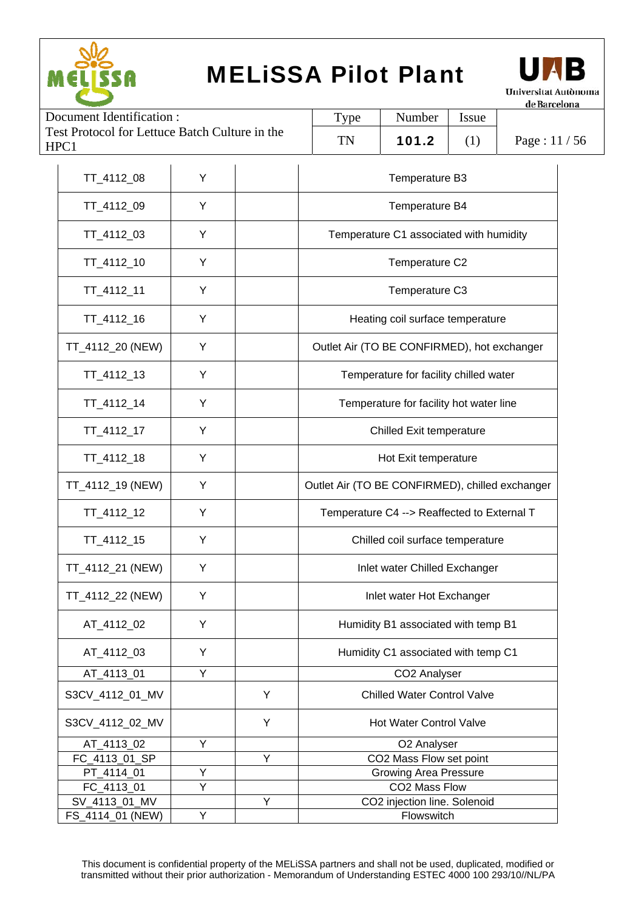



| Document Identification:                               |   | <b>Type</b> | Number                                          | <b>Issue</b>                                |     |             |  |  |
|--------------------------------------------------------|---|-------------|-------------------------------------------------|---------------------------------------------|-----|-------------|--|--|
| Test Protocol for Lettuce Batch Culture in the<br>HPC1 |   |             | TN                                              | 101.2                                       | (1) | Page: 11/56 |  |  |
| TT_4112_08                                             | Y |             | Temperature B3                                  |                                             |     |             |  |  |
| TT_4112_09                                             | Y |             | Temperature B4                                  |                                             |     |             |  |  |
| TT_4112_03                                             | Y |             |                                                 | Temperature C1 associated with humidity     |     |             |  |  |
| TT_4112_10                                             | Y |             |                                                 | Temperature C2                              |     |             |  |  |
| TT_4112_11                                             | Y |             |                                                 | Temperature C3                              |     |             |  |  |
| TT_4112_16                                             | Y |             |                                                 | Heating coil surface temperature            |     |             |  |  |
| TT_4112_20 (NEW)                                       | Y |             |                                                 | Outlet Air (TO BE CONFIRMED), hot exchanger |     |             |  |  |
| TT_4112_13                                             | Y |             |                                                 | Temperature for facility chilled water      |     |             |  |  |
| TT_4112_14                                             | Y |             |                                                 | Temperature for facility hot water line     |     |             |  |  |
| TT_4112_17                                             | Y |             | <b>Chilled Exit temperature</b>                 |                                             |     |             |  |  |
| TT_4112_18                                             | Y |             |                                                 | Hot Exit temperature                        |     |             |  |  |
| TT_4112_19 (NEW)                                       | Υ |             | Outlet Air (TO BE CONFIRMED), chilled exchanger |                                             |     |             |  |  |
| TT_4112_12                                             | Y |             | Temperature C4 --> Reaffected to External T     |                                             |     |             |  |  |
| TT_4112_15                                             | Y |             |                                                 | Chilled coil surface temperature            |     |             |  |  |
| TT_4112_21 (NEW)                                       | Y |             |                                                 | Inlet water Chilled Exchanger               |     |             |  |  |
| TT_4112_22 (NEW)                                       | Y |             |                                                 | Inlet water Hot Exchanger                   |     |             |  |  |
| AT_4112_02                                             | Y |             | Humidity B1 associated with temp B1             |                                             |     |             |  |  |
| AT_4112_03                                             | Y |             |                                                 | Humidity C1 associated with temp C1         |     |             |  |  |
| AT_4113_01                                             | Υ |             |                                                 | CO2 Analyser                                |     |             |  |  |
| S3CV_4112_01_MV                                        |   | Υ           | <b>Chilled Water Control Valve</b>              |                                             |     |             |  |  |
| S3CV_4112_02_MV                                        |   | Y           |                                                 | <b>Hot Water Control Valve</b>              |     |             |  |  |
| AT_4113_02                                             | Y |             |                                                 | O2 Analyser                                 |     |             |  |  |
| FC_4113_01_SP                                          |   | Υ           |                                                 | CO2 Mass Flow set point                     |     |             |  |  |
| PT_4114_01                                             | Υ |             |                                                 | <b>Growing Area Pressure</b>                |     |             |  |  |
| FC_4113_01                                             | Y |             |                                                 | CO2 Mass Flow                               |     |             |  |  |
| SV_4113_01_MV                                          |   | Υ           |                                                 | CO2 injection line. Solenoid                |     |             |  |  |
| FS_4114_01 (NEW)                                       | Y |             | Flowswitch                                      |                                             |     |             |  |  |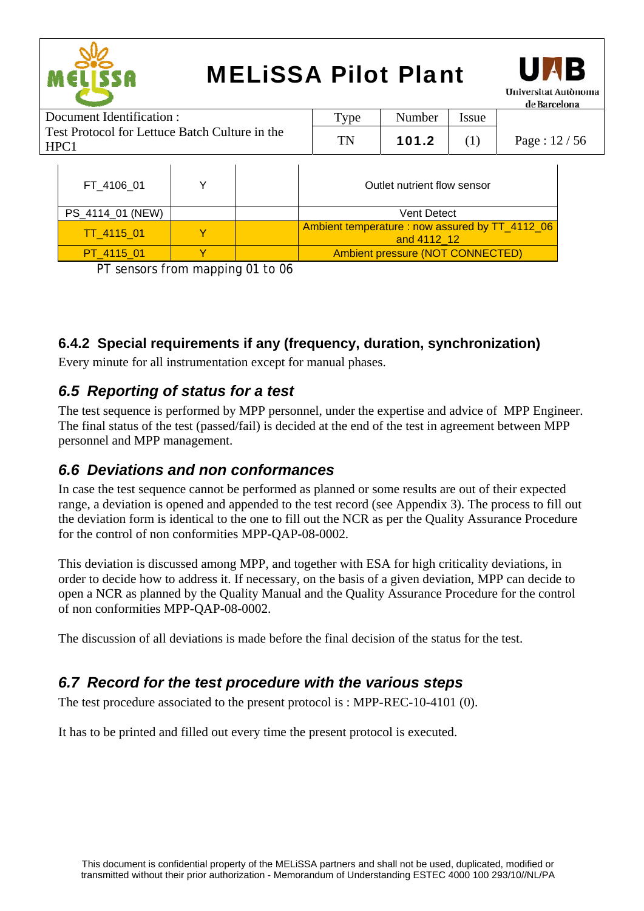



|                                                        |  |  |      |                             |       | ue barteitha    |
|--------------------------------------------------------|--|--|------|-----------------------------|-------|-----------------|
| Document Identification :                              |  |  | Type | Number                      | Issue |                 |
| Test Protocol for Lettuce Batch Culture in the<br>HPC1 |  |  | TN   | 101.2                       |       | Page: $12 / 56$ |
| FT 4106 01                                             |  |  |      | Outlet nutrient flow sensor |       |                 |

| PS_4114_01 (NEW) |  | <b>Vent Detect</b>                                            |
|------------------|--|---------------------------------------------------------------|
| TT 4115 01       |  | Ambient temperature: now assured by TT_4112_06<br>and 4112 12 |
| PT 4115 01       |  | Ambient pressure (NOT CONNECTED)                              |

PT sensors from mapping 01 to 06

#### **6.4.2 Special requirements if any (frequency, duration, synchronization)**

Every minute for all instrumentation except for manual phases.

#### *6.5 Reporting of status for a test*

The test sequence is performed by MPP personnel, under the expertise and advice of MPP Engineer. The final status of the test (passed/fail) is decided at the end of the test in agreement between MPP personnel and MPP management.

#### *6.6 Deviations and non conformances*

In case the test sequence cannot be performed as planned or some results are out of their expected range, a deviation is opened and appended to the test record (see Appendix 3). The process to fill out the deviation form is identical to the one to fill out the NCR as per the Quality Assurance Procedure for the control of non conformities MPP-QAP-08-0002.

This deviation is discussed among MPP, and together with ESA for high criticality deviations, in order to decide how to address it. If necessary, on the basis of a given deviation, MPP can decide to open a NCR as planned by the Quality Manual and the Quality Assurance Procedure for the control of non conformities MPP-QAP-08-0002.

The discussion of all deviations is made before the final decision of the status for the test.

#### *6.7 Record for the test procedure with the various steps*

The test procedure associated to the present protocol is : MPP-REC-10-4101 (0).

It has to be printed and filled out every time the present protocol is executed.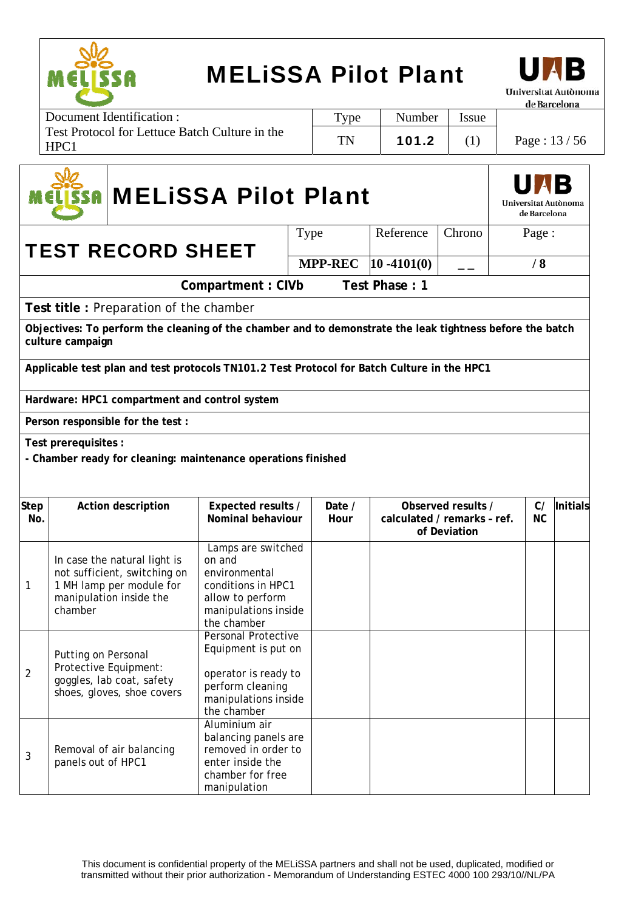



Document Identification : Test Protocol for Lettuce Batch Culture in the HPC1 Type | Number | Issue TN | 101.2 | (1) | Page : 13 / 56

# MELiSSA Pilot Plant



TEST RECORD SHEET

Type Reference Chrono Page : **MPP-REC**  $|10 - 4101(0)|$  \_ | /8

**Compartment : CIVb Test Phase : 1** 

**Test title :** Preparation of the chamber

**Objectives: To perform the cleaning of the chamber and to demonstrate the leak tightness before the batch culture campaign**

**Applicable test plan and test protocols TN101.2 Test Protocol for Batch Culture in the HPC1** 

**Hardware: HPC1 compartment and control system**

**Person responsible for the test :** 

**Test prerequisites :** 

**- Chamber ready for cleaning: maintenance operations finished** 

| <b>Step</b><br>No. | Action description                                                                                                             | Expected results /<br>Nominal behaviour                                                                                              | Date /<br>Hour | Observed results /<br>calculated / remarks - ref.<br>of Deviation |  | <b>Initials</b> |
|--------------------|--------------------------------------------------------------------------------------------------------------------------------|--------------------------------------------------------------------------------------------------------------------------------------|----------------|-------------------------------------------------------------------|--|-----------------|
| 1                  | In case the natural light is<br>not sufficient, switching on<br>1 MH lamp per module for<br>manipulation inside the<br>chamber | Lamps are switched<br>on and<br>environmental<br>conditions in HPC1<br>allow to perform<br>manipulations inside<br>the chamber       |                |                                                                   |  |                 |
| 2                  | Putting on Personal<br>Protective Equipment:<br>goggles, lab coat, safety<br>shoes, gloves, shoe covers                        | <b>Personal Protective</b><br>Equipment is put on<br>operator is ready to<br>perform cleaning<br>manipulations inside<br>the chamber |                |                                                                   |  |                 |
| 3                  | Removal of air balancing<br>panels out of HPC1                                                                                 | Aluminium air<br>balancing panels are<br>removed in order to<br>enter inside the<br>chamber for free<br>manipulation                 |                |                                                                   |  |                 |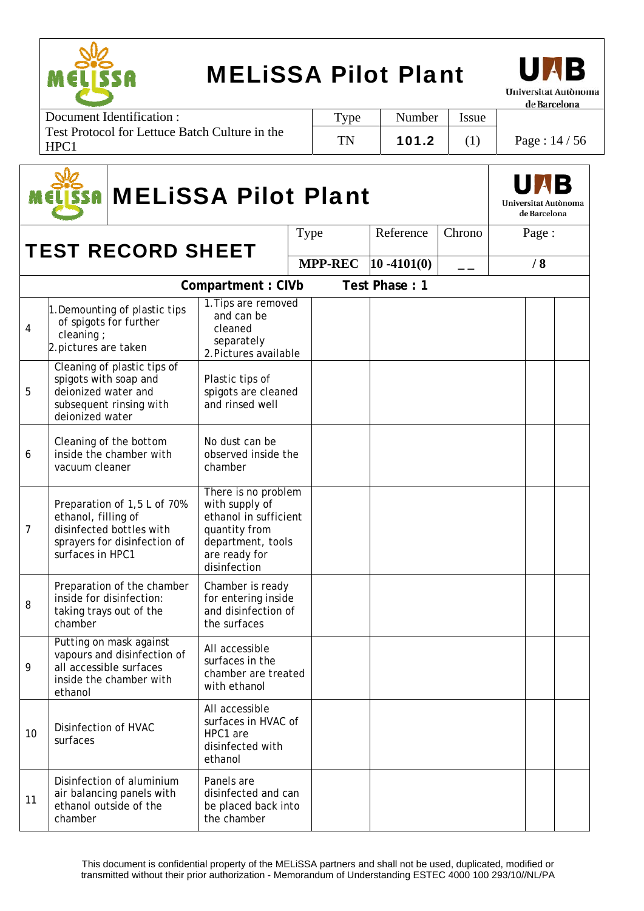

Т

9

11

Putting on mask against vapours and disinfection of all accessible surfaces inside the chamber with

Disinfection of aluminium air balancing panels with ethanol outside of the

ethanol

chamber

10 Disinfection of HVAC surfaces

## MELiSSA Pilot Plant



de Barcelona

Page: 14 / 56

Τ

| Document Identification :                              | $TV$ pe   | Number | <i>Issue</i> |  |
|--------------------------------------------------------|-----------|--------|--------------|--|
| Test Protocol for Lettuce Batch Culture in the<br>HPC1 | <b>TN</b> | 101.2  |              |  |

|                | <b>MELISSA Pilot Plant</b><br>SA                                |                                                                                         |                                                                                                                                       |      |                |                |        |  |       | Universitat Autònoma<br>de Barcelona |
|----------------|-----------------------------------------------------------------|-----------------------------------------------------------------------------------------|---------------------------------------------------------------------------------------------------------------------------------------|------|----------------|----------------|--------|--|-------|--------------------------------------|
|                |                                                                 | <b>TEST RECORD SHEET</b>                                                                |                                                                                                                                       | Type |                | Reference      | Chrono |  | Page: |                                      |
|                |                                                                 |                                                                                         |                                                                                                                                       |      | <b>MPP-REC</b> | $10 - 4101(0)$ |        |  | /8    |                                      |
|                |                                                                 |                                                                                         | Compartment: CIVb                                                                                                                     |      |                | Test Phase: 1  |        |  |       |                                      |
| 4              | cleaning;<br>2. pictures are taken                              | 1. Demounting of plastic tips<br>of spigots for further                                 | 1. Tips are removed<br>and can be<br>cleaned<br>separately<br>2. Pictures available                                                   |      |                |                |        |  |       |                                      |
| 5              | spigots with soap and<br>deionized water and<br>deionized water | Cleaning of plastic tips of<br>subsequent rinsing with                                  | Plastic tips of<br>spigots are cleaned<br>and rinsed well                                                                             |      |                |                |        |  |       |                                      |
| 6              | vacuum cleaner                                                  | Cleaning of the bottom<br>inside the chamber with                                       | No dust can be<br>observed inside the<br>chamber                                                                                      |      |                |                |        |  |       |                                      |
| $\overline{7}$ | ethanol, filling of<br>surfaces in HPC1                         | Preparation of 1,5 L of 70%<br>disinfected bottles with<br>sprayers for disinfection of | There is no problem<br>with supply of<br>ethanol in sufficient<br>quantity from<br>department, tools<br>are ready for<br>disinfection |      |                |                |        |  |       |                                      |
| 8              | chamber                                                         | Preparation of the chamber<br>inside for disinfection:<br>taking trays out of the       | Chamber is ready<br>for entering inside<br>and disinfection of<br>the surfaces                                                        |      |                |                |        |  |       |                                      |

All accessible surfaces in the chamber are treated

with ethanol

All accessible surfaces in HVAC of

HPC1 are disinfected with

ethanol

Panels are

disinfected and can be placed back into the chamber

This document is confidential property of the MELiSSA partners and shall not be used, duplicated, modified or transmitted without their prior authorization - Memorandum of Understanding ESTEC 4000 100 293/10//NL/PA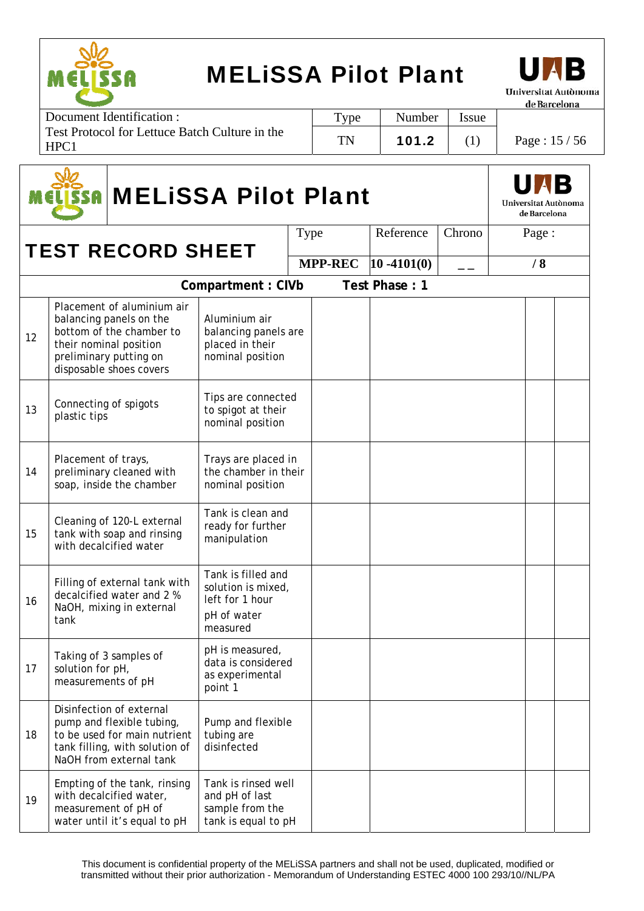



Document Identification : Test Protocol for Lettuce Batch Culture in the HPC1 Type | Number | Issue TN | 101.2 | (1) | Page :  $15/56$ 

|    | <b>MELISSA Pilot Plant</b><br>SSAI     |                                                                                                                                                                  |                                                                                        |  |                |                |        |  |       |  |  |
|----|----------------------------------------|------------------------------------------------------------------------------------------------------------------------------------------------------------------|----------------------------------------------------------------------------------------|--|----------------|----------------|--------|--|-------|--|--|
|    |                                        | <b>TEST RECORD SHEET</b>                                                                                                                                         |                                                                                        |  | Type           | Reference      | Chrono |  | Page: |  |  |
|    |                                        |                                                                                                                                                                  |                                                                                        |  | <b>MPP-REC</b> | $10 - 4101(0)$ | — —    |  | /8    |  |  |
|    |                                        |                                                                                                                                                                  |                                                                                        |  |                |                |        |  |       |  |  |
| 12 |                                        | Placement of aluminium air<br>balancing panels on the<br>bottom of the chamber to<br>their nominal position<br>preliminary putting on<br>disposable shoes covers | Aluminium air<br>balancing panels are<br>placed in their<br>nominal position           |  |                |                |        |  |       |  |  |
| 13 | Connecting of spigots<br>plastic tips  |                                                                                                                                                                  | Tips are connected<br>to spigot at their<br>nominal position                           |  |                |                |        |  |       |  |  |
| 14 | Placement of trays,                    | preliminary cleaned with<br>soap, inside the chamber                                                                                                             | Trays are placed in<br>the chamber in their<br>nominal position                        |  |                |                |        |  |       |  |  |
| 15 |                                        | Cleaning of 120-L external<br>tank with soap and rinsing<br>with decalcified water                                                                               | Tank is clean and<br>ready for further<br>manipulation                                 |  |                |                |        |  |       |  |  |
| 16 | tank                                   | Filling of external tank with<br>decalcified water and 2 %<br>NaOH, mixing in external                                                                           | Tank is filled and<br>solution is mixed,<br>left for 1 hour<br>pH of water<br>measured |  |                |                |        |  |       |  |  |
| 17 | solution for pH,<br>measurements of pH | Taking of 3 samples of                                                                                                                                           | pH is measured,<br>data is considered<br>as experimental<br>point 1                    |  |                |                |        |  |       |  |  |
| 18 |                                        | Disinfection of external<br>pump and flexible tubing,<br>to be used for main nutrient<br>tank filling, with solution of<br>NaOH from external tank               | Pump and flexible<br>tubing are<br>disinfected                                         |  |                |                |        |  |       |  |  |
| 19 |                                        | Empting of the tank, rinsing<br>with decalcified water,<br>measurement of pH of<br>water until it's equal to pH                                                  | Tank is rinsed well<br>and pH of last<br>sample from the<br>tank is equal to pH        |  |                |                |        |  |       |  |  |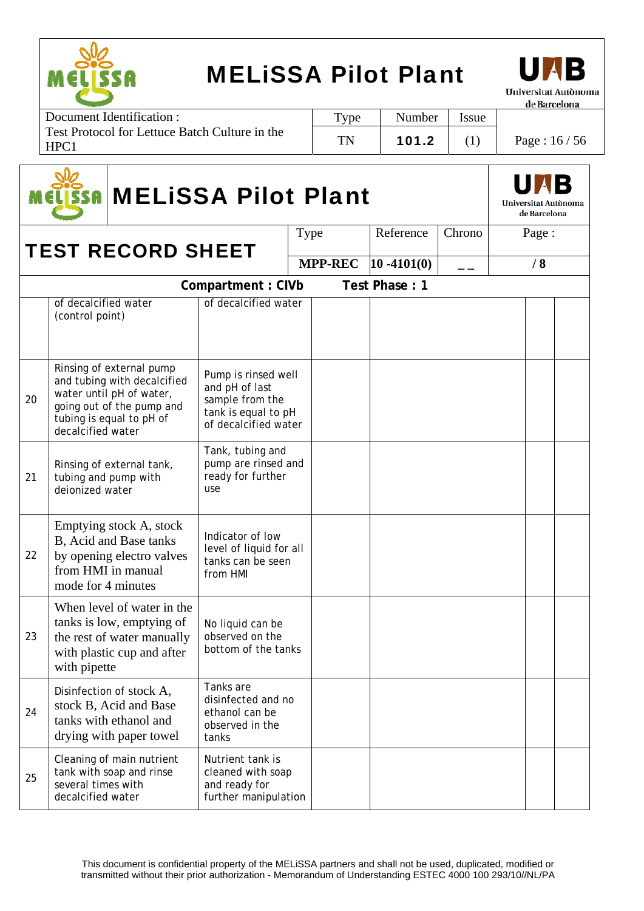



| Document Identification :                                     | Type      | Number | <i>ssue</i> |               |
|---------------------------------------------------------------|-----------|--------|-------------|---------------|
| <b>Test Protocol for Lettuce Batch Culture in the</b><br>HPC1 | <b>TN</b> | 101.2  |             | Page: $16/56$ |

|    | <b>MELISSA Pilot Plant</b><br>SSA       |                                                                                                                                              |                                                                                                         |      |                |                |        |       |    |  |
|----|-----------------------------------------|----------------------------------------------------------------------------------------------------------------------------------------------|---------------------------------------------------------------------------------------------------------|------|----------------|----------------|--------|-------|----|--|
|    |                                         | <b>TEST RECORD SHEET</b>                                                                                                                     |                                                                                                         | Type |                | Reference      | Chrono | Page: |    |  |
|    |                                         |                                                                                                                                              |                                                                                                         |      | <b>MPP-REC</b> | $10 - 4101(0)$ | — —    |       | /8 |  |
|    |                                         |                                                                                                                                              | Compartment: CIVb                                                                                       |      |                | Test Phase: 1  |        |       |    |  |
|    | of decalcified water<br>(control point) |                                                                                                                                              | of decalcified water                                                                                    |      |                |                |        |       |    |  |
| 20 | decalcified water                       | Rinsing of external pump<br>and tubing with decalcified<br>water until pH of water,<br>going out of the pump and<br>tubing is equal to pH of | Pump is rinsed well<br>and pH of last<br>sample from the<br>tank is equal to pH<br>of decalcified water |      |                |                |        |       |    |  |
| 21 | tubing and pump with<br>deionized water | Rinsing of external tank,                                                                                                                    | Tank, tubing and<br>pump are rinsed and<br>ready for further<br>use                                     |      |                |                |        |       |    |  |
| 22 | mode for 4 minutes                      | Emptying stock A, stock<br>B, Acid and Base tanks<br>by opening electro valves<br>from HMI in manual                                         | Indicator of low<br>level of liquid for all<br>tanks can be seen<br>from HMI                            |      |                |                |        |       |    |  |
| 23 | with pipette                            | When level of water in the<br>tanks is low, emptying of<br>the rest of water manually<br>with plastic cup and after                          | No liquid can be<br>observed on the<br>bottom of the tanks                                              |      |                |                |        |       |    |  |
| 24 |                                         | Disinfection of stock A,<br>stock B, Acid and Base<br>tanks with ethanol and<br>drying with paper towel                                      | Tanks are<br>disinfected and no<br>ethanol can be<br>observed in the<br>tanks                           |      |                |                |        |       |    |  |
| 25 | several times with<br>decalcified water | Cleaning of main nutrient<br>tank with soap and rinse                                                                                        | Nutrient tank is<br>cleaned with soap<br>and ready for<br>further manipulation                          |      |                |                |        |       |    |  |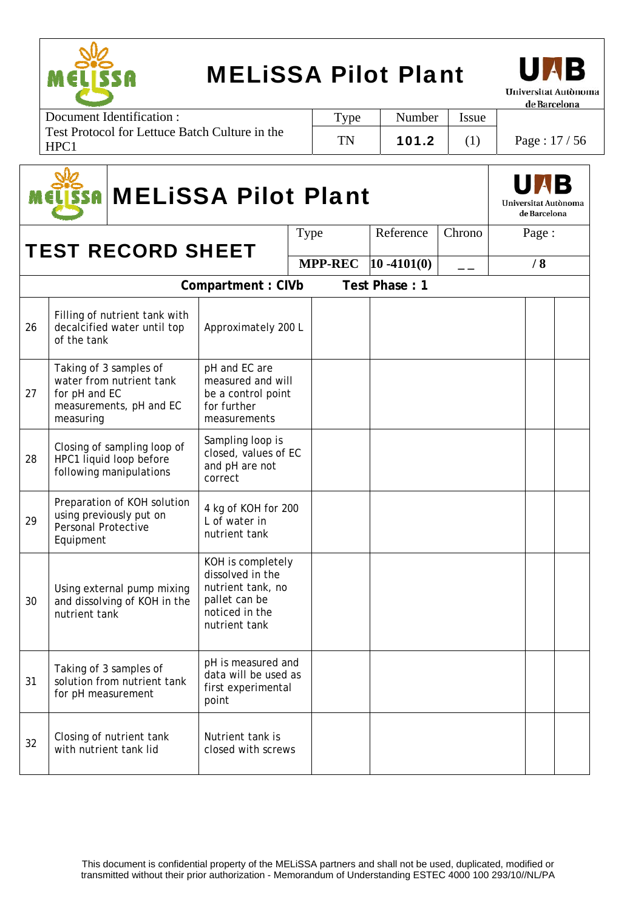



| Document Identification :                              | Type | Number | <i>Issue</i> |               |
|--------------------------------------------------------|------|--------|--------------|---------------|
| Test Protocol for Lettuce Batch Culture in the<br>HPC: | TN   | 101.2  |              | Page: $17/56$ |

|    | <b>ISSA MELISSA Pilot Plant</b>         |                                                                                   |                                                                                                                |  |                |                |        |  |       |  |
|----|-----------------------------------------|-----------------------------------------------------------------------------------|----------------------------------------------------------------------------------------------------------------|--|----------------|----------------|--------|--|-------|--|
|    |                                         | <b>TEST RECORD SHEET</b>                                                          |                                                                                                                |  | Type           | Reference      | Chrono |  | Page: |  |
|    |                                         |                                                                                   |                                                                                                                |  | <b>MPP-REC</b> | $10 - 4101(0)$ | $ -$   |  | /8    |  |
|    |                                         |                                                                                   | Compartment: CIVb                                                                                              |  |                | Test Phase: 1  |        |  |       |  |
| 26 | of the tank                             | Filling of nutrient tank with<br>decalcified water until top                      | Approximately 200 L                                                                                            |  |                |                |        |  |       |  |
| 27 | for pH and EC<br>measuring              | Taking of 3 samples of<br>water from nutrient tank<br>measurements, pH and EC     | pH and EC are<br>measured and will<br>be a control point<br>for further<br>measurements                        |  |                |                |        |  |       |  |
| 28 |                                         | Closing of sampling loop of<br>HPC1 liquid loop before<br>following manipulations | Sampling loop is<br>closed, values of EC<br>and pH are not<br>correct                                          |  |                |                |        |  |       |  |
| 29 | <b>Personal Protective</b><br>Equipment | Preparation of KOH solution<br>using previously put on                            | 4 kg of KOH for 200<br>L of water in<br>nutrient tank                                                          |  |                |                |        |  |       |  |
| 30 | nutrient tank                           | Using external pump mixing<br>and dissolving of KOH in the                        | KOH is completely<br>dissolved in the<br>nutrient tank, no<br>pallet can be<br>noticed in the<br>nutrient tank |  |                |                |        |  |       |  |
| 31 | for pH measurement                      | Taking of 3 samples of<br>solution from nutrient tank                             | pH is measured and<br>data will be used as<br>first experimental<br>point                                      |  |                |                |        |  |       |  |
| 32 | with nutrient tank lid                  | Closing of nutrient tank                                                          | Nutrient tank is<br>closed with screws                                                                         |  |                |                |        |  |       |  |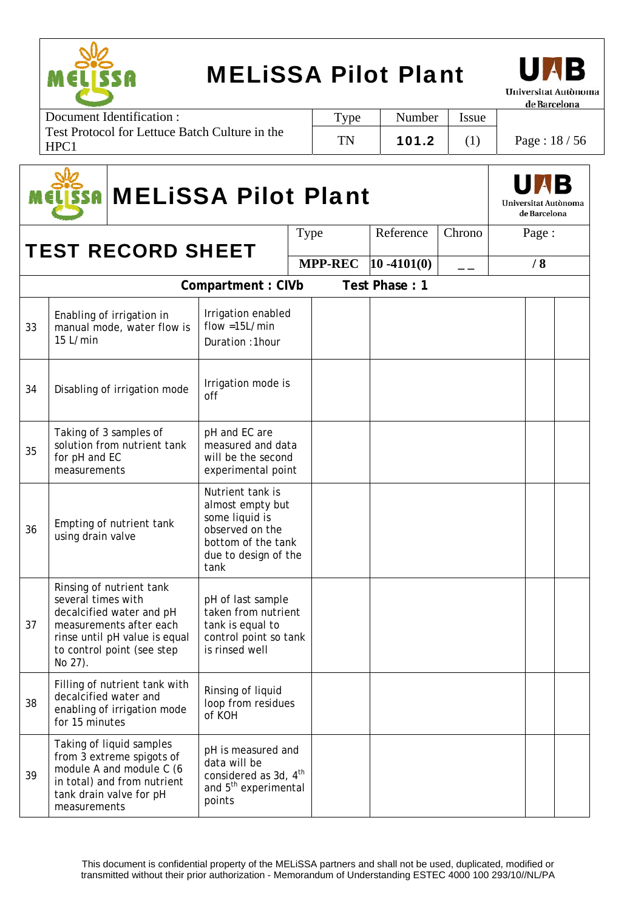



| Document Identification :                                          | Type      | Number | Issue |               |
|--------------------------------------------------------------------|-----------|--------|-------|---------------|
| Test Protocol for Lettuce Batch Culture in the<br>HPC <sub>1</sub> | <b>TN</b> | 101.2  |       | Page: $18/56$ |

|    | <b>ISSA MELISSA Pilot Plant</b>         |                                                                                                                                                |                                                                                                                                 |      |  |           |        |  |       |  |
|----|-----------------------------------------|------------------------------------------------------------------------------------------------------------------------------------------------|---------------------------------------------------------------------------------------------------------------------------------|------|--|-----------|--------|--|-------|--|
|    |                                         | <b>TEST RECORD SHEET</b>                                                                                                                       |                                                                                                                                 | Type |  | Reference | Chrono |  | Page: |  |
|    |                                         |                                                                                                                                                | $ 10 - 4101(0) $                                                                                                                | $ -$ |  | /8        |        |  |       |  |
|    | Test Phase: 1<br>Compartment: CIVb      |                                                                                                                                                |                                                                                                                                 |      |  |           |        |  |       |  |
| 33 | 15 L/min                                | Enabling of irrigation in<br>manual mode, water flow is                                                                                        | Irrigation enabled<br>$flow = 15L/min$<br>Duration: 1hour                                                                       |      |  |           |        |  |       |  |
| 34 |                                         | Disabling of irrigation mode                                                                                                                   | Irrigation mode is<br>off                                                                                                       |      |  |           |        |  |       |  |
| 35 | for pH and EC<br>measurements           | Taking of 3 samples of<br>solution from nutrient tank                                                                                          | pH and EC are<br>measured and data<br>will be the second<br>experimental point                                                  |      |  |           |        |  |       |  |
| 36 | using drain valve                       | Empting of nutrient tank                                                                                                                       | Nutrient tank is<br>almost empty but<br>some liquid is<br>observed on the<br>bottom of the tank<br>due to design of the<br>tank |      |  |           |        |  |       |  |
| 37 | several times with<br>No 27).           | Rinsing of nutrient tank<br>decalcified water and pH<br>measurements after each<br>rinse until pH value is equal<br>to control point (see step | pH of last sample<br>taken from nutrient<br>tank is equal to<br>control point so tank<br>is rinsed well                         |      |  |           |        |  |       |  |
| 38 | decalcified water and<br>for 15 minutes | Filling of nutrient tank with<br>enabling of irrigation mode                                                                                   | Rinsing of liquid<br>loop from residues<br>of KOH                                                                               |      |  |           |        |  |       |  |
| 39 | measurements                            | Taking of liquid samples<br>from 3 extreme spigots of<br>module A and module C (6<br>in total) and from nutrient<br>tank drain valve for pH    | pH is measured and<br>data will be<br>considered as 3d, 4 <sup>th</sup><br>and 5 <sup>th</sup> experimental<br>points           |      |  |           |        |  |       |  |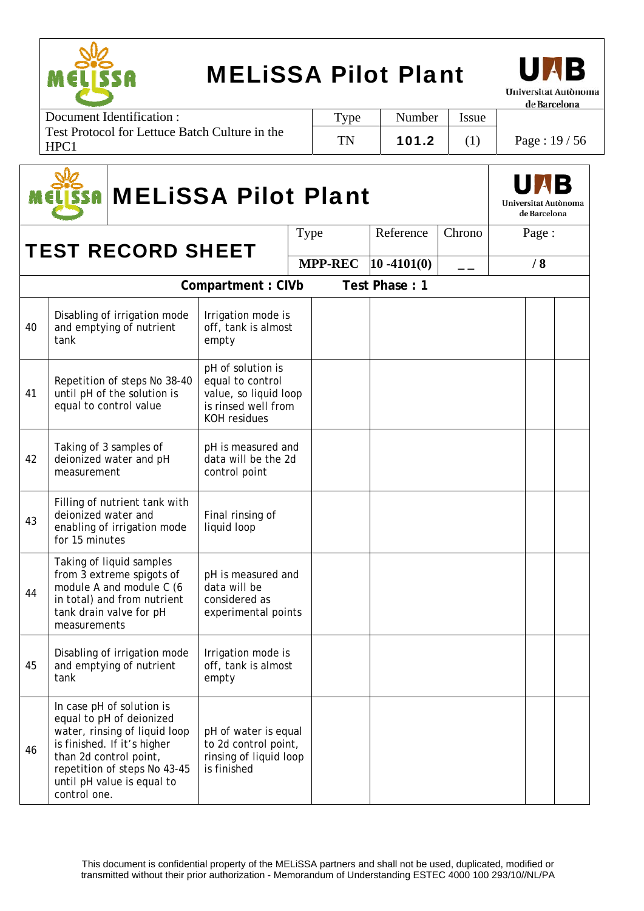



de Barcelona

| Document Identification:                               | Type | Number | <i>ssue</i> |               |
|--------------------------------------------------------|------|--------|-------------|---------------|
| Test Protocol for Lettuce Batch Culture in the<br>HPC1 | TN   | 101.2  |             | Page: $19/56$ |

|    | <b>MELISSA Pilot Plant</b><br><b>SSA</b> |                                                                                                                                                                                     |                                                                                                              |      |                | Universitat Autònoma<br>de Barcelona |        |  |       |  |  |
|----|------------------------------------------|-------------------------------------------------------------------------------------------------------------------------------------------------------------------------------------|--------------------------------------------------------------------------------------------------------------|------|----------------|--------------------------------------|--------|--|-------|--|--|
|    |                                          | <b>TEST RECORD SHEET</b>                                                                                                                                                            |                                                                                                              | Type |                | Reference                            | Chrono |  | Page: |  |  |
|    |                                          |                                                                                                                                                                                     |                                                                                                              |      | <b>MPP-REC</b> | $ 10 - 4101(0) $                     | $ -$   |  | /8    |  |  |
|    |                                          |                                                                                                                                                                                     | Compartment: CIVb                                                                                            |      |                | Test Phase: 1                        |        |  |       |  |  |
| 40 | tank                                     | Disabling of irrigation mode<br>and emptying of nutrient                                                                                                                            | Irrigation mode is<br>off, tank is almost<br>empty                                                           |      |                |                                      |        |  |       |  |  |
| 41 |                                          | Repetition of steps No 38-40<br>until pH of the solution is<br>equal to control value                                                                                               | pH of solution is<br>equal to control<br>value, so liquid loop<br>is rinsed well from<br><b>KOH</b> residues |      |                |                                      |        |  |       |  |  |
| 42 | measurement                              | Taking of 3 samples of<br>deionized water and pH                                                                                                                                    | pH is measured and<br>data will be the 2d<br>control point                                                   |      |                |                                      |        |  |       |  |  |
| 43 | deionized water and<br>for 15 minutes    | Filling of nutrient tank with<br>enabling of irrigation mode                                                                                                                        | Final rinsing of<br>liquid loop                                                                              |      |                |                                      |        |  |       |  |  |
| 44 | measurements                             | Taking of liquid samples<br>from 3 extreme spigots of<br>module A and module C (6<br>in total) and from nutrient<br>tank drain valve for pH                                         | pH is measured and<br>data will be<br>considered as<br>experimental points                                   |      |                |                                      |        |  |       |  |  |
| 45 | tank                                     | Disabling of irrigation mode<br>and emptying of nutrient                                                                                                                            | Irrigation mode is<br>off, tank is almost<br>empty                                                           |      |                |                                      |        |  |       |  |  |
| 46 | than 2d control point,<br>control one.   | In case pH of solution is<br>equal to pH of deionized<br>water, rinsing of liquid loop<br>is finished. If it's higher<br>repetition of steps No 43-45<br>until pH value is equal to | pH of water is equal<br>to 2d control point,<br>rinsing of liquid loop<br>is finished                        |      |                |                                      |        |  |       |  |  |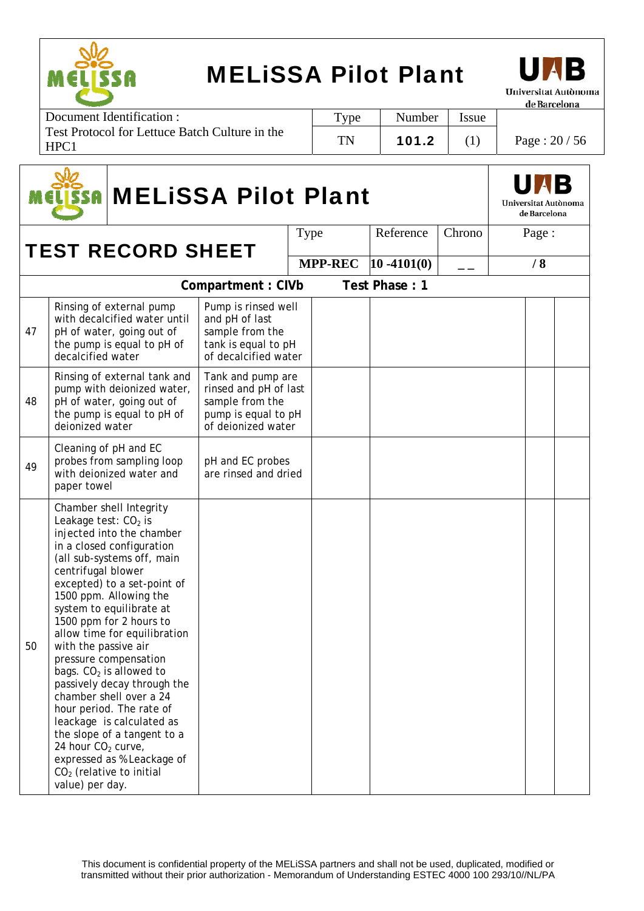



| Document Identification :                                          | Type | Number | tssue |               |
|--------------------------------------------------------------------|------|--------|-------|---------------|
| Test Protocol for Lettuce Batch Culture in the<br>HPC <sub>1</sub> | TN   | 101.2  |       | Page: $20/56$ |

|    | <b>MELISSA Pilot Plant</b><br>SSA                                                                                                   |                                                                                                                                                                                                                                                                                                                                                                                                                                                                                                                                     |                                                                                                            |                | Universitat Autònoma<br>de Barcelona |        |       |  |
|----|-------------------------------------------------------------------------------------------------------------------------------------|-------------------------------------------------------------------------------------------------------------------------------------------------------------------------------------------------------------------------------------------------------------------------------------------------------------------------------------------------------------------------------------------------------------------------------------------------------------------------------------------------------------------------------------|------------------------------------------------------------------------------------------------------------|----------------|--------------------------------------|--------|-------|--|
|    |                                                                                                                                     |                                                                                                                                                                                                                                                                                                                                                                                                                                                                                                                                     |                                                                                                            | Type           | Reference                            | Chrono | Page: |  |
|    | <b>TEST RECORD SHEET</b>                                                                                                            |                                                                                                                                                                                                                                                                                                                                                                                                                                                                                                                                     |                                                                                                            | <b>MPP-REC</b> | $10 - 4101(0)$                       | — —    | /8    |  |
|    |                                                                                                                                     |                                                                                                                                                                                                                                                                                                                                                                                                                                                                                                                                     | Compartment: CIVb                                                                                          |                | Test Phase: 1                        |        |       |  |
| 47 | decalcified water                                                                                                                   | Rinsing of external pump<br>with decalcified water until<br>pH of water, going out of<br>the pump is equal to pH of                                                                                                                                                                                                                                                                                                                                                                                                                 | Pump is rinsed well<br>and pH of last<br>sample from the<br>tank is equal to pH<br>of decalcified water    |                |                                      |        |       |  |
| 48 | deionized water                                                                                                                     | Rinsing of external tank and<br>pump with deionized water,<br>pH of water, going out of<br>the pump is equal to pH of                                                                                                                                                                                                                                                                                                                                                                                                               | Tank and pump are<br>rinsed and pH of last<br>sample from the<br>pump is equal to pH<br>of deionized water |                |                                      |        |       |  |
| 49 | paper towel                                                                                                                         | Cleaning of pH and EC<br>probes from sampling loop<br>with deionized water and                                                                                                                                                                                                                                                                                                                                                                                                                                                      | pH and EC probes<br>are rinsed and dried                                                                   |                |                                      |        |       |  |
| 50 | Leakage test: CO <sub>2</sub> is<br>centrifugal blower<br>with the passive air<br>24 hour CO <sub>2</sub> curve,<br>value) per day. | Chamber shell Integrity<br>injected into the chamber<br>in a closed configuration<br>(all sub-systems off, main<br>excepted) to a set-point of<br>1500 ppm. Allowing the<br>system to equilibrate at<br>1500 ppm for 2 hours to<br>allow time for equilibration<br>pressure compensation<br>bags. $CO2$ is allowed to<br>passively decay through the<br>chamber shell over a 24<br>hour period. The rate of<br>leackage is calculated as<br>the slope of a tangent to a<br>expressed as % Leackage of<br>$CO2$ (relative to initial |                                                                                                            |                |                                      |        |       |  |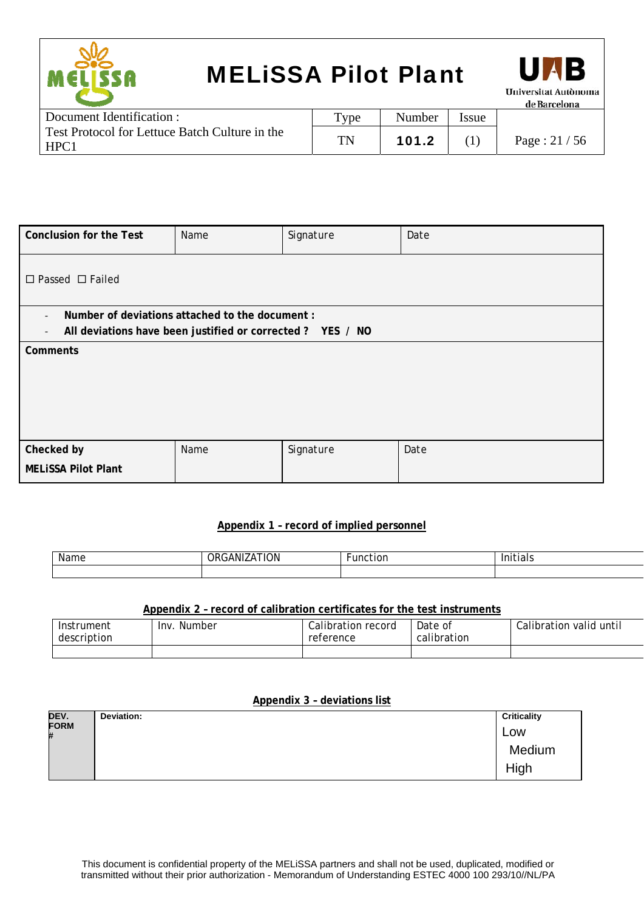



| Document Identification :                              | Type | Number | <b>Issue</b> |                |
|--------------------------------------------------------|------|--------|--------------|----------------|
| Test Protocol for Lettuce Batch Culture in the<br>HPC1 | TN   | 101.2  |              | Page : $21/56$ |

| <b>Conclusion for the Test</b>                                                         | Name | Signature | Date |
|----------------------------------------------------------------------------------------|------|-----------|------|
| $\Box$ Passed $\Box$ Failed                                                            |      |           |      |
| Number of deviations attached to the document :<br>$\overline{\phantom{a}}$            |      |           |      |
| All deviations have been justified or corrected ? YES / NO<br>$\overline{\phantom{a}}$ |      |           |      |
| Comments                                                                               |      |           |      |
| Checked by                                                                             | Name | Signature | Date |
| <b>MELISSA Pilot Plant</b>                                                             |      |           |      |

#### **Appendix 1 – record of implied personnel**

| . .<br>Name | . <b>.</b><br>$\sim$ $\sim$<br>וטר<br>Ж | .<br>-- |
|-------------|-----------------------------------------|---------|
|             |                                         |         |

#### **Appendix 2 – record of calibration certificates for the test instruments**

| Instrument  | Inv.   | Calibration record | Date of     | Calibration valid until |
|-------------|--------|--------------------|-------------|-------------------------|
| description | Number | reference          | calibration |                         |
|             |        |                    |             |                         |

#### **Appendix 3 – deviations list**

| DEV.             | Deviation: | <b>Criticality</b> |
|------------------|------------|--------------------|
| <b>FORM</b><br># |            | Low                |
|                  |            | Medium             |
|                  |            | High               |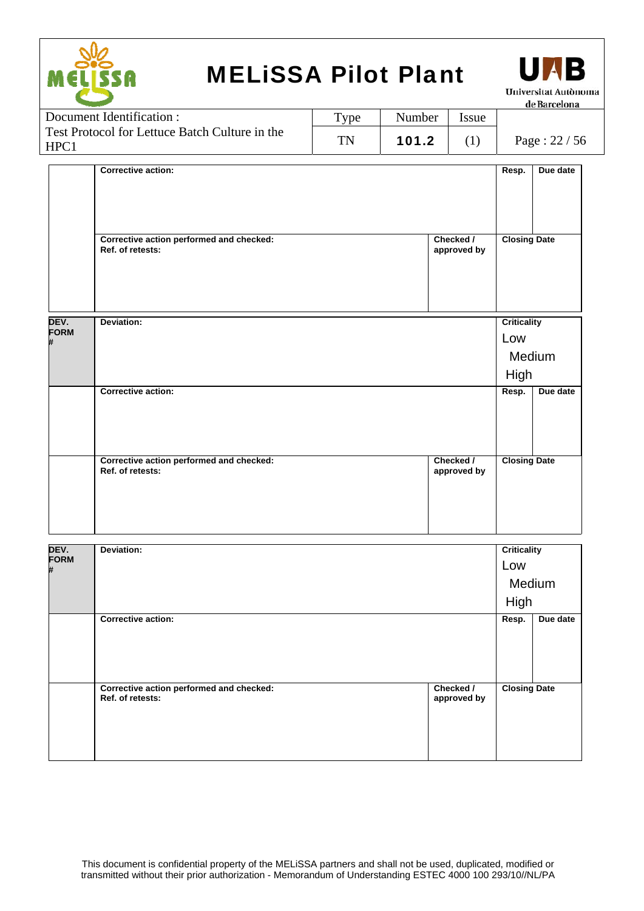| EL<br>T<br>● |
|--------------|



| Document Identification :                              | $TV$ pe | Number | <i>Issue</i> |               |
|--------------------------------------------------------|---------|--------|--------------|---------------|
| Test Protocol for Lettuce Batch Culture in the<br>HPC1 | TN      | 101.2  |              | Page: $22/56$ |

|                          | <b>Corrective action:</b>                                    |                          | Resp.                      | Due date |
|--------------------------|--------------------------------------------------------------|--------------------------|----------------------------|----------|
|                          | Corrective action performed and checked:<br>Ref. of retests: | Checked /<br>approved by | <b>Closing Date</b>        |          |
| DEV.<br><b>FORM</b><br># | Deviation:                                                   |                          | Criticality<br>Low<br>High | Medium   |
|                          | <b>Corrective action:</b>                                    |                          | Resp.                      | Due date |
|                          | Corrective action performed and checked:<br>Ref. of retests: | Checked /<br>approved by | <b>Closing Date</b>        |          |

| DEV.<br><b>FORM</b><br># | Deviation:                                                   |                          | <b>Criticality</b><br>Low<br>Medium<br>High |          |
|--------------------------|--------------------------------------------------------------|--------------------------|---------------------------------------------|----------|
|                          | <b>Corrective action:</b>                                    |                          | Resp.                                       | Due date |
|                          | Corrective action performed and checked:<br>Ref. of retests: | Checked /<br>approved by | <b>Closing Date</b>                         |          |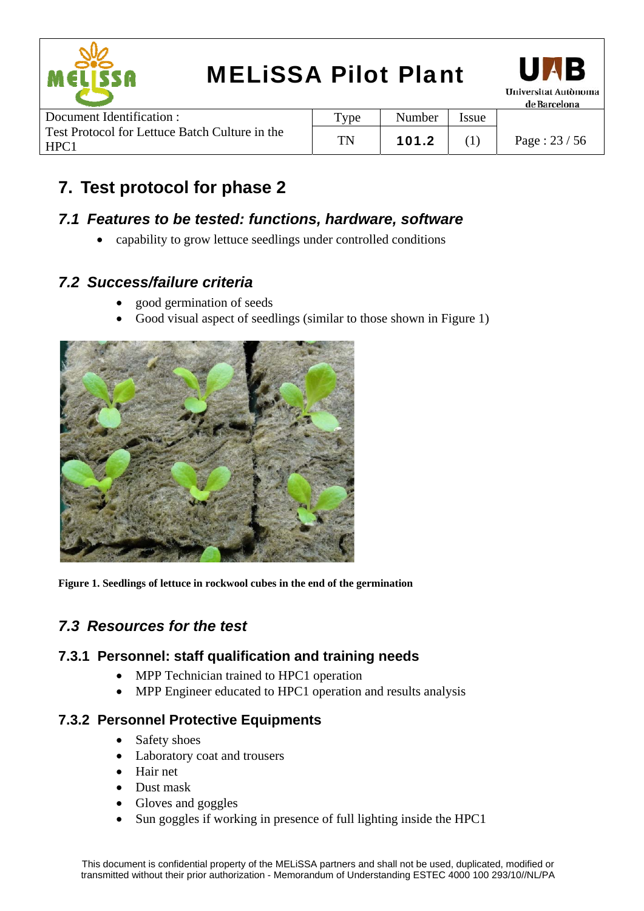



| Number | Issue |               |
|--------|-------|---------------|
| 101.2  |       | Page: $23/56$ |
|        |       |               |

### **7. Test protocol for phase 2**

#### *7.1 Features to be tested: functions, hardware, software*

capability to grow lettuce seedlings under controlled conditions

#### *7.2 Success/failure criteria*

- good germination of seeds
- Good visual aspect of seedlings (similar to those shown in Figure 1)



**Figure 1. Seedlings of lettuce in rockwool cubes in the end of the germination** 

### *7.3 Resources for the test*

#### **7.3.1 Personnel: staff qualification and training needs**

- MPP Technician trained to HPC1 operation
- MPP Engineer educated to HPC1 operation and results analysis

#### **7.3.2 Personnel Protective Equipments**

- Safety shoes
- Laboratory coat and trousers
- Hair net
- Dust mask
- Gloves and goggles
- Sun goggles if working in presence of full lighting inside the HPC1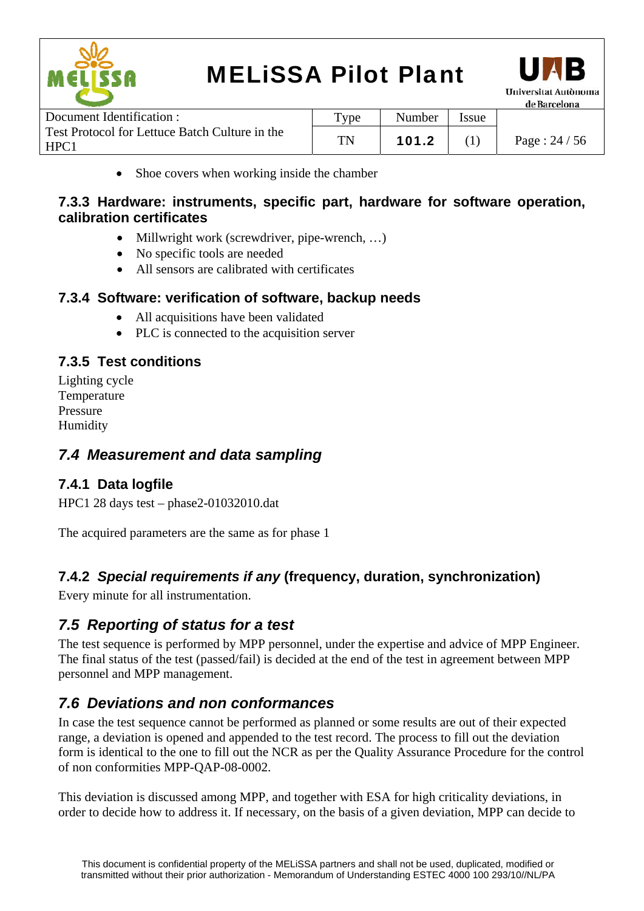



| Document Identification :                              | $T$ ype | Number | <b>Issue</b> |                  |
|--------------------------------------------------------|---------|--------|--------------|------------------|
| Test Protocol for Lettuce Batch Culture in the<br>HPC1 | TN      | 101.2  |              | Page : $24 / 56$ |

• Shoe covers when working inside the chamber

#### **7.3.3 Hardware: instruments, specific part, hardware for software operation, calibration certificates**

- Millwright work (screwdriver, pipe-wrench, ...)
- No specific tools are needed
- All sensors are calibrated with certificates

#### **7.3.4 Software: verification of software, backup needs**

- All acquisitions have been validated
- PLC is connected to the acquisition server

#### **7.3.5 Test conditions**

Lighting cycle Temperature Pressure Humidity

#### *7.4 Measurement and data sampling*

#### **7.4.1 Data logfile**

HPC1 28 days test – phase2-01032010.dat

The acquired parameters are the same as for phase 1

#### **7.4.2** *Special requirements if any* **(frequency, duration, synchronization)**

Every minute for all instrumentation.

### *7.5 Reporting of status for a test*

The test sequence is performed by MPP personnel, under the expertise and advice of MPP Engineer. The final status of the test (passed/fail) is decided at the end of the test in agreement between MPP personnel and MPP management.

#### *7.6 Deviations and non conformances*

In case the test sequence cannot be performed as planned or some results are out of their expected range, a deviation is opened and appended to the test record. The process to fill out the deviation form is identical to the one to fill out the NCR as per the Quality Assurance Procedure for the control of non conformities MPP-QAP-08-0002.

This deviation is discussed among MPP, and together with ESA for high criticality deviations, in order to decide how to address it. If necessary, on the basis of a given deviation, MPP can decide to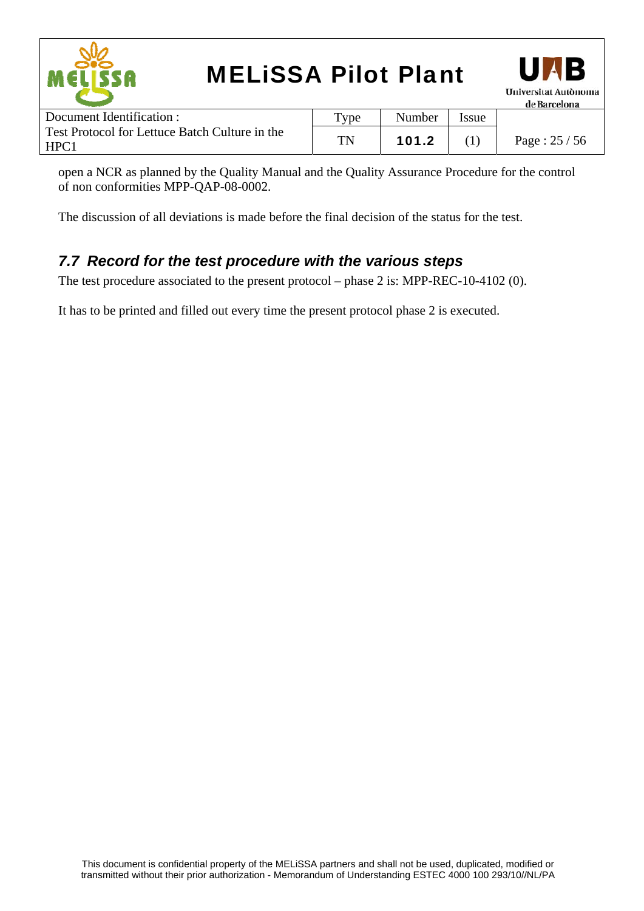

open a NCR as planned by the Quality Manual and the Quality Assurance Procedure for the control of non conformities MPP-QAP-08-0002.

The discussion of all deviations is made before the final decision of the status for the test.

#### *7.7 Record for the test procedure with the various steps*

The test procedure associated to the present protocol – phase 2 is: MPP-REC-10-4102 (0).

It has to be printed and filled out every time the present protocol phase 2 is executed.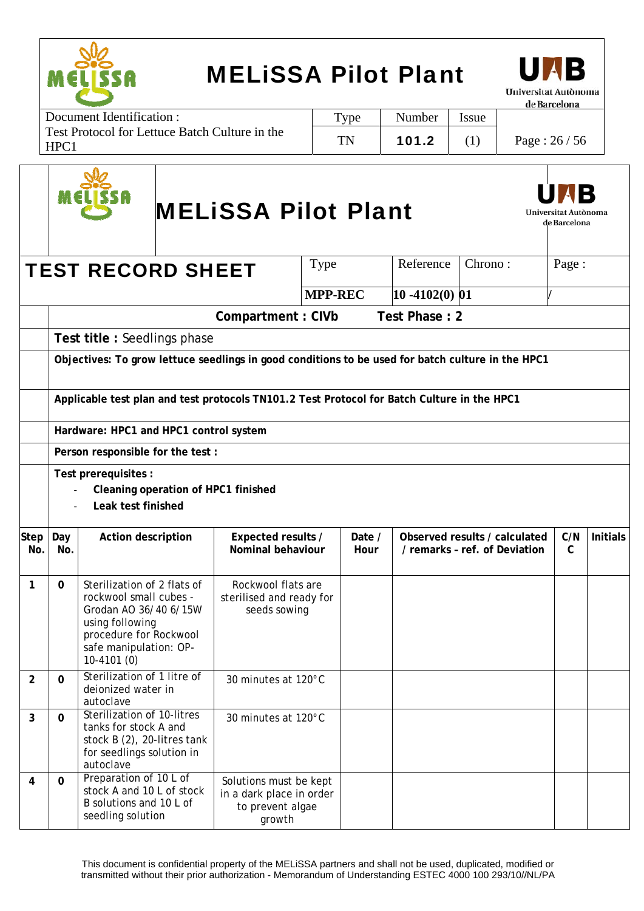



Document Identification : Test Protocol for Lettuce Batch Culture in the HPC1 Type | Number | Issue TN | 101.2 | (1) | Page :  $26/56$ 

|                    |              |                                                                                                                                                                                                  | <b>MELISSA Pilot Plant</b>                                                       |                |                   |                                                                | Universitat Autònoma<br>de Barcelona |                 |
|--------------------|--------------|--------------------------------------------------------------------------------------------------------------------------------------------------------------------------------------------------|----------------------------------------------------------------------------------|----------------|-------------------|----------------------------------------------------------------|--------------------------------------|-----------------|
|                    |              | <b>TEST RECORD SHEET</b>                                                                                                                                                                         | Type                                                                             |                | Reference         | Chrono:                                                        | Page:                                |                 |
|                    |              |                                                                                                                                                                                                  | <b>MPP-REC</b>                                                                   |                | $10 - 4102(0)$ 01 |                                                                |                                      |                 |
|                    |              |                                                                                                                                                                                                  | Compartment: CIVb                                                                |                | Test Phase: 2     |                                                                |                                      |                 |
|                    |              | Test title: Seedlings phase                                                                                                                                                                      |                                                                                  |                |                   |                                                                |                                      |                 |
|                    |              | Objectives: To grow lettuce seedlings in good conditions to be used for batch culture in the HPC1<br>Applicable test plan and test protocols TN101.2 Test Protocol for Batch Culture in the HPC1 |                                                                                  |                |                   |                                                                |                                      |                 |
|                    |              | Hardware: HPC1 and HPC1 control system                                                                                                                                                           |                                                                                  |                |                   |                                                                |                                      |                 |
|                    |              | Person responsible for the test :                                                                                                                                                                |                                                                                  |                |                   |                                                                |                                      |                 |
|                    |              | Test prerequisites :<br>Cleaning operation of HPC1 finished<br>Leak test finished                                                                                                                |                                                                                  |                |                   |                                                                |                                      |                 |
| <b>Step</b><br>No. | Day<br>No.   | Action description                                                                                                                                                                               | Expected results /<br>Nominal behaviour                                          | Date /<br>Hour |                   | Observed results / calculated<br>/ remarks - ref. of Deviation | C/N<br>$\mathcal{C}$                 | <b>Initials</b> |
| $\mathbf{1}$       | $\mathbf{0}$ | Sterilization of 2 flats of<br>rockwool small cubes -<br>Grodan AO 36/40 6/15W<br>using following<br>procedure for Rockwool<br>safe manipulation: OP-<br>$10-4101(0)$                            | Rockwool flats are<br>sterilised and ready for<br>seeds sowing                   |                |                   |                                                                |                                      |                 |
| $\overline{2}$     | $\mathbf 0$  | Sterilization of 1 litre of<br>deionized water in<br>autoclave                                                                                                                                   | 30 minutes at 120°C                                                              |                |                   |                                                                |                                      |                 |
| 3                  | 0            | Sterilization of 10-litres<br>tanks for stock A and<br>stock B (2), 20-litres tank<br>for seedlings solution in<br>autoclave                                                                     | 30 minutes at 120°C                                                              |                |                   |                                                                |                                      |                 |
| 4                  | 0            | Preparation of 10 L of<br>stock A and 10 L of stock<br>B solutions and 10 L of<br>seedling solution                                                                                              | Solutions must be kept<br>in a dark place in order<br>to prevent algae<br>growth |                |                   |                                                                |                                      |                 |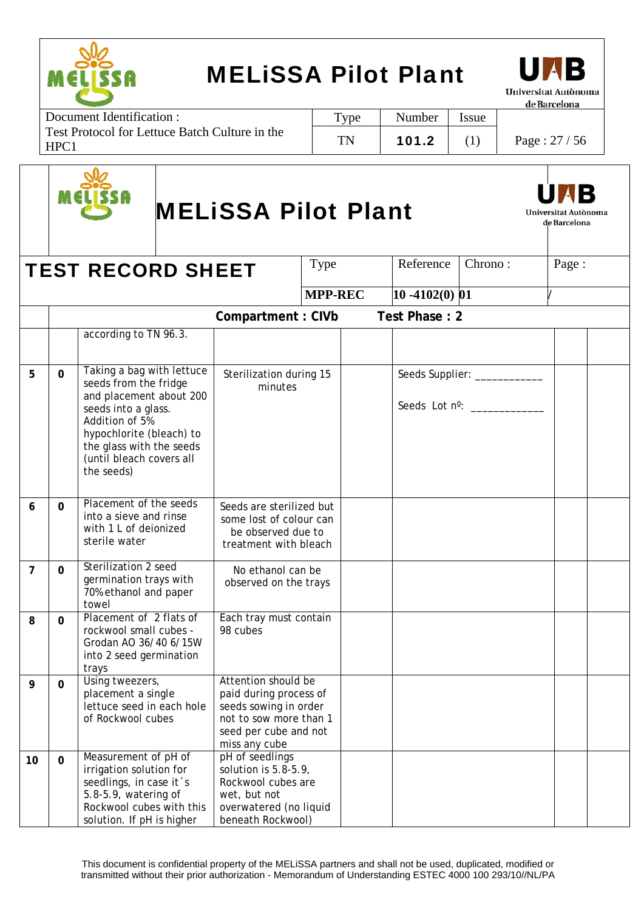



Document Identification : Test Protocol for Lettuce Batch Culture in the HPC1 Type | Number | Issue TN | 101.2 | (1) | Page :  $27 / 56$ 



# MELiSSA Pilot Plant



|                |              | <b>TEST RECORD SHEET</b>                                                                                                                                                                                                 |                                                                                                                                            | <b>Type</b>    | Reference         | Chrono:                                                | Page: |  |
|----------------|--------------|--------------------------------------------------------------------------------------------------------------------------------------------------------------------------------------------------------------------------|--------------------------------------------------------------------------------------------------------------------------------------------|----------------|-------------------|--------------------------------------------------------|-------|--|
|                |              |                                                                                                                                                                                                                          |                                                                                                                                            | <b>MPP-REC</b> | $10 - 4102(0)$ 01 |                                                        |       |  |
|                |              |                                                                                                                                                                                                                          | Compartment: CIVb                                                                                                                          |                | Test Phase: 2     |                                                        |       |  |
|                |              | according to TN 96.3.                                                                                                                                                                                                    |                                                                                                                                            |                |                   |                                                        |       |  |
| 5              | 0            | Taking a bag with lettuce<br>seeds from the fridge<br>and placement about 200<br>seeds into a glass.<br>Addition of 5%<br>hypochlorite (bleach) to<br>the glass with the seeds<br>(until bleach covers all<br>the seeds) | Sterilization during 15<br>minutes                                                                                                         |                |                   | Seeds Supplier: __________<br>Seeds Lot n°: __________ |       |  |
| 6              | $\mathbf 0$  | Placement of the seeds<br>into a sieve and rinse<br>with 1 L of deionized<br>sterile water                                                                                                                               | Seeds are sterilized but<br>some lost of colour can<br>be observed due to<br>treatment with bleach                                         |                |                   |                                                        |       |  |
| $\overline{7}$ | $\mathbf{0}$ | Sterilization 2 seed<br>germination trays with<br>70% ethanol and paper<br>towel                                                                                                                                         | No ethanol can be<br>observed on the trays                                                                                                 |                |                   |                                                        |       |  |
| 8              | $\mathbf{0}$ | Placement of 2 flats of<br>rockwool small cubes -<br>Grodan AO 36/40 6/15W<br>into 2 seed germination<br>trays                                                                                                           | Each tray must contain<br>98 cubes                                                                                                         |                |                   |                                                        |       |  |
| 9              | $\mathbf 0$  | Using tweezers,<br>placement a single<br>lettuce seed in each hole<br>of Rockwool cubes                                                                                                                                  | Attention should be<br>paid during process of<br>seeds sowing in order<br>not to sow more than 1<br>seed per cube and not<br>miss any cube |                |                   |                                                        |       |  |
| 10             | $\mathbf 0$  | Measurement of pH of<br>irrigation solution for<br>seedlings, in case it's<br>5.8-5.9, watering of<br>Rockwool cubes with this<br>solution. If pH is higher                                                              | pH of seedlings<br>solution is $5.8-5.9$ ,<br>Rockwool cubes are<br>wet, but not<br>overwatered (no liquid<br>beneath Rockwool)            |                |                   |                                                        |       |  |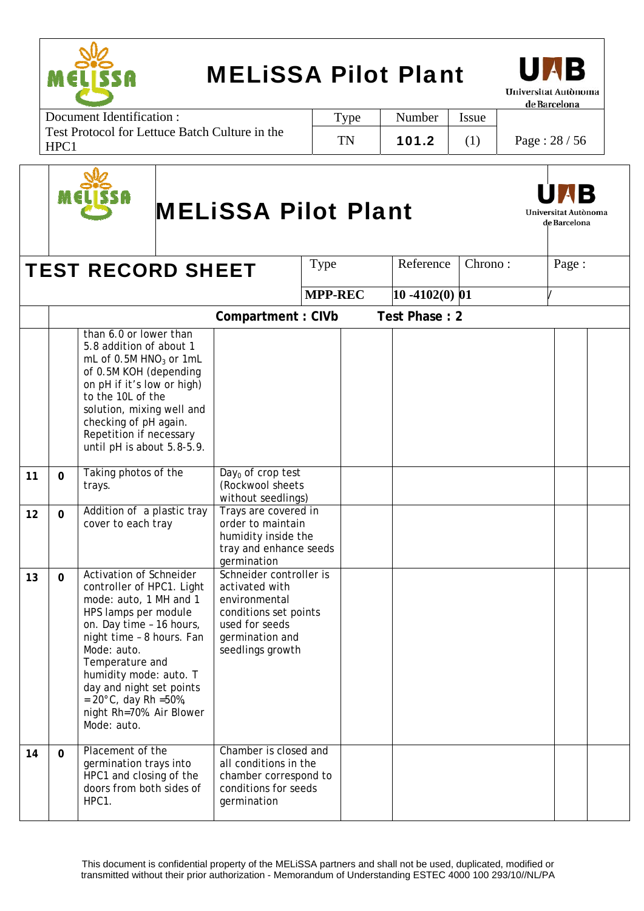

Document Identification : Test Protocol for Lettuce Batch Culture in the HPC1 Type | Number | Issue TN | 101.2 | (1) | Page :  $28 / 56$ 



# MELiSSA Pilot Plant



de Barcelona

**TEST RECORD SHEET**  $|$  Type  $|$  Reference  $|$  Chrono :  $|$  Page : **MPP-REC** 10 -4102(0) 01 **Compartment : CIVb Test Phase : 2**  than 6.0 or lower than 5.8 addition of about 1 mL of  $0.5M$  HNO<sub>3</sub> or 1mL of 0.5M KOH (depending on pH if it's low or high) to the 10L of the solution, mixing well and checking of pH again. Repetition if necessary until pH is about 5.8-5.9. **11 0** Taking photos of the trays.  $Day<sub>0</sub>$  of crop test (Rockwool sheets without seedlings) 12 0 Addition of a plastic tray cover to each tray Trays are covered in order to maintain humidity inside the tray and enhance seeds germination 13 0 Activation of Schneider controller of HPC1. Light mode: auto, 1 MH and 1 HPS lamps per module on. Day time – 16 hours, night time – 8 hours. Fan Mode: auto. Temperature and humidity mode: auto. T day and night set points  $= 20^{\circ}$ C, day Rh =50%, night Rh=70%. Air Blower Mode: auto. Schneider controller is activated with environmental conditions set points used for seeds germination and seedlings growth **14 0** Placement of the germination trays into HPC1 and closing of the doors from both sides of HPC1. Chamber is closed and all conditions in the chamber correspond to conditions for seeds germination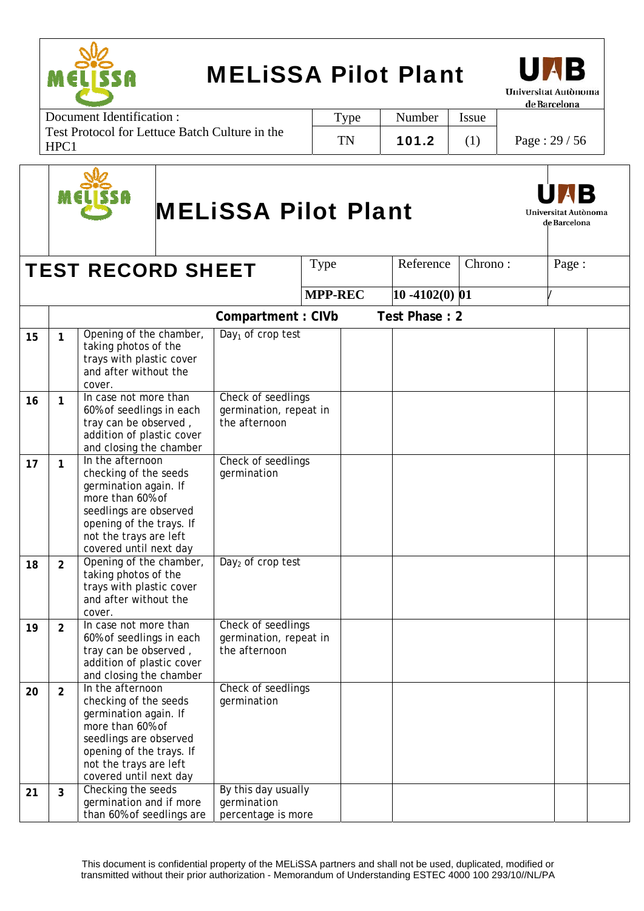

Document Identification : Test Protocol for Lettuce Batch Culture in the HPC1 Type | Number | Issue TN | 101.2 | (1) | Page :  $29/56$ 



# MELiSSA Pilot Plant



de Barcelona

**TEST RECORD SHEET**  $|$  Type  $|$  Reference  $|$  Chrono :  $|$  Page : **MPP-REC** 10 -4102(0) 01 **Compartment : CIVb Test Phase : 2**  15 1 **Opening of the chamber,** taking photos of the trays with plastic cover and after without the cover. Day<sub>1</sub> of crop test 16 | 1 | In case not more than 60% of seedlings in each tray can be observed , addition of plastic cover and closing the chamber Check of seedlings germination, repeat in the afternoon **17** 1 In the afternoon checking of the seeds germination again. If more than 60% of seedlings are observed opening of the trays. If not the trays are left covered until next day Check of seedlings germination 18 2 Opening of the chamber, taking photos of the trays with plastic cover and after without the cover. Day<sub>2</sub> of crop test **19 2** In case not more than 60% of seedlings in each tray can be observed , addition of plastic cover and closing the chamber Check of seedlings germination, repeat in the afternoon **20 2** In the afternoon checking of the seeds germination again. If more than 60% of seedlings are observed opening of the trays. If not the trays are left covered until next day Check of seedlings germination 21 3 Checking the seeds germination and if more than 60% of seedlings are By this day usually germination percentage is more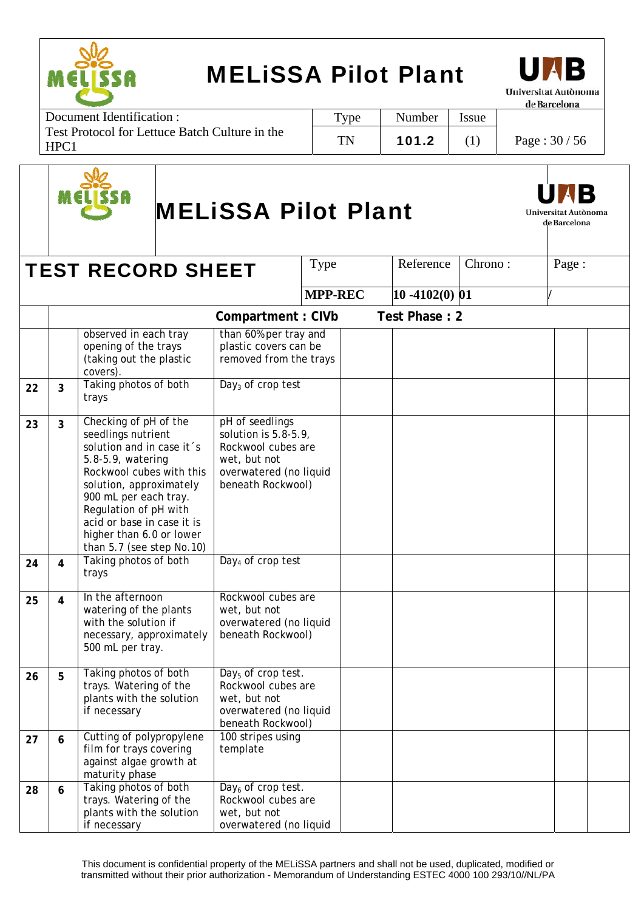

Document Identification : Test Protocol for Lettuce Batch Culture in the HPC1 Type | Number | Issue TN | 101.2 | (1) | Page :  $30/56$ 



# MELiSSA Pilot Plant



|    |                         | <b>TEST RECORD SHEET</b>                                                                                                                                                                                                                                                                      |                                                                                                                                 | Type           | Reference         | Chrono: | Page: |  |
|----|-------------------------|-----------------------------------------------------------------------------------------------------------------------------------------------------------------------------------------------------------------------------------------------------------------------------------------------|---------------------------------------------------------------------------------------------------------------------------------|----------------|-------------------|---------|-------|--|
|    |                         |                                                                                                                                                                                                                                                                                               |                                                                                                                                 | <b>MPP-REC</b> | $10 - 4102(0)$ 01 |         |       |  |
|    |                         |                                                                                                                                                                                                                                                                                               | Compartment: CIVb                                                                                                               |                | Test Phase: 2     |         |       |  |
| 22 | 3                       | observed in each tray<br>opening of the trays<br>(taking out the plastic<br>covers).<br>Taking photos of both                                                                                                                                                                                 | than 60% per tray and<br>plastic covers can be<br>removed from the trays<br>Day <sub>3</sub> of crop test                       |                |                   |         |       |  |
|    |                         | trays                                                                                                                                                                                                                                                                                         |                                                                                                                                 |                |                   |         |       |  |
| 23 | $\overline{3}$          | Checking of pH of the<br>seedlings nutrient<br>solution and in case it's<br>5.8-5.9, watering<br>Rockwool cubes with this<br>solution, approximately<br>900 mL per each tray.<br>Regulation of pH with<br>acid or base in case it is<br>higher than 6.0 or lower<br>than 5.7 (see step No.10) | pH of seedlings<br>solution is $5.8-5.9$ ,<br>Rockwool cubes are<br>wet, but not<br>overwatered (no liquid<br>beneath Rockwool) |                |                   |         |       |  |
| 24 | 4                       | Taking photos of both<br>trays                                                                                                                                                                                                                                                                | Day <sub>4</sub> of crop test                                                                                                   |                |                   |         |       |  |
| 25 | $\overline{\mathbf{4}}$ | In the afternoon<br>watering of the plants<br>with the solution if<br>necessary, approximately<br>500 mL per tray.                                                                                                                                                                            | Rockwool cubes are<br>wet, but not<br>overwatered (no liquid<br>beneath Rockwool)                                               |                |                   |         |       |  |
| 26 | 5                       | Taking photos of both<br>trays. Watering of the<br>plants with the solution<br>if necessary                                                                                                                                                                                                   | Day <sub>5</sub> of crop test.<br>Rockwool cubes are<br>wet, but not<br>overwatered (no liquid<br>beneath Rockwool)             |                |                   |         |       |  |
| 27 | 6                       | Cutting of polypropylene<br>film for trays covering<br>against algae growth at<br>maturity phase                                                                                                                                                                                              | 100 stripes using<br>template                                                                                                   |                |                   |         |       |  |
| 28 | 6                       | Taking photos of both<br>trays. Watering of the<br>plants with the solution<br>if necessary                                                                                                                                                                                                   | Day <sub>6</sub> of crop test.<br>Rockwool cubes are<br>wet, but not<br>overwatered (no liquid                                  |                |                   |         |       |  |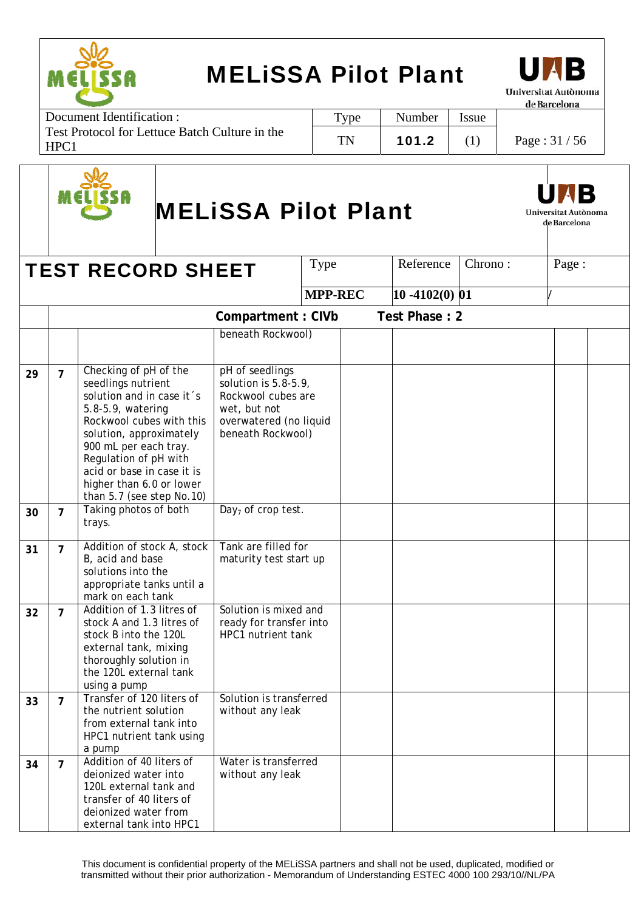



Document Identification : Test Protocol for Lettuce Batch Culture in the HPC1 Type | Number | Issue TN | 101.2 | (1) | Page :  $31 / 56$ 



# MELiSSA Pilot Plant



Universitat Autònoma de Barcelona

|    |                | <b>TEST RECORD SHEET</b>                                                                                                                                                                                                                                                                      |                                                                                                                                 | Type           | Reference         | Chrono: | Page: |  |
|----|----------------|-----------------------------------------------------------------------------------------------------------------------------------------------------------------------------------------------------------------------------------------------------------------------------------------------|---------------------------------------------------------------------------------------------------------------------------------|----------------|-------------------|---------|-------|--|
|    |                |                                                                                                                                                                                                                                                                                               |                                                                                                                                 | <b>MPP-REC</b> | $10 - 4102(0)$ 01 |         |       |  |
|    |                |                                                                                                                                                                                                                                                                                               | Compartment: CIVb                                                                                                               |                | Test Phase: 2     |         |       |  |
|    |                |                                                                                                                                                                                                                                                                                               | beneath Rockwool)                                                                                                               |                |                   |         |       |  |
| 29 | $\overline{7}$ | Checking of pH of the<br>seedlings nutrient<br>solution and in case it's<br>5.8-5.9, watering<br>Rockwool cubes with this<br>solution, approximately<br>900 mL per each tray.<br>Regulation of pH with<br>acid or base in case it is<br>higher than 6.0 or lower<br>than 5.7 (see step No.10) | pH of seedlings<br>solution is $5.8-5.9$ ,<br>Rockwool cubes are<br>wet, but not<br>overwatered (no liquid<br>beneath Rockwool) |                |                   |         |       |  |
| 30 | $\overline{7}$ | Taking photos of both<br>trays.                                                                                                                                                                                                                                                               | $\overline{Day_7}$ of crop test.                                                                                                |                |                   |         |       |  |
| 31 | $\overline{7}$ | Addition of stock A, stock<br>B, acid and base<br>solutions into the<br>appropriate tanks until a<br>mark on each tank                                                                                                                                                                        | Tank are filled for<br>maturity test start up                                                                                   |                |                   |         |       |  |
| 32 | $\overline{7}$ | Addition of 1.3 litres of<br>stock A and 1.3 litres of<br>stock B into the 120L<br>external tank, mixing<br>thoroughly solution in<br>the 120L external tank<br>using a pump                                                                                                                  | Solution is mixed and<br>ready for transfer into<br>HPC1 nutrient tank                                                          |                |                   |         |       |  |
| 33 | $\overline{7}$ | Transfer of 120 liters of<br>the nutrient solution<br>from external tank into<br>HPC1 nutrient tank using<br>a pump                                                                                                                                                                           | Solution is transferred<br>without any leak                                                                                     |                |                   |         |       |  |
| 34 | $\overline{7}$ | Addition of 40 liters of<br>deionized water into<br>120L external tank and<br>transfer of 40 liters of<br>deionized water from<br>external tank into HPC1                                                                                                                                     | Water is transferred<br>without any leak                                                                                        |                |                   |         |       |  |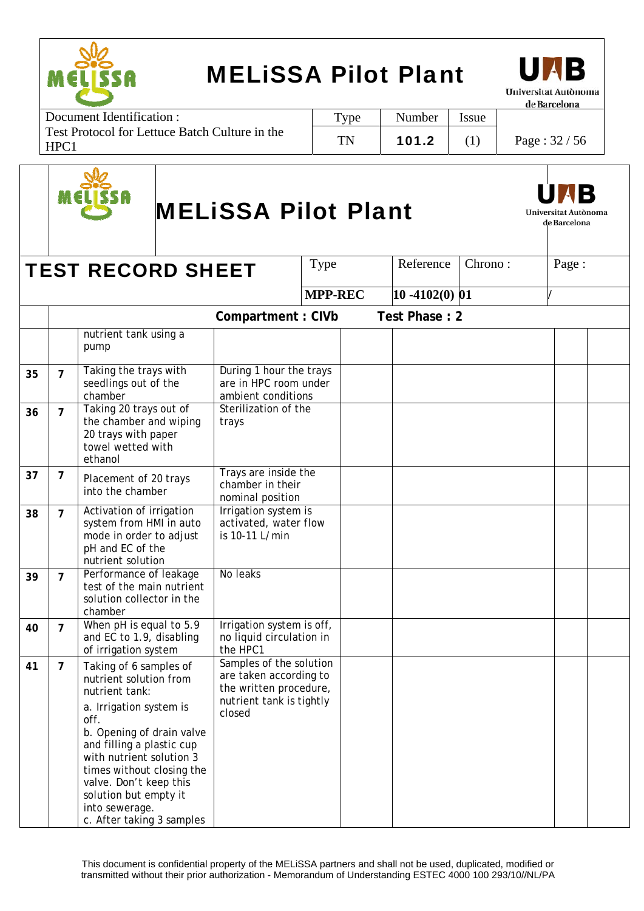



Document Identification : Test Protocol for Lettuce Batch Culture in the HPC1 Type | Number | Issue TN | 101.2 | (1) | Page :  $32 / 56$ 



# MELiSSA Pilot Plant



Universitat Autònoma de Barcelona

|    |                | <b>TEST RECORD SHEET</b>                                                                                                                                                                                                                             |                                                                             | Type           | Reference         | Chrono: | Page: |  |
|----|----------------|------------------------------------------------------------------------------------------------------------------------------------------------------------------------------------------------------------------------------------------------------|-----------------------------------------------------------------------------|----------------|-------------------|---------|-------|--|
|    |                |                                                                                                                                                                                                                                                      |                                                                             | <b>MPP-REC</b> | $10 - 4102(0)$ 01 |         |       |  |
|    |                |                                                                                                                                                                                                                                                      | Compartment: CIVb                                                           |                | Test Phase: 2     |         |       |  |
|    |                | nutrient tank using a<br>pump                                                                                                                                                                                                                        |                                                                             |                |                   |         |       |  |
| 35 | $\overline{7}$ | Taking the trays with<br>seedlings out of the<br>chamber                                                                                                                                                                                             | During 1 hour the trays<br>are in HPC room under<br>ambient conditions      |                |                   |         |       |  |
| 36 | $\overline{7}$ | Taking 20 trays out of<br>the chamber and wiping<br>20 trays with paper<br>towel wetted with<br>ethanol                                                                                                                                              | Sterilization of the<br>trays                                               |                |                   |         |       |  |
| 37 | 7              | Placement of 20 trays<br>into the chamber                                                                                                                                                                                                            | Trays are inside the<br>chamber in their<br>nominal position                |                |                   |         |       |  |
| 38 | $\overline{7}$ | Activation of irrigation<br>system from HMI in auto<br>mode in order to adjust<br>pH and EC of the<br>nutrient solution                                                                                                                              | Irrigation system is<br>activated, water flow<br>is 10-11 L/min             |                |                   |         |       |  |
| 39 | $\overline{7}$ | Performance of leakage<br>test of the main nutrient<br>solution collector in the<br>chamber                                                                                                                                                          | No leaks                                                                    |                |                   |         |       |  |
| 40 | $\overline{7}$ | When $\overline{p}$ H is equal to 5.9<br>and EC to 1.9, disabling<br>of irrigation system                                                                                                                                                            | Irrigation system is off,<br>no liquid circulation in<br>the HPC1           |                |                   |         |       |  |
| 41 | $\overline{7}$ | Taking of 6 samples of<br>nutrient solution from<br>nutrient tank:                                                                                                                                                                                   | Samples of the solution<br>are taken according to<br>the written procedure, |                |                   |         |       |  |
|    |                | a. Irrigation system is<br>off.<br>b. Opening of drain valve<br>and filling a plastic cup<br>with nutrient solution 3<br>times without closing the<br>valve. Don't keep this<br>solution but empty it<br>into sewerage.<br>c. After taking 3 samples | nutrient tank is tightly<br>closed                                          |                |                   |         |       |  |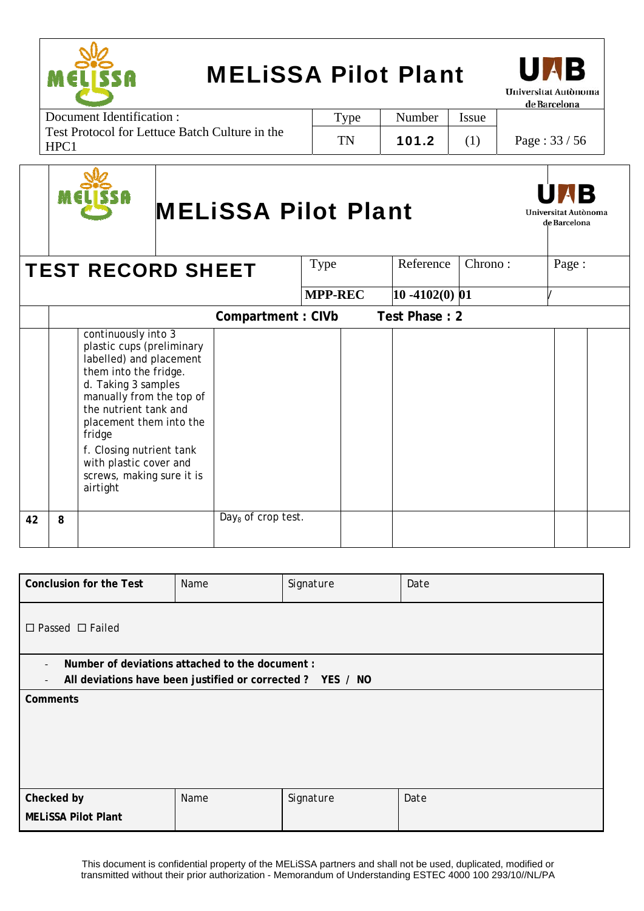



Document Identification : Test Protocol for Lettuce Batch Culture in the HPC1 Type | Number | Issue TN | 101.2 | (1) | Page :  $33 / 56$ 



# MELiSSA Pilot Plant



de Barcelona

|    |   | <b>TEST RECORD SHEET</b>                                                                                                                                                                                                                                                                                             |                      | Type           | Reference           | Chrono: | Page: |  |
|----|---|----------------------------------------------------------------------------------------------------------------------------------------------------------------------------------------------------------------------------------------------------------------------------------------------------------------------|----------------------|----------------|---------------------|---------|-------|--|
|    |   |                                                                                                                                                                                                                                                                                                                      |                      | <b>MPP-REC</b> | $ 10 - 4102(0)  01$ |         |       |  |
|    |   |                                                                                                                                                                                                                                                                                                                      | Compartment: CIVb    |                | Test Phase: 2       |         |       |  |
|    |   | continuously into 3<br>plastic cups (preliminary<br>labelled) and placement<br>them into the fridge.<br>d. Taking 3 samples<br>manually from the top of<br>the nutrient tank and<br>placement them into the<br>fridge<br>f. Closing nutrient tank<br>with plastic cover and<br>screws, making sure it is<br>airtight |                      |                |                     |         |       |  |
| 42 | 8 |                                                                                                                                                                                                                                                                                                                      | $Day8$ of crop test. |                |                     |         |       |  |

| <b>Conclusion for the Test</b>                                                                                                                                       | Name | Signature | Date |  |  |  |  |  |  |
|----------------------------------------------------------------------------------------------------------------------------------------------------------------------|------|-----------|------|--|--|--|--|--|--|
| $\Box$ Passed $\Box$ Failed                                                                                                                                          |      |           |      |  |  |  |  |  |  |
| Number of deviations attached to the document :<br>$\overline{\phantom{a}}$<br>All deviations have been justified or corrected? YES / NO<br>$\overline{\phantom{a}}$ |      |           |      |  |  |  |  |  |  |
| Comments                                                                                                                                                             |      |           |      |  |  |  |  |  |  |
|                                                                                                                                                                      |      |           |      |  |  |  |  |  |  |
|                                                                                                                                                                      |      |           |      |  |  |  |  |  |  |
|                                                                                                                                                                      |      |           |      |  |  |  |  |  |  |
| Checked by                                                                                                                                                           | Name | Signature | Date |  |  |  |  |  |  |
| <b>MELISSA Pilot Plant</b>                                                                                                                                           |      |           |      |  |  |  |  |  |  |

This document is confidential property of the MELiSSA partners and shall not be used, duplicated, modified or transmitted without their prior authorization - Memorandum of Understanding ESTEC 4000 100 293/10//NL/PA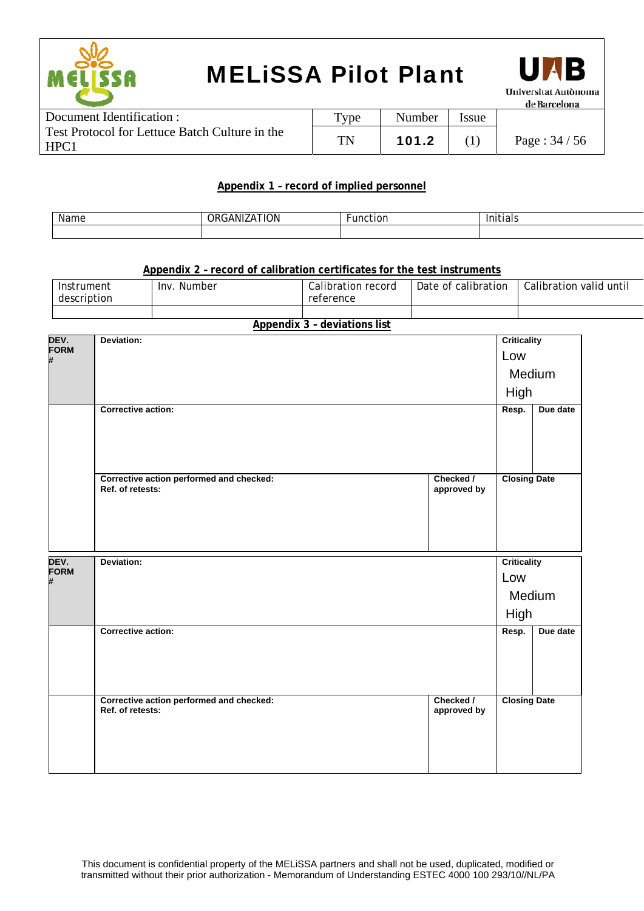



| Document Identification :                                          | $_{\rm vpe}$ | Number | Issue |                 |
|--------------------------------------------------------------------|--------------|--------|-------|-----------------|
| Test Protocol for Lettuce Batch Culture in the<br>HPC <sub>1</sub> | TN           | 101.2  |       | Page: $34 / 56$ |

#### **Appendix 1 – record of implied personnel**

| Name | NIZATION<br>$\sim$<br>JRI.<br>ιn | tion<br>. | .<br>ിദിക |
|------|----------------------------------|-----------|-----------|
|      |                                  |           |           |

#### **Appendix 2 – record of calibration certificates for the test instruments**

| Instrument  | <b>Inv</b> | Calibration record | Date of calibration | Calibration |
|-------------|------------|--------------------|---------------------|-------------|
| description | Number     | reference          |                     | valid until |
|             |            |                    |                     |             |

#### **Appendix 3 – deviations list**

| DEV.<br>FORM        | Deviation:                                                   |                          | <b>Criticality</b>  |          |
|---------------------|--------------------------------------------------------------|--------------------------|---------------------|----------|
| #                   |                                                              |                          | Low                 |          |
|                     |                                                              |                          | Medium              |          |
|                     |                                                              |                          | High                |          |
|                     | Corrective action:                                           |                          | Resp.               | Due date |
|                     | Corrective action performed and checked:<br>Ref. of retests: | Checked /<br>approved by | <b>Closing Date</b> |          |
|                     |                                                              |                          |                     |          |
| DEV.<br><b>FORM</b> | Deviation:                                                   |                          | <b>Criticality</b>  |          |
| #                   |                                                              |                          | Low                 |          |
|                     |                                                              |                          | Medium<br>High      |          |
|                     | Corrective action:                                           |                          | Resp.               | Due date |
|                     | Corrective action performed and checked:<br>Ref. of retests: | Checked /<br>approved by | <b>Closing Date</b> |          |
|                     |                                                              |                          |                     |          |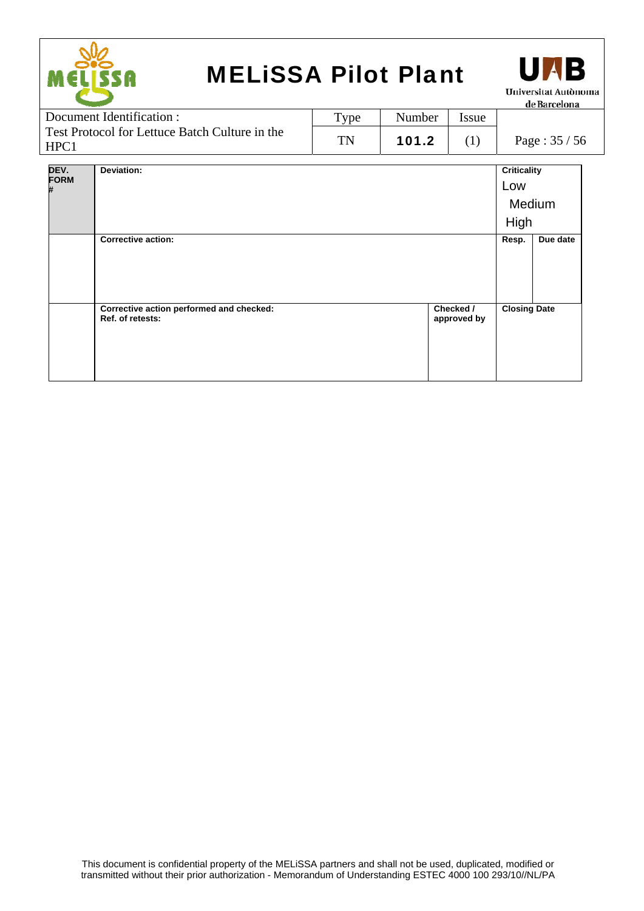



Document Identification : Test Protocol for Lettuce Batch Culture in the HPC1 Type | Number | Issue TN | 101.2 | (1) | Page :  $35 / 56$ 

| DEV.              | Deviation:                                                   |                          | <b>Criticality</b>  |          |
|-------------------|--------------------------------------------------------------|--------------------------|---------------------|----------|
| <b>FORM</b><br>Ħ. |                                                              |                          | Low                 |          |
|                   |                                                              |                          | Medium              |          |
|                   |                                                              |                          | High                |          |
|                   | <b>Corrective action:</b>                                    |                          | Resp.               | Due date |
|                   |                                                              |                          |                     |          |
|                   |                                                              |                          |                     |          |
|                   |                                                              |                          |                     |          |
|                   | Corrective action performed and checked:<br>Ref. of retests: | Checked /<br>approved by | <b>Closing Date</b> |          |
|                   |                                                              |                          |                     |          |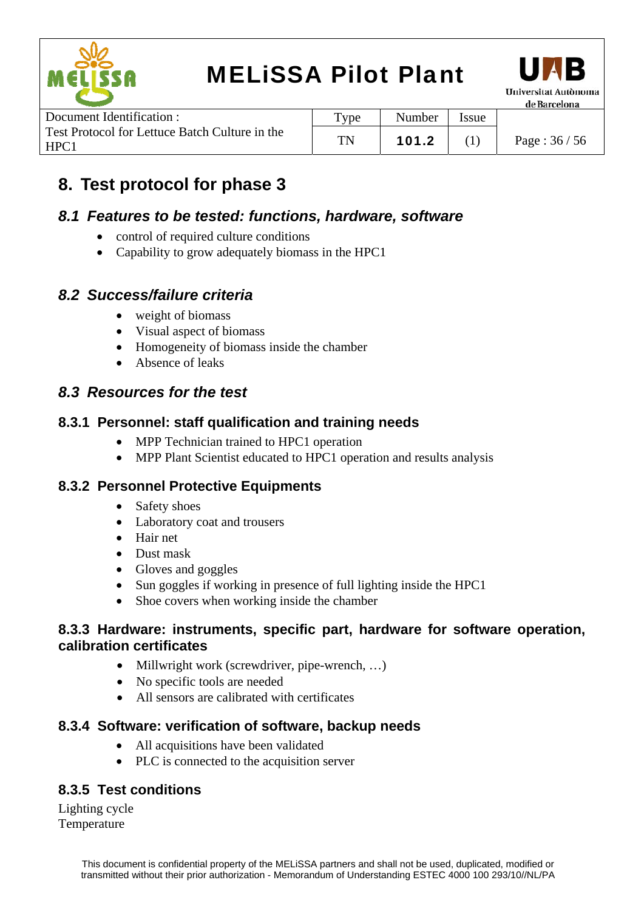



|                                                        |                   |        |       | -------------------- |
|--------------------------------------------------------|-------------------|--------|-------|----------------------|
| Document Identification :                              | Type <sub>T</sub> | Number | Issue |                      |
| Test Protocol for Lettuce Batch Culture in the<br>HPC1 | TN                | 101.2  |       | Page: $36/56$        |

### **8. Test protocol for phase 3**

#### *8.1 Features to be tested: functions, hardware, software*

- control of required culture conditions
- Capability to grow adequately biomass in the HPC1

### *8.2 Success/failure criteria*

- weight of biomass
- Visual aspect of biomass
- Homogeneity of biomass inside the chamber
- Absence of leaks

#### *8.3 Resources for the test*

#### **8.3.1 Personnel: staff qualification and training needs**

- MPP Technician trained to HPC1 operation
- MPP Plant Scientist educated to HPC1 operation and results analysis

#### **8.3.2 Personnel Protective Equipments**

- Safety shoes
- Laboratory coat and trousers
- Hair net
- Dust mask
- Gloves and goggles
- Sun goggles if working in presence of full lighting inside the HPC1
- Shoe covers when working inside the chamber

#### **8.3.3 Hardware: instruments, specific part, hardware for software operation, calibration certificates**

- Millwright work (screwdriver, pipe-wrench, ...)
- No specific tools are needed
- All sensors are calibrated with certificates

#### **8.3.4 Software: verification of software, backup needs**

- All acquisitions have been validated
- PLC is connected to the acquisition server

### **8.3.5 Test conditions**

Lighting cycle Temperature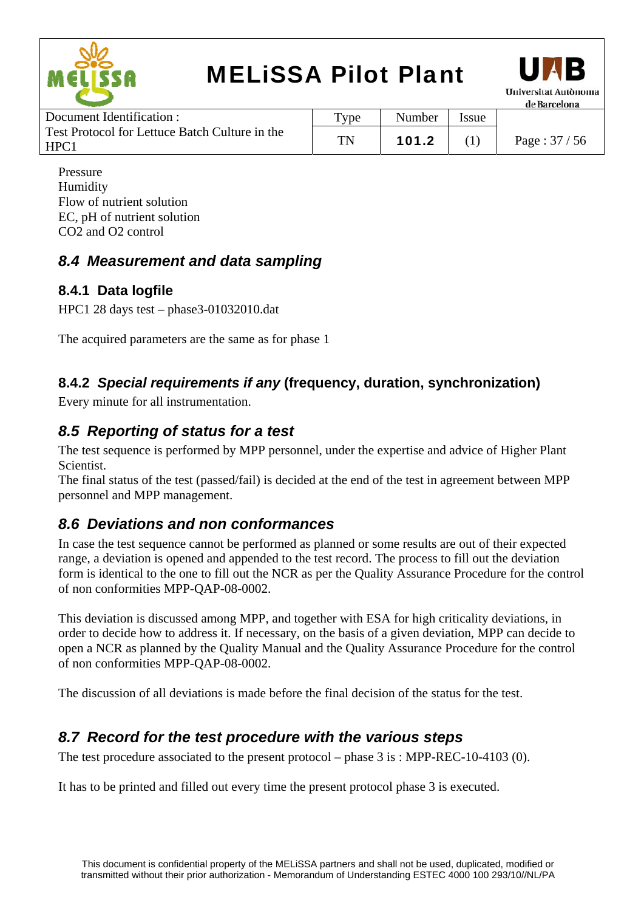



| Document Identification :                              | $T$ ype | Number | Issue |               |
|--------------------------------------------------------|---------|--------|-------|---------------|
| Test Protocol for Lettuce Batch Culture in the<br>HPC1 | TN      | 101.2  |       | Page: $37/56$ |
|                                                        |         |        |       |               |

Pressure Humidity Flow of nutrient solution EC, pH of nutrient solution CO2 and O2 control

### *8.4 Measurement and data sampling*

#### **8.4.1 Data logfile**

HPC1 28 days test – phase3-01032010.dat

The acquired parameters are the same as for phase 1

### **8.4.2** *Special requirements if any* **(frequency, duration, synchronization)**

Every minute for all instrumentation.

### *8.5 Reporting of status for a test*

The test sequence is performed by MPP personnel, under the expertise and advice of Higher Plant Scientist.

The final status of the test (passed/fail) is decided at the end of the test in agreement between MPP personnel and MPP management.

### *8.6 Deviations and non conformances*

In case the test sequence cannot be performed as planned or some results are out of their expected range, a deviation is opened and appended to the test record. The process to fill out the deviation form is identical to the one to fill out the NCR as per the Quality Assurance Procedure for the control of non conformities MPP-QAP-08-0002.

This deviation is discussed among MPP, and together with ESA for high criticality deviations, in order to decide how to address it. If necessary, on the basis of a given deviation, MPP can decide to open a NCR as planned by the Quality Manual and the Quality Assurance Procedure for the control of non conformities MPP-QAP-08-0002.

The discussion of all deviations is made before the final decision of the status for the test.

### *8.7 Record for the test procedure with the various steps*

The test procedure associated to the present protocol – phase 3 is : MPP-REC-10-4103 (0).

It has to be printed and filled out every time the present protocol phase 3 is executed.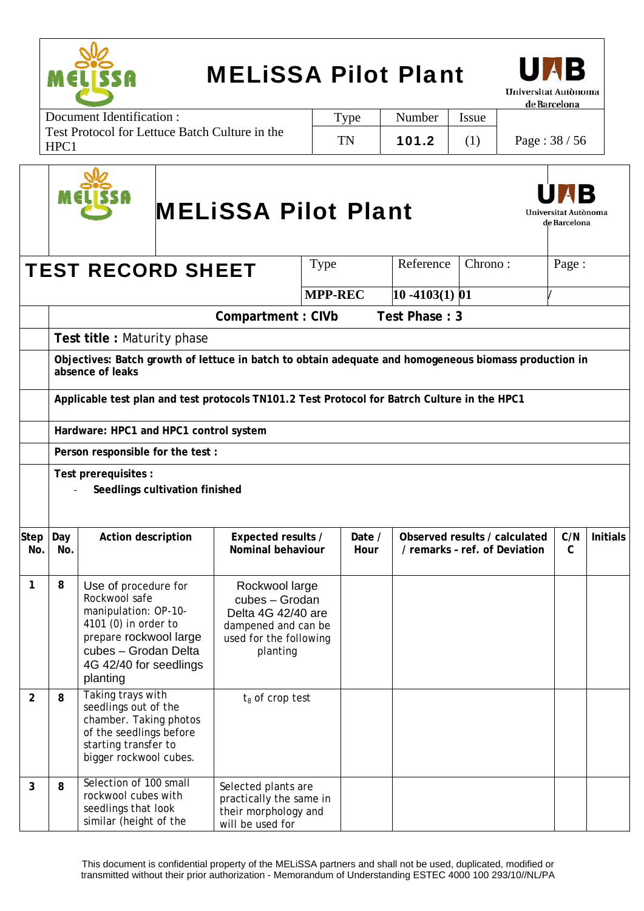

Г

## MELiSSA Pilot Plant



Document Identification : Test Protocol for Lettuce Batch Culture in the HPC1 Type | Number | Issue TN | 101.2 | (1) | Page :  $38 / 56$ 

|                    |                                                                          |                                                                                                                                                                               |  | <b>MELISSA Pilot Plant</b>                                                                                          |                |                |                   |                                                                                                       | Universitat Autònoma<br>de Barcelona |                 |  |
|--------------------|--------------------------------------------------------------------------|-------------------------------------------------------------------------------------------------------------------------------------------------------------------------------|--|---------------------------------------------------------------------------------------------------------------------|----------------|----------------|-------------------|-------------------------------------------------------------------------------------------------------|--------------------------------------|-----------------|--|
|                    | Reference<br>Chrono:<br>Page:<br><b>Type</b><br><b>TEST RECORD SHEET</b> |                                                                                                                                                                               |  |                                                                                                                     |                |                |                   |                                                                                                       |                                      |                 |  |
|                    |                                                                          |                                                                                                                                                                               |  |                                                                                                                     | <b>MPP-REC</b> |                | $10 - 4103(1)$ 01 |                                                                                                       |                                      |                 |  |
|                    |                                                                          |                                                                                                                                                                               |  | Compartment: CIVb                                                                                                   |                |                | Test Phase: 3     |                                                                                                       |                                      |                 |  |
|                    |                                                                          | Test title: Maturity phase                                                                                                                                                    |  |                                                                                                                     |                |                |                   |                                                                                                       |                                      |                 |  |
|                    |                                                                          | absence of leaks                                                                                                                                                              |  |                                                                                                                     |                |                |                   | Objectives: Batch growth of lettuce in batch to obtain adequate and homogeneous biomass production in |                                      |                 |  |
|                    |                                                                          |                                                                                                                                                                               |  | Applicable test plan and test protocols TN101.2 Test Protocol for Batrch Culture in the HPC1                        |                |                |                   |                                                                                                       |                                      |                 |  |
|                    |                                                                          | Hardware: HPC1 and HPC1 control system                                                                                                                                        |  |                                                                                                                     |                |                |                   |                                                                                                       |                                      |                 |  |
|                    |                                                                          | Person responsible for the test :                                                                                                                                             |  |                                                                                                                     |                |                |                   |                                                                                                       |                                      |                 |  |
|                    |                                                                          | Test prerequisites :<br>Seedlings cultivation finished                                                                                                                        |  |                                                                                                                     |                |                |                   |                                                                                                       |                                      |                 |  |
| <b>Step</b><br>No. | Day<br>No.                                                               | Action description                                                                                                                                                            |  | Expected results /<br>Nominal behaviour                                                                             |                | Date /<br>Hour |                   | Observed results / calculated<br>/ remarks - ref. of Deviation                                        | C/N<br>$\mathsf{C}$                  | <b>Initials</b> |  |
| $\mathbf{1}$       | 8                                                                        | Use of procedure for<br>Rockwool safe<br>manipulation: OP-10-<br>4101 (0) in order to<br>prepare rockwool large<br>cubes - Grodan Delta<br>4G 42/40 for seedlings<br>planting |  | Rockwool large<br>cubes - Grodan<br>Delta 4G 42/40 are<br>dampened and can be<br>used for the following<br>planting |                |                |                   |                                                                                                       |                                      |                 |  |
| $\overline{2}$     | 8                                                                        | Taking trays with<br>seedlings out of the<br>chamber. Taking photos<br>of the seedlings before<br>starting transfer to<br>bigger rockwool cubes.                              |  | $t_8$ of crop test                                                                                                  |                |                |                   |                                                                                                       |                                      |                 |  |
| 3                  | 8                                                                        | Selection of 100 small<br>rockwool cubes with<br>seedlings that look<br>similar (height of the                                                                                |  | Selected plants are<br>practically the same in<br>their morphology and<br>will be used for                          |                |                |                   |                                                                                                       |                                      |                 |  |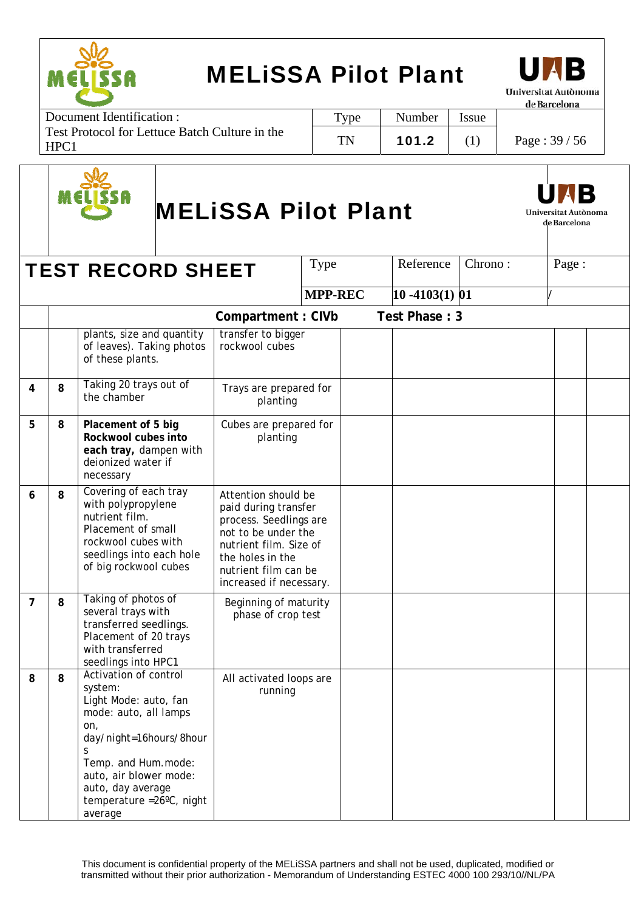

Document Identification : Test Protocol for Lettuce Batch Culture in the HPC1 Type | Number | Issue TN | 101.2 | (1) | Page :  $39 / 56$ 



# MELiSSA Pilot Plant



|                |   | <b>TEST RECORD SHEET</b>                                                                                                                                                                                                                |                                                                                                                                                                                               | Type           | Reference         | Chrono: | Page: |  |
|----------------|---|-----------------------------------------------------------------------------------------------------------------------------------------------------------------------------------------------------------------------------------------|-----------------------------------------------------------------------------------------------------------------------------------------------------------------------------------------------|----------------|-------------------|---------|-------|--|
|                |   |                                                                                                                                                                                                                                         |                                                                                                                                                                                               | <b>MPP-REC</b> | $10 - 4103(1)$ 01 |         |       |  |
|                |   |                                                                                                                                                                                                                                         | <b>Compartment: CIVb</b>                                                                                                                                                                      |                | Test Phase: 3     |         |       |  |
|                |   | plants, size and quantity<br>of leaves). Taking photos<br>of these plants.                                                                                                                                                              | transfer to bigger<br>rockwool cubes                                                                                                                                                          |                |                   |         |       |  |
| 4              | 8 | Taking 20 trays out of<br>the chamber                                                                                                                                                                                                   | Trays are prepared for<br>planting                                                                                                                                                            |                |                   |         |       |  |
| 5              | 8 | Placement of 5 big<br>Rockwool cubes into<br>each tray, dampen with<br>deionized water if<br>necessary                                                                                                                                  | Cubes are prepared for<br>planting                                                                                                                                                            |                |                   |         |       |  |
| 6              | 8 | Covering of each tray<br>with polypropylene<br>nutrient film.<br>Placement of small<br>rockwool cubes with<br>seedlings into each hole<br>of big rockwool cubes                                                                         | Attention should be<br>paid during transfer<br>process. Seedlings are<br>not to be under the<br>nutrient film. Size of<br>the holes in the<br>nutrient film can be<br>increased if necessary. |                |                   |         |       |  |
| $\overline{7}$ | 8 | Taking of photos of<br>several trays with<br>transferred seedlings.<br>Placement of 20 trays<br>with transferred<br>seedlings into HPC1                                                                                                 | Beginning of maturity<br>phase of crop test                                                                                                                                                   |                |                   |         |       |  |
| 8              | 8 | Activation of control<br>system:<br>Light Mode: auto, fan<br>mode: auto, all lamps<br>on,<br>day/night=16hours/8hour<br>S<br>Temp. and Hum.mode:<br>auto, air blower mode:<br>auto, day average<br>temperature = 26°C, night<br>average | All activated loops are<br>running                                                                                                                                                            |                |                   |         |       |  |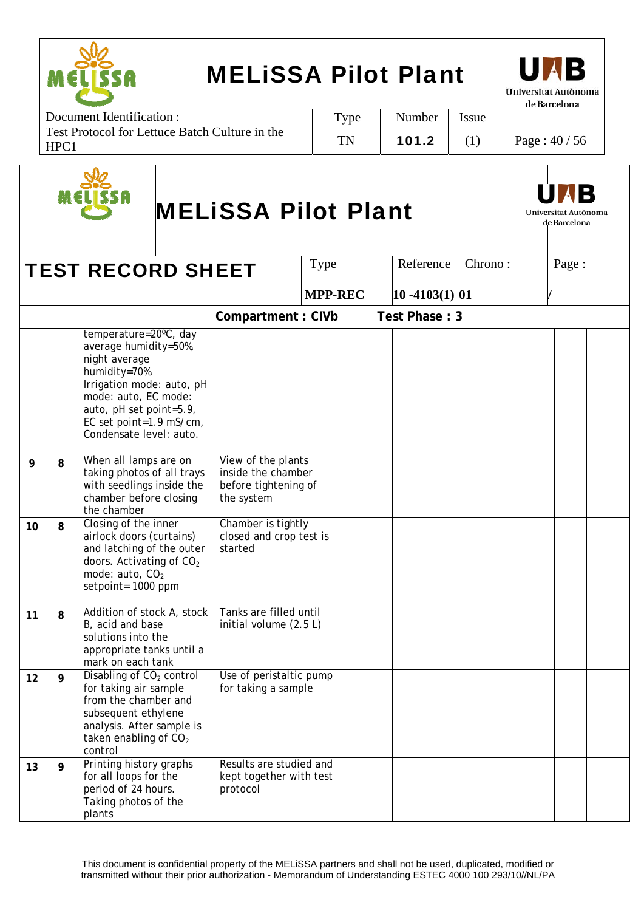

Document Identification : Test Protocol for Lettuce Batch Culture in the HPC1 Type | Number | Issue TN | 101.2 | (1) | Page :  $40/56$ 



# MELiSSA Pilot Plant



|    |   | <b>TEST RECORD SHEET</b>                                                                                                                                                                                               |                                                                                | Type           | Reference         | Chrono: | Page: |  |
|----|---|------------------------------------------------------------------------------------------------------------------------------------------------------------------------------------------------------------------------|--------------------------------------------------------------------------------|----------------|-------------------|---------|-------|--|
|    |   |                                                                                                                                                                                                                        |                                                                                | <b>MPP-REC</b> | $10 - 4103(1)$ 01 |         |       |  |
|    |   |                                                                                                                                                                                                                        | Compartment: CIVb                                                              |                | Test Phase: 3     |         |       |  |
|    |   | temperature=20°C, day<br>average humidity=50%,<br>night average<br>humidity=70%.<br>Irrigation mode: auto, pH<br>mode: auto, EC mode:<br>auto, pH set point=5.9,<br>EC set point=1.9 mS/cm,<br>Condensate level: auto. |                                                                                |                |                   |         |       |  |
| 9  | 8 | When all lamps are on<br>taking photos of all trays<br>with seedlings inside the<br>chamber before closing<br>the chamber                                                                                              | View of the plants<br>inside the chamber<br>before tightening of<br>the system |                |                   |         |       |  |
| 10 | 8 | Closing of the inner<br>airlock doors (curtains)<br>and latching of the outer<br>doors. Activating of CO <sub>2</sub><br>mode: auto, CO <sub>2</sub><br>setpoint= 1000 ppm                                             | Chamber is tightly<br>closed and crop test is<br>started                       |                |                   |         |       |  |
| 11 | 8 | Addition of stock A, stock<br>B, acid and base<br>solutions into the<br>appropriate tanks until a<br>mark on each tank                                                                                                 | Tanks are filled until<br>initial volume (2.5 L)                               |                |                   |         |       |  |
| 12 | 9 | Disabling of CO <sub>2</sub> control<br>for taking air sample<br>from the chamber and<br>subsequent ethylene<br>analysis. After sample is<br>taken enabling of CO <sub>2</sub><br>control                              | Use of peristaltic pump<br>for taking a sample                                 |                |                   |         |       |  |
| 13 | 9 | Printing history graphs<br>for all loops for the<br>period of 24 hours.<br>Taking photos of the<br>plants                                                                                                              | Results are studied and<br>kept together with test<br>protocol                 |                |                   |         |       |  |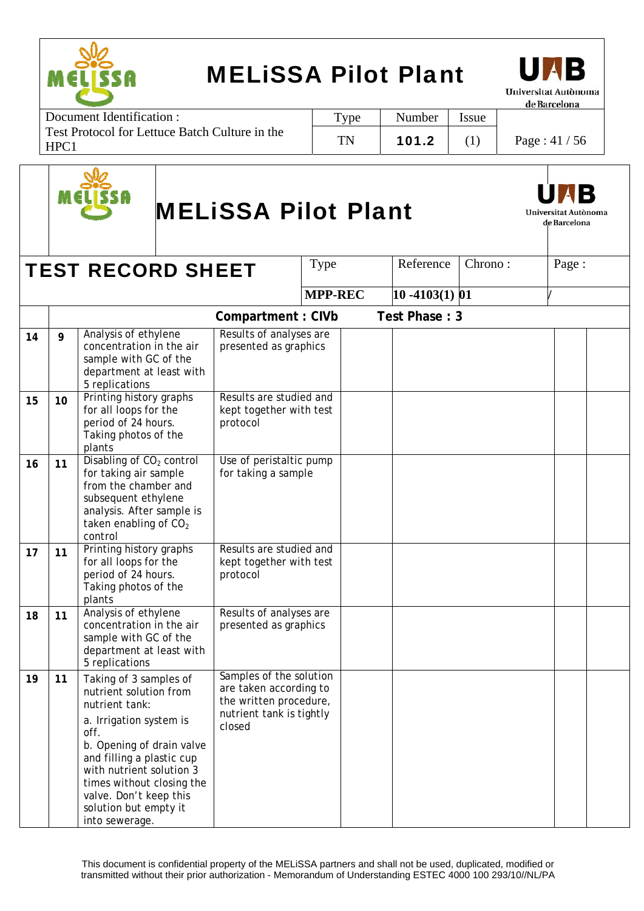Type | Number | Issue

TN | 101.2 (1) | Page : 41 / 56



Document Identification : Test Protocol for Lettuce Batch Culture in the HPC1



# MELiSSA Pilot Plant



de Barcelona

**TEST RECORD SHEET**  $\vert$  Type  $\vert$  Reference  $\vert$  Chrono :  $\vert$  Page : **MPP-REC** 10 -4103(1) 01 **Compartment : CIVb Test Phase : 3** 14 9 Analysis of ethylene concentration in the air sample with GC of the department at least with 5 replications Results of analyses are presented as graphics **15 10** Printing history graphs for all loops for the period of 24 hours. Taking photos of the plants Results are studied and kept together with test protocol 16 11 **Disabling of CO<sub>2</sub> control** for taking air sample from the chamber and subsequent ethylene analysis. After sample is taken enabling of  $CO<sub>2</sub>$ control Use of peristaltic pump for taking a sample **17** 11 Printing history graphs for all loops for the period of 24 hours. Taking photos of the plants Results are studied and kept together with test protocol 18 11 Analysis of ethylene concentration in the air sample with GC of the department at least with 5 replications Results of analyses are presented as graphics **19 11** Taking of 3 samples of nutrient solution from nutrient tank: a. Irrigation system is off. b. Opening of drain valve and filling a plastic cup with nutrient solution 3 times without closing the valve. Don't keep this solution but empty it into sewerage. Samples of the solution are taken according to the written procedure, nutrient tank is tightly closed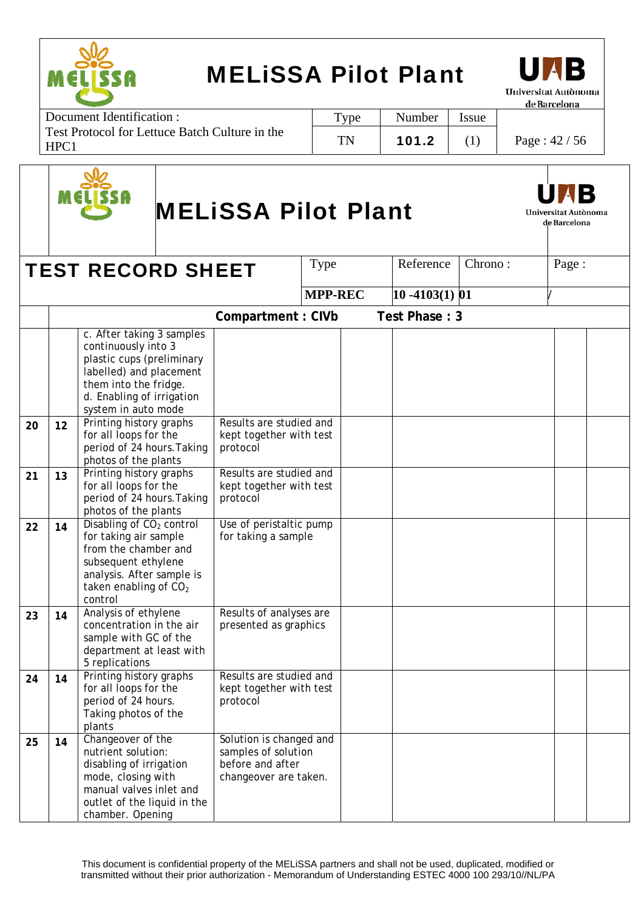



Document Identification : Test Protocol for Lettuce Batch Culture in the HPC1 Type | Number | Issue TN | 101.2 (1) | Page :  $42/56$ 



# MELiSSA Pilot Plant



de Barcelona

**TEST RECORD SHEET**  $\vert$  Type  $\vert$  Reference  $\vert$  Chrono :  $\vert$  Page : **MPP-REC** 10 -4103(1) 01 **Compartment : CIVb Test Phase : 3** c. After taking 3 samples continuously into 3 plastic cups (preliminary labelled) and placement them into the fridge. d. Enabling of irrigation system in auto mode **20 12** Printing history graphs for all loops for the period of 24 hours.Taking photos of the plants Results are studied and kept together with test protocol **21 13** Printing history graphs for all loops for the period of 24 hours.Taking photos of the plants Results are studied and kept together with test protocol **22** 14 Disabling of CO<sub>2</sub> control for taking air sample from the chamber and subsequent ethylene analysis. After sample is taken enabling of  $CO<sub>2</sub>$ control Use of peristaltic pump for taking a sample 23 14 Analysis of ethylene concentration in the air sample with GC of the department at least with 5 replications Results of analyses are presented as graphics **24 14** Printing history graphs for all loops for the period of 24 hours. Taking photos of the plants Results are studied and kept together with test protocol **25 14** Changeover of the nutrient solution: disabling of irrigation mode, closing with manual valves inlet and outlet of the liquid in the chamber. Opening Solution is changed and samples of solution before and after changeover are taken.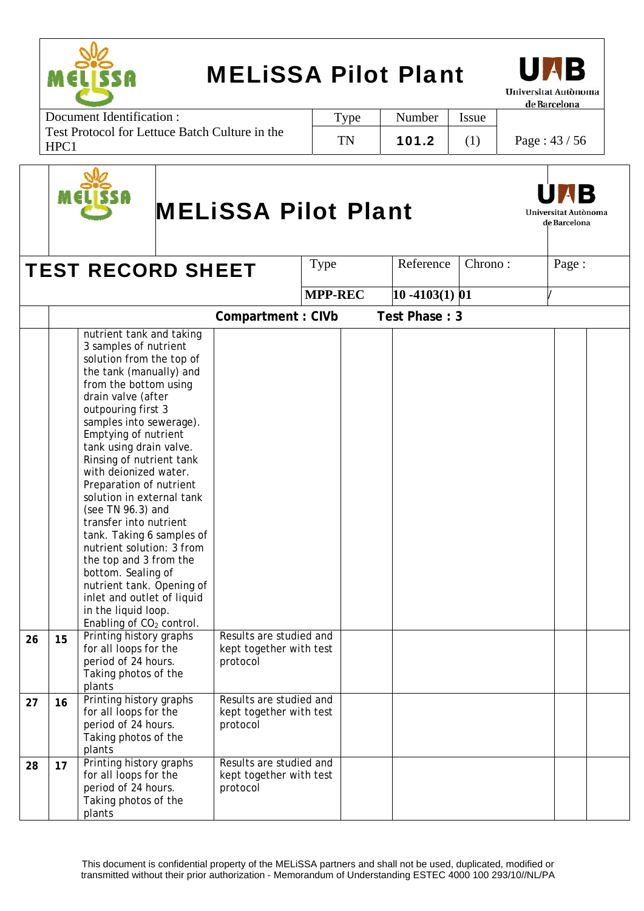



Document Identification : Test Protocol for Lettuce Batch Culture in the HPC1 Type | Number | Issue TN | 101.2 | (1) | Page :  $43 / 56$ 



# MELiSSA Pilot Plant



|    |    | <b>TEST RECORD SHEET</b>                                                                                                                                                                                                                                                                                                                                                                                                                                                                                                                                                                                                                                    |                                                                | Type           | Reference         | Chrono: | Page: |  |
|----|----|-------------------------------------------------------------------------------------------------------------------------------------------------------------------------------------------------------------------------------------------------------------------------------------------------------------------------------------------------------------------------------------------------------------------------------------------------------------------------------------------------------------------------------------------------------------------------------------------------------------------------------------------------------------|----------------------------------------------------------------|----------------|-------------------|---------|-------|--|
|    |    |                                                                                                                                                                                                                                                                                                                                                                                                                                                                                                                                                                                                                                                             |                                                                | <b>MPP-REC</b> | $10 - 4103(1)$ 01 |         |       |  |
|    |    |                                                                                                                                                                                                                                                                                                                                                                                                                                                                                                                                                                                                                                                             |                                                                |                |                   |         |       |  |
|    |    |                                                                                                                                                                                                                                                                                                                                                                                                                                                                                                                                                                                                                                                             | Compartment: CIVb                                              |                | Test Phase: 3     |         |       |  |
|    |    | nutrient tank and taking<br>3 samples of nutrient<br>solution from the top of<br>the tank (manually) and<br>from the bottom using<br>drain valve (after<br>outpouring first 3<br>samples into sewerage).<br>Emptying of nutrient<br>tank using drain valve.<br>Rinsing of nutrient tank<br>with deionized water.<br>Preparation of nutrient<br>solution in external tank<br>(see TN 96.3) and<br>transfer into nutrient<br>tank. Taking 6 samples of<br>nutrient solution: 3 from<br>the top and 3 from the<br>bottom. Sealing of<br>nutrient tank. Opening of<br>inlet and outlet of liquid<br>in the liquid loop.<br>Enabling of CO <sub>2</sub> control. |                                                                |                |                   |         |       |  |
| 26 | 15 | Printing history graphs<br>for all loops for the<br>period of 24 hours.<br>Taking photos of the<br>plants                                                                                                                                                                                                                                                                                                                                                                                                                                                                                                                                                   | Results are studied and<br>kept together with test<br>protocol |                |                   |         |       |  |
| 27 | 16 | Printing history graphs<br>for all loops for the<br>period of 24 hours.<br>Taking photos of the<br>plants                                                                                                                                                                                                                                                                                                                                                                                                                                                                                                                                                   | Results are studied and<br>kept together with test<br>protocol |                |                   |         |       |  |
| 28 | 17 | Printing history graphs<br>for all loops for the<br>period of 24 hours.<br>Taking photos of the<br>plants                                                                                                                                                                                                                                                                                                                                                                                                                                                                                                                                                   | Results are studied and<br>kept together with test<br>protocol |                |                   |         |       |  |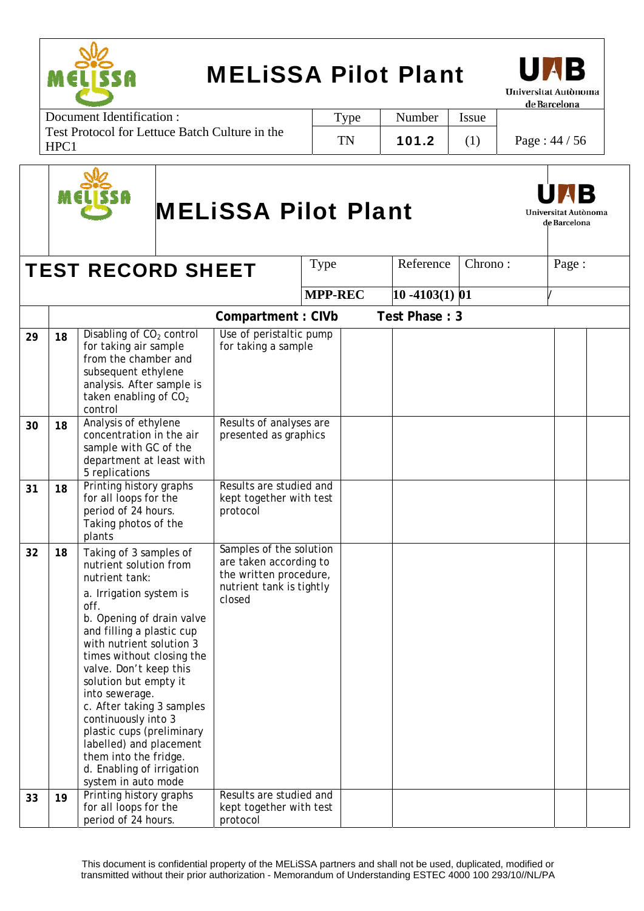

Document Identification : Test Protocol for Lettuce Batch Culture in the HPC1 Type | Number | Issue TN | 101.2 | (1) | Page :  $44 / 56$ 



# MELiSSA Pilot Plant



Universitat Autònoma de Barcelona

|    |    | <b>TEST RECORD SHEET</b>                                                                                                                                                                                                                                                                                                                                                                                                                                                               |                                                                                                                   | <b>Type</b>    | Reference         | Chrono: | Page: |  |
|----|----|----------------------------------------------------------------------------------------------------------------------------------------------------------------------------------------------------------------------------------------------------------------------------------------------------------------------------------------------------------------------------------------------------------------------------------------------------------------------------------------|-------------------------------------------------------------------------------------------------------------------|----------------|-------------------|---------|-------|--|
|    |    |                                                                                                                                                                                                                                                                                                                                                                                                                                                                                        |                                                                                                                   | <b>MPP-REC</b> | $10 - 4103(1)$ 01 |         |       |  |
|    |    |                                                                                                                                                                                                                                                                                                                                                                                                                                                                                        |                                                                                                                   |                |                   |         |       |  |
|    |    |                                                                                                                                                                                                                                                                                                                                                                                                                                                                                        | Compartment: CIVb                                                                                                 |                | Test Phase: 3     |         |       |  |
| 29 | 18 | Disabling of CO <sub>2</sub> control<br>for taking air sample<br>from the chamber and<br>subsequent ethylene<br>analysis. After sample is<br>taken enabling of CO <sub>2</sub><br>control                                                                                                                                                                                                                                                                                              | Use of peristaltic pump<br>for taking a sample                                                                    |                |                   |         |       |  |
| 30 | 18 | Analysis of ethylene<br>concentration in the air<br>sample with GC of the<br>department at least with<br>5 replications                                                                                                                                                                                                                                                                                                                                                                | Results of analyses are<br>presented as graphics                                                                  |                |                   |         |       |  |
| 31 | 18 | Printing history graphs<br>for all loops for the<br>period of 24 hours.<br>Taking photos of the<br>plants                                                                                                                                                                                                                                                                                                                                                                              | Results are studied and<br>kept together with test<br>protocol                                                    |                |                   |         |       |  |
| 32 | 18 | Taking of 3 samples of<br>nutrient solution from<br>nutrient tank:<br>a. Irrigation system is<br>off.<br>b. Opening of drain valve<br>and filling a plastic cup<br>with nutrient solution 3<br>times without closing the<br>valve. Don't keep this<br>solution but empty it<br>into sewerage.<br>c. After taking 3 samples<br>continuously into 3<br>plastic cups (preliminary<br>labelled) and placement<br>them into the fridge.<br>d. Enabling of irrigation<br>system in auto mode | Samples of the solution<br>are taken according to<br>the written procedure,<br>nutrient tank is tightly<br>closed |                |                   |         |       |  |
| 33 | 19 | Printing history graphs<br>for all loops for the<br>period of 24 hours.                                                                                                                                                                                                                                                                                                                                                                                                                | Results are studied and<br>kept together with test<br>protocol                                                    |                |                   |         |       |  |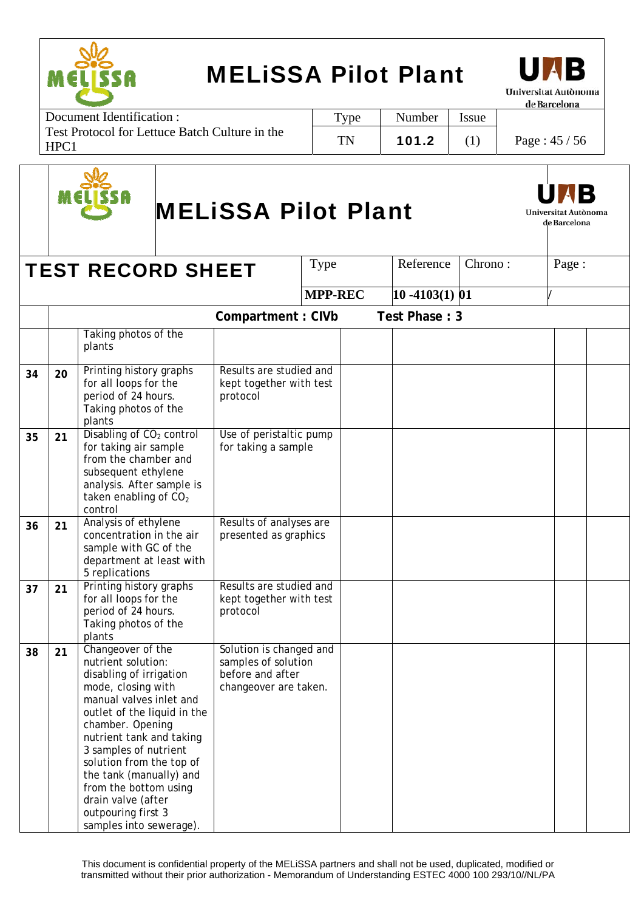



Document Identification : Test Protocol for Lettuce Batch Culture in the HPC1 Type | Number | Issue TN | 101.2 | (1) | Page :  $45 / 56$ 



# MELiSSA Pilot Plant



|    |    | <b>TEST RECORD SHEET</b>                                                                                                                                                                                                                                                                                                                                                           |                                                                                             | Type           | Reference          | Chrono: | Page: |  |
|----|----|------------------------------------------------------------------------------------------------------------------------------------------------------------------------------------------------------------------------------------------------------------------------------------------------------------------------------------------------------------------------------------|---------------------------------------------------------------------------------------------|----------------|--------------------|---------|-------|--|
|    |    |                                                                                                                                                                                                                                                                                                                                                                                    |                                                                                             | <b>MPP-REC</b> | $ 10 - 4103(1) 01$ |         |       |  |
|    |    |                                                                                                                                                                                                                                                                                                                                                                                    | Compartment: CIVb                                                                           |                | Test Phase: 3      |         |       |  |
|    |    | Taking photos of the<br>plants                                                                                                                                                                                                                                                                                                                                                     |                                                                                             |                |                    |         |       |  |
| 34 | 20 | Printing history graphs<br>for all loops for the<br>period of 24 hours.<br>Taking photos of the<br>plants                                                                                                                                                                                                                                                                          | Results are studied and<br>kept together with test<br>protocol                              |                |                    |         |       |  |
| 35 | 21 | Disabling of CO <sub>2</sub> control<br>for taking air sample<br>from the chamber and<br>subsequent ethylene<br>analysis. After sample is<br>taken enabling of CO <sub>2</sub><br>control                                                                                                                                                                                          | Use of peristaltic pump<br>for taking a sample                                              |                |                    |         |       |  |
| 36 | 21 | Analysis of ethylene<br>concentration in the air<br>sample with GC of the<br>department at least with<br>5 replications                                                                                                                                                                                                                                                            | Results of analyses are<br>presented as graphics                                            |                |                    |         |       |  |
| 37 | 21 | Printing history graphs<br>for all loops for the<br>period of 24 hours.<br>Taking photos of the<br>plants                                                                                                                                                                                                                                                                          | Results are studied and<br>kept together with test<br>protocol                              |                |                    |         |       |  |
| 38 | 21 | Changeover of the<br>nutrient solution:<br>disabling of irrigation<br>mode, closing with<br>manual valves inlet and<br>outlet of the liquid in the<br>chamber. Opening<br>nutrient tank and taking<br>3 samples of nutrient<br>solution from the top of<br>the tank (manually) and<br>from the bottom using<br>drain valve (after<br>outpouring first 3<br>samples into sewerage). | Solution is changed and<br>samples of solution<br>before and after<br>changeover are taken. |                |                    |         |       |  |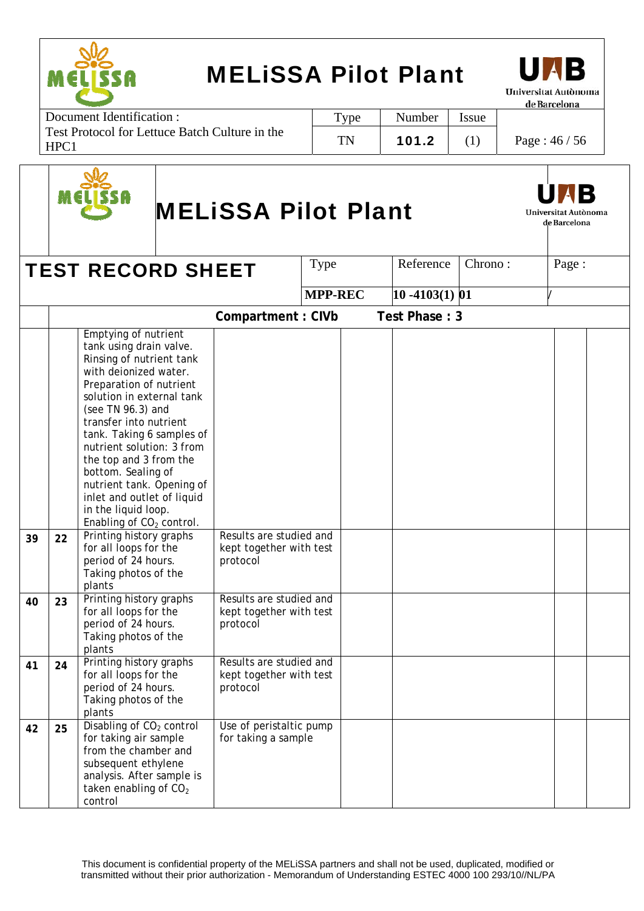

Document Identification : Test Protocol for Lettuce Batch Culture in the HPC1 Type | Number | Issue TN | 101.2 | (1) | Page :  $46 / 56$ 



# MELiSSA Pilot Plant



|    |    | <b>TEST RECORD SHEET</b>                                                                                                                                                                                                                                                                                                                                                                                                                        |                                                                | Type           | Reference         | Chrono: | Page: |  |
|----|----|-------------------------------------------------------------------------------------------------------------------------------------------------------------------------------------------------------------------------------------------------------------------------------------------------------------------------------------------------------------------------------------------------------------------------------------------------|----------------------------------------------------------------|----------------|-------------------|---------|-------|--|
|    |    |                                                                                                                                                                                                                                                                                                                                                                                                                                                 |                                                                | <b>MPP-REC</b> | $10 - 4103(1)$ 01 |         |       |  |
|    |    |                                                                                                                                                                                                                                                                                                                                                                                                                                                 | Compartment: CIVb                                              |                | Test Phase: 3     |         |       |  |
|    |    | Emptying of nutrient<br>tank using drain valve.<br>Rinsing of nutrient tank<br>with deionized water.<br>Preparation of nutrient<br>solution in external tank<br>(see TN 96.3) and<br>transfer into nutrient<br>tank. Taking 6 samples of<br>nutrient solution: 3 from<br>the top and 3 from the<br>bottom. Sealing of<br>nutrient tank. Opening of<br>inlet and outlet of liquid<br>in the liquid loop.<br>Enabling of CO <sub>2</sub> control. |                                                                |                |                   |         |       |  |
| 39 | 22 | Printing history graphs<br>for all loops for the<br>period of 24 hours.<br>Taking photos of the<br>plants                                                                                                                                                                                                                                                                                                                                       | Results are studied and<br>kept together with test<br>protocol |                |                   |         |       |  |
| 40 | 23 | Printing history graphs<br>for all loops for the<br>period of 24 hours.<br>Taking photos of the<br>plants                                                                                                                                                                                                                                                                                                                                       | Results are studied and<br>kept together with test<br>protocol |                |                   |         |       |  |
| 41 | 24 | Printing history graphs<br>for all loops for the<br>period of 24 hours.<br>Taking photos of the<br>plants                                                                                                                                                                                                                                                                                                                                       | Results are studied and<br>kept together with test<br>protocol |                |                   |         |       |  |
| 42 | 25 | Disabling of CO <sub>2</sub> control<br>for taking air sample<br>from the chamber and<br>subsequent ethylene<br>analysis. After sample is<br>taken enabling of CO <sub>2</sub><br>control                                                                                                                                                                                                                                                       | Use of peristaltic pump<br>for taking a sample                 |                |                   |         |       |  |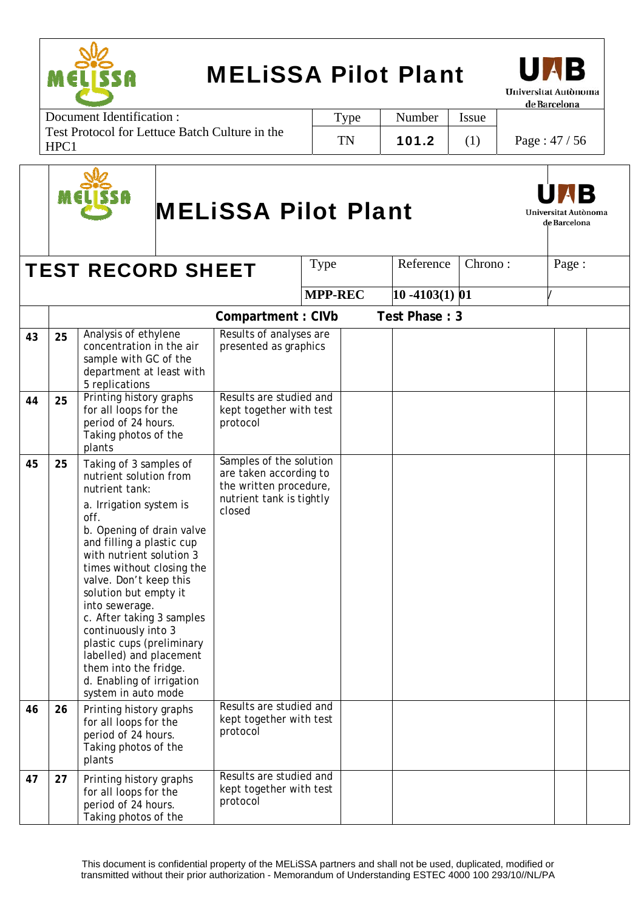

Document Identification : Test Protocol for Lettuce Batch Culture in the HPC1 Type | Number | Issue TN | 101.2 | (1) | Page : 47 / 56



# MELiSSA Pilot Plant



Universitat Autònoma de Barcelona

|    |    |                                                                                                                                                                                                                                                                                                                                                                                                                                                                                        |                                                                                                                   | Type           | Reference         | Chrono: | Page: |  |
|----|----|----------------------------------------------------------------------------------------------------------------------------------------------------------------------------------------------------------------------------------------------------------------------------------------------------------------------------------------------------------------------------------------------------------------------------------------------------------------------------------------|-------------------------------------------------------------------------------------------------------------------|----------------|-------------------|---------|-------|--|
|    |    | <b>TEST RECORD SHEET</b>                                                                                                                                                                                                                                                                                                                                                                                                                                                               |                                                                                                                   |                |                   |         |       |  |
|    |    |                                                                                                                                                                                                                                                                                                                                                                                                                                                                                        |                                                                                                                   | <b>MPP-REC</b> | $10 - 4103(1)$ 01 |         |       |  |
|    |    |                                                                                                                                                                                                                                                                                                                                                                                                                                                                                        | Compartment: CIVb                                                                                                 |                | Test Phase: 3     |         |       |  |
| 43 | 25 | Analysis of ethylene<br>concentration in the air<br>sample with GC of the<br>department at least with<br>5 replications                                                                                                                                                                                                                                                                                                                                                                | Results of analyses are<br>presented as graphics                                                                  |                |                   |         |       |  |
| 44 | 25 | Printing history graphs<br>for all loops for the<br>period of 24 hours.<br>Taking photos of the<br>plants                                                                                                                                                                                                                                                                                                                                                                              | Results are studied and<br>kept together with test<br>protocol                                                    |                |                   |         |       |  |
| 45 | 25 | Taking of 3 samples of<br>nutrient solution from<br>nutrient tank:<br>a. Irrigation system is<br>off.<br>b. Opening of drain valve<br>and filling a plastic cup<br>with nutrient solution 3<br>times without closing the<br>valve. Don't keep this<br>solution but empty it<br>into sewerage.<br>c. After taking 3 samples<br>continuously into 3<br>plastic cups (preliminary<br>labelled) and placement<br>them into the fridge.<br>d. Enabling of irrigation<br>system in auto mode | Samples of the solution<br>are taken according to<br>the written procedure,<br>nutrient tank is tightly<br>closed |                |                   |         |       |  |
| 46 | 26 | Printing history graphs<br>for all loops for the<br>period of 24 hours.<br>Taking photos of the<br>plants                                                                                                                                                                                                                                                                                                                                                                              | Results are studied and<br>kept together with test<br>protocol                                                    |                |                   |         |       |  |
| 47 | 27 | Printing history graphs<br>for all loops for the<br>period of 24 hours.<br>Taking photos of the                                                                                                                                                                                                                                                                                                                                                                                        | Results are studied and<br>kept together with test<br>protocol                                                    |                |                   |         |       |  |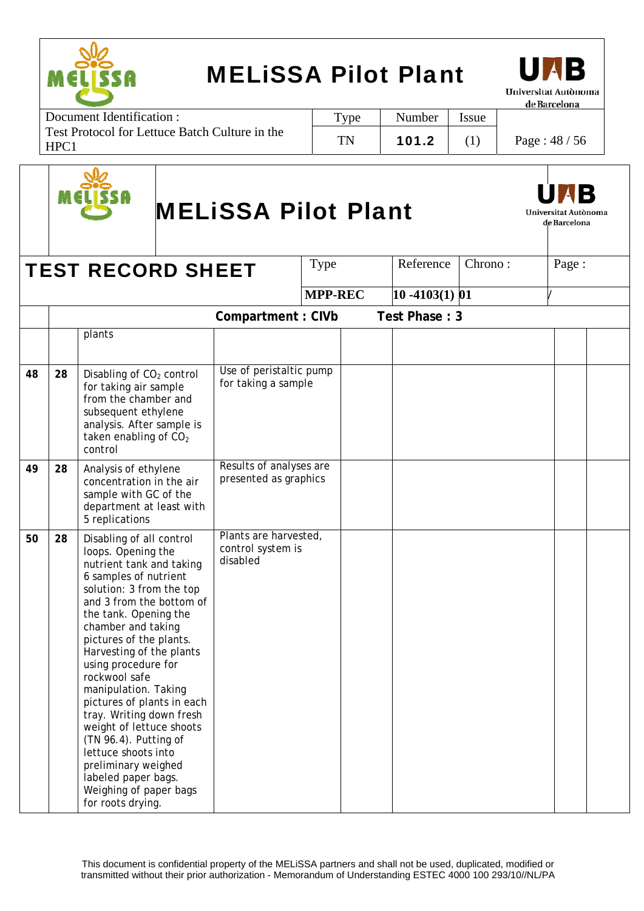



Document Identification : Test Protocol for Lettuce Batch Culture in the HPC1 Type | Number | Issue TN | 101.2 | (1) | Page :  $48 / 56$ 



# MELiSSA Pilot Plant



| <b>TEST RECORD SHEET</b> |    | Type                                                                                                                                                                                                                                                                                                                                                                                                                                                                                                                                                                 | Reference                                              | Chrono:        | Page:             |  |  |  |
|--------------------------|----|----------------------------------------------------------------------------------------------------------------------------------------------------------------------------------------------------------------------------------------------------------------------------------------------------------------------------------------------------------------------------------------------------------------------------------------------------------------------------------------------------------------------------------------------------------------------|--------------------------------------------------------|----------------|-------------------|--|--|--|
|                          |    |                                                                                                                                                                                                                                                                                                                                                                                                                                                                                                                                                                      |                                                        | <b>MPP-REC</b> | $10 - 4103(1)$ 01 |  |  |  |
|                          |    |                                                                                                                                                                                                                                                                                                                                                                                                                                                                                                                                                                      | Compartment: CIVb                                      |                | Test Phase: 3     |  |  |  |
|                          |    | plants                                                                                                                                                                                                                                                                                                                                                                                                                                                                                                                                                               |                                                        |                |                   |  |  |  |
| 48                       | 28 | Disabling of CO <sub>2</sub> control<br>for taking air sample<br>from the chamber and<br>subsequent ethylene<br>analysis. After sample is<br>taken enabling of CO <sub>2</sub><br>control                                                                                                                                                                                                                                                                                                                                                                            | Use of peristaltic pump<br>for taking a sample         |                |                   |  |  |  |
| 49                       | 28 | Analysis of ethylene<br>concentration in the air<br>sample with GC of the<br>department at least with<br>5 replications                                                                                                                                                                                                                                                                                                                                                                                                                                              | Results of analyses are<br>presented as graphics       |                |                   |  |  |  |
| 50                       | 28 | Disabling of all control<br>loops. Opening the<br>nutrient tank and taking<br>6 samples of nutrient<br>solution: 3 from the top<br>and 3 from the bottom of<br>the tank. Opening the<br>chamber and taking<br>pictures of the plants.<br>Harvesting of the plants<br>using procedure for<br>rockwool safe<br>manipulation. Taking<br>pictures of plants in each<br>tray. Writing down fresh<br>weight of lettuce shoots<br>(TN 96.4). Putting of<br>lettuce shoots into<br>preliminary weighed<br>labeled paper bags.<br>Weighing of paper bags<br>for roots drying. | Plants are harvested,<br>control system is<br>disabled |                |                   |  |  |  |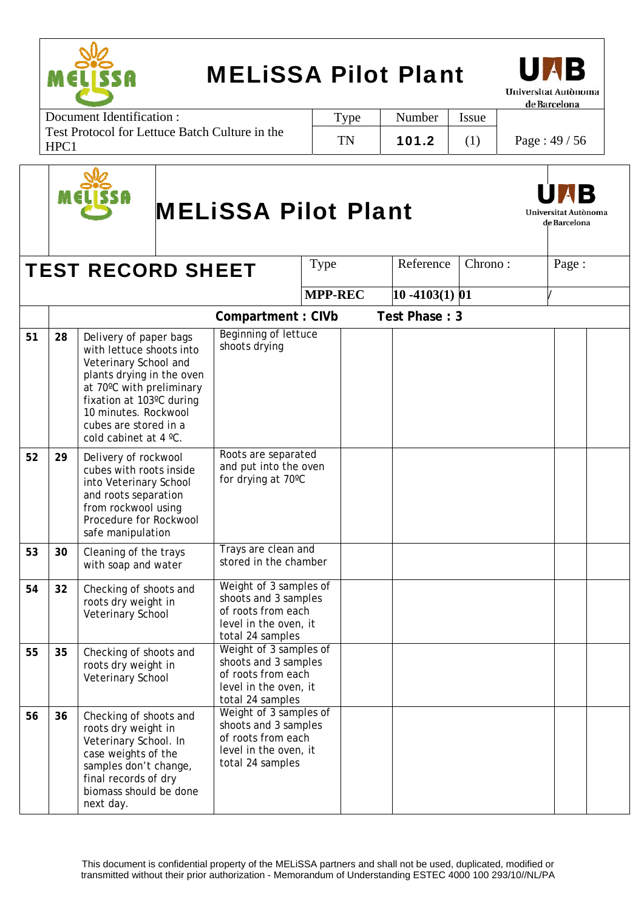

Document Identification : Test Protocol for Lettuce Batch Culture in the HPC1 Type | Number | Issue TN | 101.2 | (1) | Page :  $49 / 56$ 



# MELiSSA Pilot Plant



Universitat Autònoma de Barcelona

|    |    | <b>TEST RECORD SHEET</b>                                                                                                                                                                                                                   |                                                                                                                   | Type           | Reference         | Chrono: | Page: |  |
|----|----|--------------------------------------------------------------------------------------------------------------------------------------------------------------------------------------------------------------------------------------------|-------------------------------------------------------------------------------------------------------------------|----------------|-------------------|---------|-------|--|
|    |    |                                                                                                                                                                                                                                            |                                                                                                                   | <b>MPP-REC</b> | $10 - 4103(1)$ 01 |         |       |  |
|    |    |                                                                                                                                                                                                                                            | <b>Compartment: CIVb</b>                                                                                          |                | Test Phase: 3     |         |       |  |
| 51 | 28 | Delivery of paper bags<br>with lettuce shoots into<br>Veterinary School and<br>plants drying in the oven<br>at 70°C with preliminary<br>fixation at 103°C during<br>10 minutes. Rockwool<br>cubes are stored in a<br>cold cabinet at 4 °C. | <b>Beginning of lettuce</b><br>shoots drying                                                                      |                |                   |         |       |  |
| 52 | 29 | Delivery of rockwool<br>cubes with roots inside<br>into Veterinary School<br>and roots separation<br>from rockwool using<br>Procedure for Rockwool<br>safe manipulation                                                                    | Roots are separated<br>and put into the oven<br>for drying at 70°C                                                |                |                   |         |       |  |
| 53 | 30 | Cleaning of the trays<br>with soap and water                                                                                                                                                                                               | Trays are clean and<br>stored in the chamber                                                                      |                |                   |         |       |  |
| 54 | 32 | Checking of shoots and<br>roots dry weight in<br>Veterinary School                                                                                                                                                                         | Weight of 3 samples of<br>shoots and 3 samples<br>of roots from each<br>level in the oven, it<br>total 24 samples |                |                   |         |       |  |
| 55 | 35 | Checking of shoots and<br>roots dry weight in<br>Veterinary School                                                                                                                                                                         | Weight of 3 samples of<br>shoots and 3 samples<br>of roots from each<br>level in the oven, it<br>total 24 samples |                |                   |         |       |  |
| 56 | 36 | Checking of shoots and<br>roots dry weight in<br>Veterinary School. In<br>case weights of the<br>samples don't change,<br>final records of dry<br>biomass should be done<br>next day.                                                      | Weight of 3 samples of<br>shoots and 3 samples<br>of roots from each<br>level in the oven, it<br>total 24 samples |                |                   |         |       |  |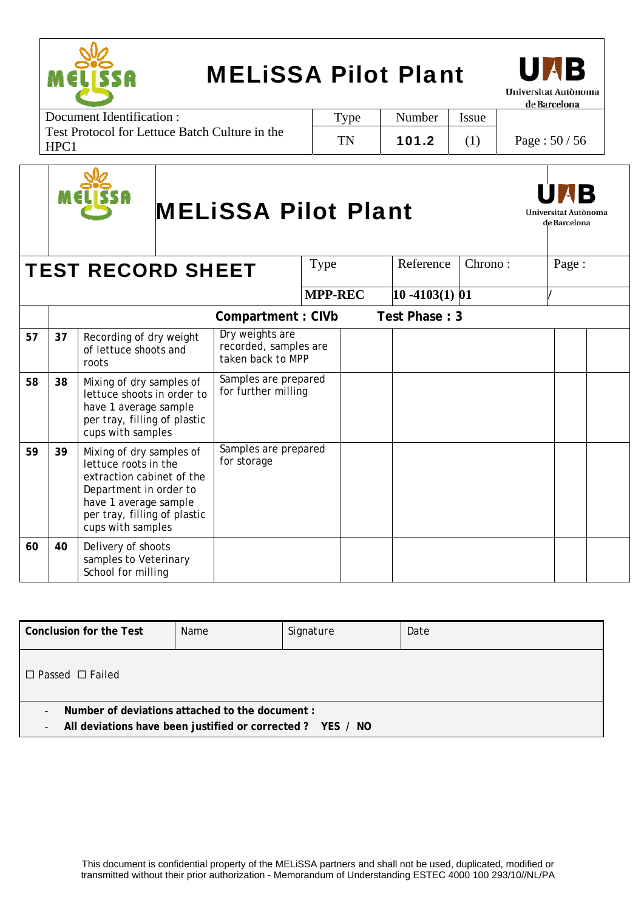



Document Identification : Test Protocol for Lettuce Batch Culture in the HPC1 Type | Number | Issue TN | 101.2 | (1) | Page :  $50/56$ 



# MELiSSA Pilot Plant



Universitat Autònoma

de Barcelona **TEST RECORD SHEET**  $\vert$  Type  $\vert$  Reference  $\vert$  Chrono :  $\vert$  Page :

|    |    |                                                                                                                                                                                       |                                                               | <b>MPP-REC</b> | $10 - 4103(1)$ 01 |  |  |
|----|----|---------------------------------------------------------------------------------------------------------------------------------------------------------------------------------------|---------------------------------------------------------------|----------------|-------------------|--|--|
|    |    |                                                                                                                                                                                       | Compartment: CIVb                                             |                | Test Phase: 3     |  |  |
| 57 | 37 | Recording of dry weight<br>of lettuce shoots and<br>roots                                                                                                                             | Dry weights are<br>recorded, samples are<br>taken back to MPP |                |                   |  |  |
| 58 | 38 | Mixing of dry samples of<br>lettuce shoots in order to<br>have 1 average sample<br>per tray, filling of plastic<br>cups with samples                                                  | Samples are prepared<br>for further milling                   |                |                   |  |  |
| 59 | 39 | Mixing of dry samples of<br>lettuce roots in the<br>extraction cabinet of the<br>Department in order to<br>have 1 average sample<br>per tray, filling of plastic<br>cups with samples | Samples are prepared<br>for storage                           |                |                   |  |  |
| 60 | 40 | Delivery of shoots<br>samples to Veterinary<br>School for milling                                                                                                                     |                                                               |                |                   |  |  |

| Conclusion for the Test                                                                                                                                               | Name | Signature | Date |  |  |  |  |  |
|-----------------------------------------------------------------------------------------------------------------------------------------------------------------------|------|-----------|------|--|--|--|--|--|
| $\Box$ Passed $\Box$ Failed                                                                                                                                           |      |           |      |  |  |  |  |  |
| Number of deviations attached to the document :<br>$\overline{\phantom{0}}$<br>All deviations have been justified or corrected ? YES / NO<br>$\overline{\phantom{a}}$ |      |           |      |  |  |  |  |  |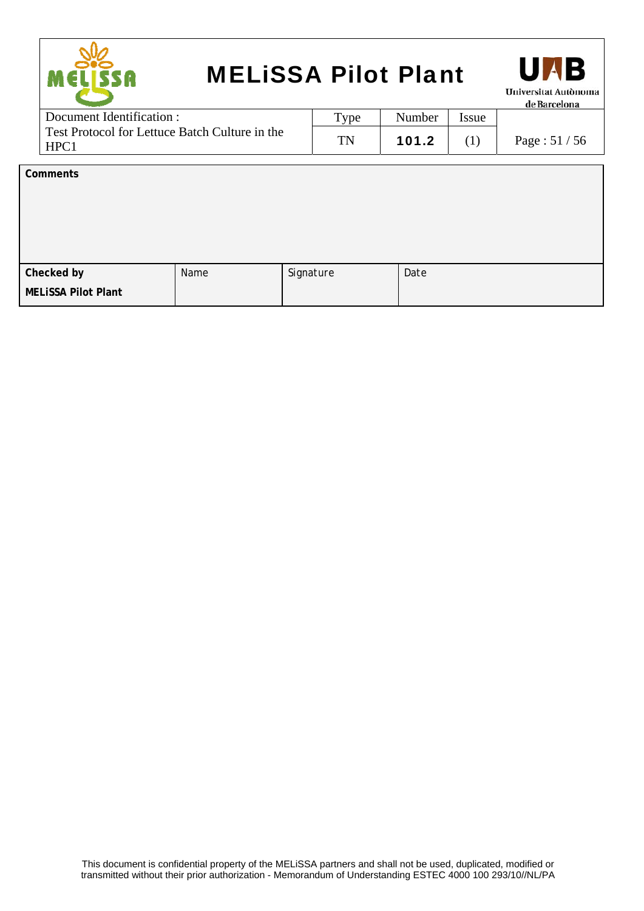| <b>MELISSA Pilot Plant</b><br>M ELI SSA                |      |        |       | <b>UNB</b><br><b>Universitat Autònoma</b><br>de Barcelona |
|--------------------------------------------------------|------|--------|-------|-----------------------------------------------------------|
| Document Identification :                              | Type | Number | Issue |                                                           |
| Test Protocol for Lettuce Batch Culture in the<br>HPC1 | TN   | 101.2  | (1)   | Page: $51/56$                                             |
|                                                        |      |        |       |                                                           |

| Name | Signature | Date |
|------|-----------|------|
|      |           |      |
|      |           |      |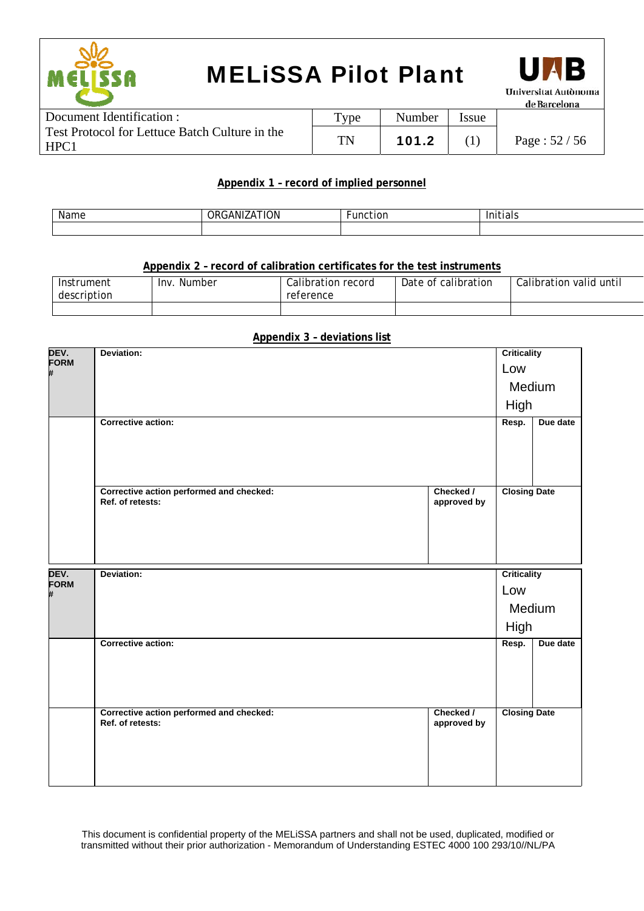



| Document Identification :                              | $T$ ype | Number | ssue |                  |
|--------------------------------------------------------|---------|--------|------|------------------|
| Test Protocol for Lettuce Batch Culture in the<br>HPC1 | TN      | 101.2  |      | Page : $52 / 56$ |

#### **Appendix 1 – record of implied personnel**

| . .<br>Name | $\cdots$<br>.ON.<br>. IXI | Funct<br>$\cdots$<br>LIOI | .<br>.<br>. . |
|-------------|---------------------------|---------------------------|---------------|
|             |                           |                           |               |

#### **Appendix 2 – record of calibration certificates for the test instruments**

| Instrument<br>description | Inv.<br>Number | Calibration record<br>reference | Date of calibration | Calibration valid until |
|---------------------------|----------------|---------------------------------|---------------------|-------------------------|
|                           |                |                                 |                     |                         |

#### **Appendix 3 – deviations list**

| DEV.<br>FORM     | Deviation:                                                   |                          | <b>Criticality</b>  |          |
|------------------|--------------------------------------------------------------|--------------------------|---------------------|----------|
| #                |                                                              |                          | Low                 |          |
|                  |                                                              |                          | Medium              |          |
|                  |                                                              |                          | High                |          |
|                  | <b>Corrective action:</b>                                    |                          | Resp.               | Due date |
|                  |                                                              |                          |                     |          |
|                  |                                                              |                          |                     |          |
|                  | Corrective action performed and checked:<br>Ref. of retests: | Checked /<br>approved by | <b>Closing Date</b> |          |
|                  |                                                              |                          |                     |          |
|                  |                                                              |                          |                     |          |
|                  |                                                              |                          |                     |          |
| DEV.             | Deviation:                                                   |                          | <b>Criticality</b>  |          |
| <b>FORM</b><br># |                                                              |                          | Low                 |          |
|                  |                                                              |                          | Medium              |          |
|                  |                                                              |                          | High                |          |
|                  | Corrective action:                                           |                          | Resp.               | Due date |
|                  |                                                              |                          |                     |          |
|                  |                                                              |                          |                     |          |
|                  |                                                              |                          |                     |          |
|                  | Corrective action performed and checked:<br>Ref. of retests: | Checked /<br>approved by | <b>Closing Date</b> |          |
|                  |                                                              |                          |                     |          |
|                  |                                                              |                          |                     |          |

This document is confidential property of the MELiSSA partners and shall not be used, duplicated, modified or transmitted without their prior authorization - Memorandum of Understanding ESTEC 4000 100 293/10//NL/PA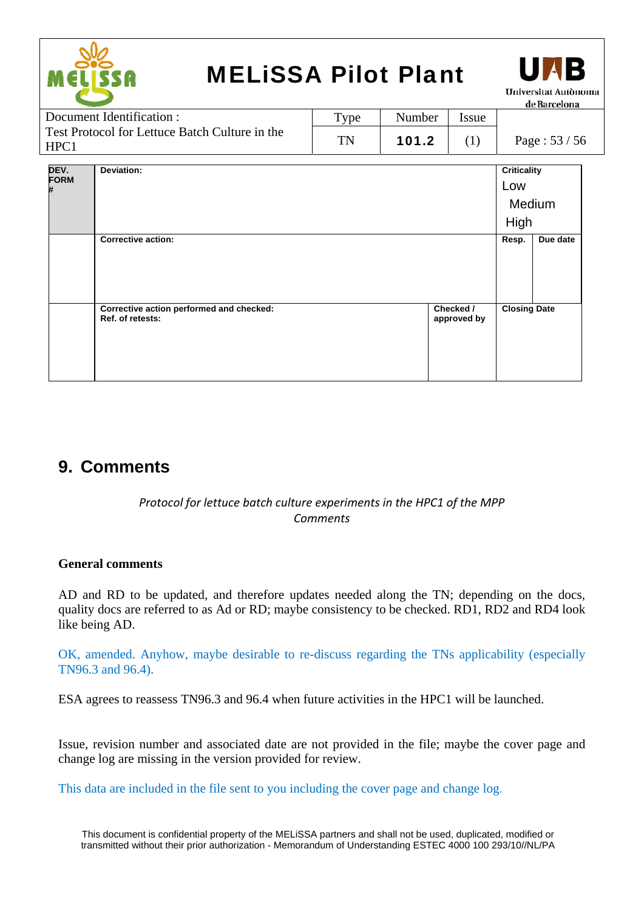



Document Identification : Test Protocol for Lettuce Batch Culture in the HPC1 Type | Number | Issue TN | 101.2 | (1) | Page :  $53 / 56$ 

| DEV.      | Deviation:                                                   |                          | <b>Criticality</b>  |          |
|-----------|--------------------------------------------------------------|--------------------------|---------------------|----------|
| FORM<br># |                                                              |                          | Low                 |          |
|           |                                                              |                          |                     | Medium   |
|           |                                                              |                          | High                |          |
|           | <b>Corrective action:</b>                                    |                          | Resp.               | Due date |
|           |                                                              |                          |                     |          |
|           |                                                              |                          |                     |          |
|           |                                                              |                          |                     |          |
|           | Corrective action performed and checked:<br>Ref. of retests: | Checked /<br>approved by | <b>Closing Date</b> |          |
|           |                                                              |                          |                     |          |

### **9. Comments**

#### *Protocol for lettuce batch culture experiments in the HPC1 of the MPP Comments*

#### **General comments**

AD and RD to be updated, and therefore updates needed along the TN; depending on the docs, quality docs are referred to as Ad or RD; maybe consistency to be checked. RD1, RD2 and RD4 look like being AD.

OK, amended. Anyhow, maybe desirable to re-discuss regarding the TNs applicability (especially TN96.3 and 96.4).

ESA agrees to reassess TN96.3 and 96.4 when future activities in the HPC1 will be launched.

Issue, revision number and associated date are not provided in the file; maybe the cover page and change log are missing in the version provided for review.

This data are included in the file sent to you including the cover page and change log.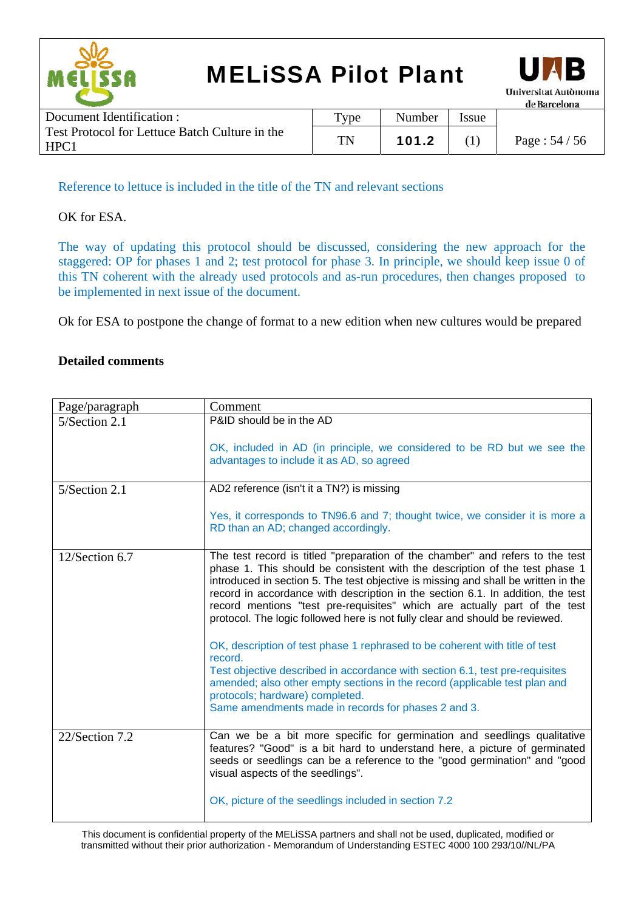



| Document Identification :                              | $_{\text{Type}}$ | Number | <b>Issue</b> |                  |
|--------------------------------------------------------|------------------|--------|--------------|------------------|
| Test Protocol for Lettuce Batch Culture in the<br>HPC1 | TN               | 101.2  |              | Page : $54 / 56$ |

Reference to lettuce is included in the title of the TN and relevant sections

#### OK for ESA.

The way of updating this protocol should be discussed, considering the new approach for the staggered: OP for phases 1 and 2; test protocol for phase 3. In principle, we should keep issue 0 of this TN coherent with the already used protocols and as-run procedures, then changes proposed to be implemented in next issue of the document.

Ok for ESA to postpone the change of format to a new edition when new cultures would be prepared

#### **Detailed comments**

| Page/paragraph | Comment                                                                                                                                                                                                                                                                                                                                                                                                                                                                                                                                                                                                                                                                                                                                                                                       |
|----------------|-----------------------------------------------------------------------------------------------------------------------------------------------------------------------------------------------------------------------------------------------------------------------------------------------------------------------------------------------------------------------------------------------------------------------------------------------------------------------------------------------------------------------------------------------------------------------------------------------------------------------------------------------------------------------------------------------------------------------------------------------------------------------------------------------|
| 5/Section 2.1  | P&ID should be in the AD                                                                                                                                                                                                                                                                                                                                                                                                                                                                                                                                                                                                                                                                                                                                                                      |
|                | OK, included in AD (in principle, we considered to be RD but we see the<br>advantages to include it as AD, so agreed                                                                                                                                                                                                                                                                                                                                                                                                                                                                                                                                                                                                                                                                          |
| 5/Section 2.1  | AD2 reference (isn't it a TN?) is missing                                                                                                                                                                                                                                                                                                                                                                                                                                                                                                                                                                                                                                                                                                                                                     |
|                | Yes, it corresponds to TN96.6 and 7; thought twice, we consider it is more a<br>RD than an AD; changed accordingly.                                                                                                                                                                                                                                                                                                                                                                                                                                                                                                                                                                                                                                                                           |
| 12/Section 6.7 | The test record is titled "preparation of the chamber" and refers to the test<br>phase 1. This should be consistent with the description of the test phase 1<br>introduced in section 5. The test objective is missing and shall be written in the<br>record in accordance with description in the section 6.1. In addition, the test<br>record mentions "test pre-requisites" which are actually part of the test<br>protocol. The logic followed here is not fully clear and should be reviewed.<br>OK, description of test phase 1 rephrased to be coherent with title of test<br>record.<br>Test objective described in accordance with section 6.1, test pre-requisites<br>amended; also other empty sections in the record (applicable test plan and<br>protocols; hardware) completed. |
|                | Same amendments made in records for phases 2 and 3.                                                                                                                                                                                                                                                                                                                                                                                                                                                                                                                                                                                                                                                                                                                                           |
| 22/Section 7.2 | Can we be a bit more specific for germination and seedlings qualitative<br>features? "Good" is a bit hard to understand here, a picture of germinated<br>seeds or seedlings can be a reference to the "good germination" and "good<br>visual aspects of the seedlings".                                                                                                                                                                                                                                                                                                                                                                                                                                                                                                                       |
|                | OK, picture of the seedlings included in section 7.2                                                                                                                                                                                                                                                                                                                                                                                                                                                                                                                                                                                                                                                                                                                                          |

This document is confidential property of the MELiSSA partners and shall not be used, duplicated, modified or transmitted without their prior authorization - Memorandum of Understanding ESTEC 4000 100 293/10//NL/PA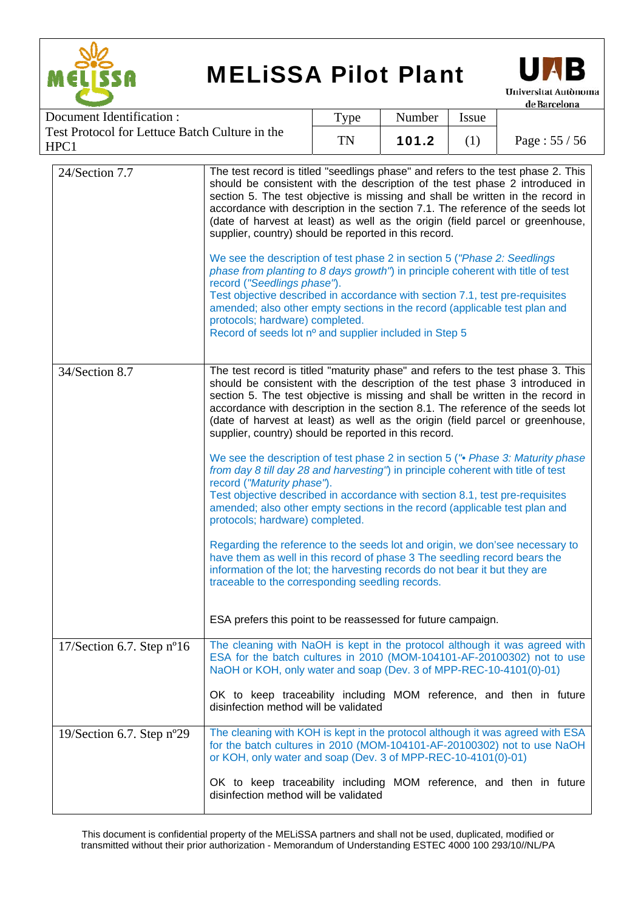

HPC1

## MELiSSA Pilot Plant



de Barcelona Document Identification : Type | Number | Issue Test Protocol for Lettuce Batch Culture in the TN | 101.2 | (1) | Page :  $55 / 56$ 

| 24/Section 7.7                            | The test record is titled "seedlings phase" and refers to the test phase 2. This<br>should be consistent with the description of the test phase 2 introduced in<br>section 5. The test objective is missing and shall be written in the record in<br>accordance with description in the section 7.1. The reference of the seeds lot<br>(date of harvest at least) as well as the origin (field parcel or greenhouse,<br>supplier, country) should be reported in this record.<br>We see the description of test phase 2 in section 5 ("Phase 2: Seedlings"<br>phase from planting to 8 days growth") in principle coherent with title of test<br>record ("Seedlings phase").<br>Test objective described in accordance with section 7.1, test pre-requisites<br>amended; also other empty sections in the record (applicable test plan and<br>protocols; hardware) completed.<br>Record of seeds lot nº and supplier included in Step 5 |
|-------------------------------------------|-----------------------------------------------------------------------------------------------------------------------------------------------------------------------------------------------------------------------------------------------------------------------------------------------------------------------------------------------------------------------------------------------------------------------------------------------------------------------------------------------------------------------------------------------------------------------------------------------------------------------------------------------------------------------------------------------------------------------------------------------------------------------------------------------------------------------------------------------------------------------------------------------------------------------------------------|
| 34/Section 8.7                            | The test record is titled "maturity phase" and refers to the test phase 3. This<br>should be consistent with the description of the test phase 3 introduced in<br>section 5. The test objective is missing and shall be written in the record in<br>accordance with description in the section 8.1. The reference of the seeds lot<br>(date of harvest at least) as well as the origin (field parcel or greenhouse,<br>supplier, country) should be reported in this record.                                                                                                                                                                                                                                                                                                                                                                                                                                                            |
|                                           | We see the description of test phase 2 in section 5 ("• Phase 3: Maturity phase<br>from day 8 till day 28 and harvesting") in principle coherent with title of test<br>record ("Maturity phase").<br>Test objective described in accordance with section 8.1, test pre-requisites<br>amended; also other empty sections in the record (applicable test plan and<br>protocols; hardware) completed.                                                                                                                                                                                                                                                                                                                                                                                                                                                                                                                                      |
|                                           | Regarding the reference to the seeds lot and origin, we don'see necessary to<br>have them as well in this record of phase 3 The seedling record bears the<br>information of the lot; the harvesting records do not bear it but they are<br>traceable to the corresponding seedling records.                                                                                                                                                                                                                                                                                                                                                                                                                                                                                                                                                                                                                                             |
|                                           | ESA prefers this point to be reassessed for future campaign.                                                                                                                                                                                                                                                                                                                                                                                                                                                                                                                                                                                                                                                                                                                                                                                                                                                                            |
| $17$ /Section 6.7. Step n <sup>o</sup> 16 | The cleaning with NaOH is kept in the protocol although it was agreed with<br>ESA for the batch cultures in 2010 (MOM-104101-AF-20100302) not to use<br>NaOH or KOH, only water and soap (Dev. 3 of MPP-REC-10-4101(0)-01)                                                                                                                                                                                                                                                                                                                                                                                                                                                                                                                                                                                                                                                                                                              |
|                                           | OK to keep traceability including MOM reference, and then in future<br>disinfection method will be validated                                                                                                                                                                                                                                                                                                                                                                                                                                                                                                                                                                                                                                                                                                                                                                                                                            |
| 19/Section 6.7. Step $n^{\circ}29$        | The cleaning with KOH is kept in the protocol although it was agreed with ESA<br>for the batch cultures in 2010 (MOM-104101-AF-20100302) not to use NaOH<br>or KOH, only water and soap (Dev. 3 of MPP-REC-10-4101(0)-01)                                                                                                                                                                                                                                                                                                                                                                                                                                                                                                                                                                                                                                                                                                               |
|                                           | OK to keep traceability including MOM reference, and then in future<br>disinfection method will be validated                                                                                                                                                                                                                                                                                                                                                                                                                                                                                                                                                                                                                                                                                                                                                                                                                            |